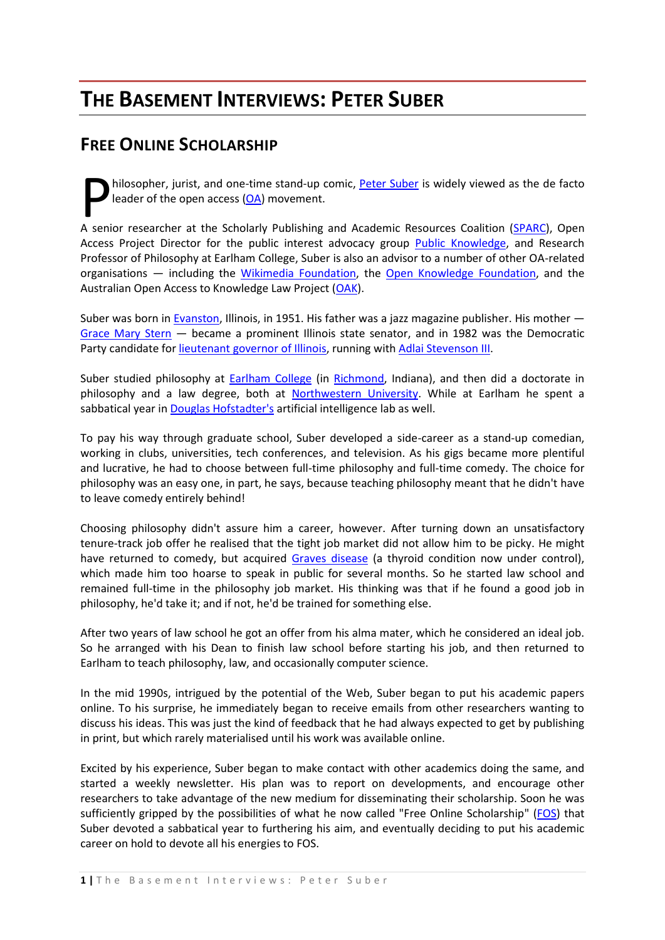# **THE BASEMENT INTERVIEWS: PETER SUBER**

## <span id="page-0-0"></span>**FREE ONLINE SCHOLARSHIP**

hilosopher, jurist, and one-time stand-up comic, [Peter Suber](http://en.wikipedia.org/wiki/Peter_Suber) is widely viewed as the de facto leader of the open access  $(OA)$  movement. hilosopher, jurist, and one-time stand-up comic, *Peter Suber* is widely viewed as the de facto leader of the open access (OA) movement.<br>A senior researcher at the Scholarly Publishing and Academic Resources Coalition (SPA

Access Project Director for the public interest advocacy group [Public Knowledge,](http://en.wikipedia.org/wiki/Public_Knowledge) and Research Professor of Philosophy at Earlham College, Suber is also an advisor to a number of other OA-related organisations - including the [Wikimedia Foundation,](http://en.wikipedia.org/wiki/Wikimedia_foundation) the [Open Knowledge Foundation,](http://www.okfn.org/) and the Australian Open Access to Knowledge Law Project [\(OAK\)](http://www.oaklaw.qut.edu.au/).

Suber was born in [Evanston,](http://en.wikipedia.org/wiki/Evanston,_Illinois) Illinois, in 1951. His father was a jazz magazine publisher. His mother — [Grace Mary Stern](http://www.ilga.gov/legislation/legisnet90/srgroups/sr/900SJ0072LV.html) — became a prominent Illinois state senator, and in 1982 was the Democratic Party candidate for [lieutenant governor of Illinois,](http://en.wikipedia.org/wiki/Governor_of_Illinois) running with [Adlai Stevenson III.](http://en.wikipedia.org/wiki/Adlai_Stevenson_III)

Suber studied philosophy at [Earlham College](http://en.wikipedia.org/wiki/Earlham_College) (in [Richmond,](http://en.wikipedia.org/wiki/Richmond%2C_Indiana) Indiana), and then did a doctorate in philosophy and a law degree, both at [Northwestern University.](http://en.wikipedia.org/wiki/Northwestern_University) While at Earlham he spent a sabbatical year i[n Douglas Hofstadter's](http://en.wikipedia.org/wiki/Douglas_Hofstadter) artificial intelligence lab as well.

To pay his way through graduate school, Suber developed a side-career as a stand-up comedian, working in clubs, universities, tech conferences, and television. As his gigs became more plentiful and lucrative, he had to choose between full-time philosophy and full-time comedy. The choice for philosophy was an easy one, in part, he says, because teaching philosophy meant that he didn't have to leave comedy entirely behind!

Choosing philosophy didn't assure him a career, however. After turning down an unsatisfactory tenure-track job offer he realised that the tight job market did not allow him to be picky. He might have returned to comedy, but acquired [Graves disease](http://en.wikipedia.org/wiki/Graves-Basedow_disease) (a thyroid condition now under control), which made him too hoarse to speak in public for several months. So he started law school and remained full-time in the philosophy job market. His thinking was that if he found a good job in philosophy, he'd take it; and if not, he'd be trained for something else.

After two years of law school he got an offer from his alma mater, which he considered an ideal job. So he arranged with his Dean to finish law school before starting his job, and then returned to Earlham to teach philosophy, law, and occasionally computer science.

In the mid 1990s, intrigued by the potential of the Web, Suber began to put his academic papers online. To his surprise, he immediately began to receive emails from other researchers wanting to discuss his ideas. This was just the kind of feedback that he had always expected to get by publishing in print, but which rarely materialised until his work was available online.

Excited by his experience, Suber began to make contact with other academics doing the same, and started a weekly newsletter. His plan was to report on developments, and encourage other researchers to take advantage of the new medium for disseminating their scholarship. Soon he was sufficiently gripped by the possibilities of what he now called "Free Online Scholarship" [\(FOS\)](http://www.infography.com/content/183752385053.html) that Suber devoted a sabbatical year to furthering his aim, and eventually deciding to put his academic career on hold to devote all his energies to FOS.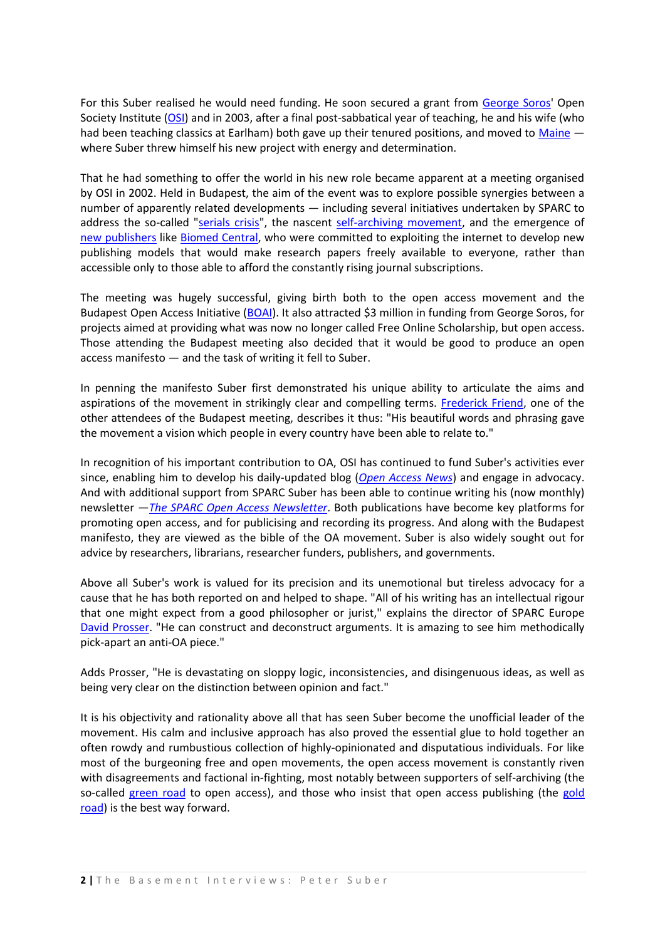For this Suber realised he would need funding. He soon secured a grant from [George Soros'](http://en.wikipedia.org/wiki/George_Soros) Open Society Institute [\(OSI\)](http://www.soros.org/) and in 2003, after a final post-sabbatical year of teaching, he and his wife (who had been teaching classics at Earlham) both gave up their tenured positions, and moved to [Maine](http://en.wikipedia.org/wiki/Maine) – where Suber threw himself his new project with energy and determination.

That he had something to offer the world in his new role became apparent at a meeting organised by OSI in 2002. Held in Budapest, the aim of the event was to explore possible synergies between a number of apparently related developments — including several initiatives undertaken by SPARC to address the so-called ["serials crisis"](http://en.wikipedia.org/wiki/Serials_crisis), the nascent [self-archiving movement,](http://en.wikipedia.org/wiki/Self-archiving) and the emergence of [new publishers](http://en.wikipedia.org/wiki/Open_access_publishing) like [Biomed Central,](http://en.wikipedia.org/wiki/BioMed_Central) who were committed to exploiting the internet to develop new publishing models that would make research papers freely available to everyone, rather than accessible only to those able to afford the constantly rising journal subscriptions.

The meeting was hugely successful, giving birth both to the open access movement and the Budapest Open Access Initiative [\(BOAI\)](http://www.soros.org/openaccess/read.shtml). It also attracted \$3 million in funding from George Soros, for projects aimed at providing what was now no longer called Free Online Scholarship, but open access. Those attending the Budapest meeting also decided that it would be good to produce an open access manifesto — and the task of writing it fell to Suber.

In penning the manifesto Suber first demonstrated his unique ability to articulate the aims and aspirations of the movement in strikingly clear and compelling terms. [Frederick Friend,](http://www.aepic.it/conf/viewabstract.php?id=85&cf=3) one of the other attendees of the Budapest meeting, describes it thus: "His beautiful words and phrasing gave the movement a vision which people in every country have been able to relate to."

In recognition of his important contribution to OA, OSI has continued to fund Suber's activities ever since, enabling him to develop his daily-updated blog (*[Open Access News](http://www.earlham.edu/~peters/fos/fosblog.html)*) and engage in advocacy. And with additional support from SPARC Suber has been able to continue writing his (now monthly) newsletter —*[The SPARC Open Access Newsletter](http://www.earlham.edu/~peters/fos/)*. Both publications have become key platforms for promoting open access, and for publicising and recording its progress. And along with the Budapest manifesto, they are viewed as the bible of the OA movement. Suber is also widely sought out for advice by researchers, librarians, researcher funders, publishers, and governments.

Above all Suber's work is valued for its precision and its unemotional but tireless advocacy for a cause that he has both reported on and helped to shape. "All of his writing has an intellectual rigour that one might expect from a good philosopher or jurist," explains the director of SPARC Europe [David Prosser.](http://www.sparceurope.org/) "He can construct and deconstruct arguments. It is amazing to see him methodically pick-apart an anti-OA piece."

Adds Prosser, "He is devastating on sloppy logic, inconsistencies, and disingenuous ideas, as well as being very clear on the distinction between opinion and fact."

It is his objectivity and rationality above all that has seen Suber become the unofficial leader of the movement. His calm and inclusive approach has also proved the essential glue to hold together an often rowdy and rumbustious collection of highly-opinionated and disputatious individuals. For like most of the burgeoning free and open movements, the open access movement is constantly riven with disagreements and factional in-fighting, most notably between supporters of self-archiving (the so-called [green road](http://users.ecs.soton.ac.uk/harnad/Temp/mixcrit.htm) to open access), and those who insist that open access publishing (the gold [road\)](http://www.jisc.ac.uk/whatwedo/themes/information_environment/scholarly_comms/oa.aspx) is the best way forward.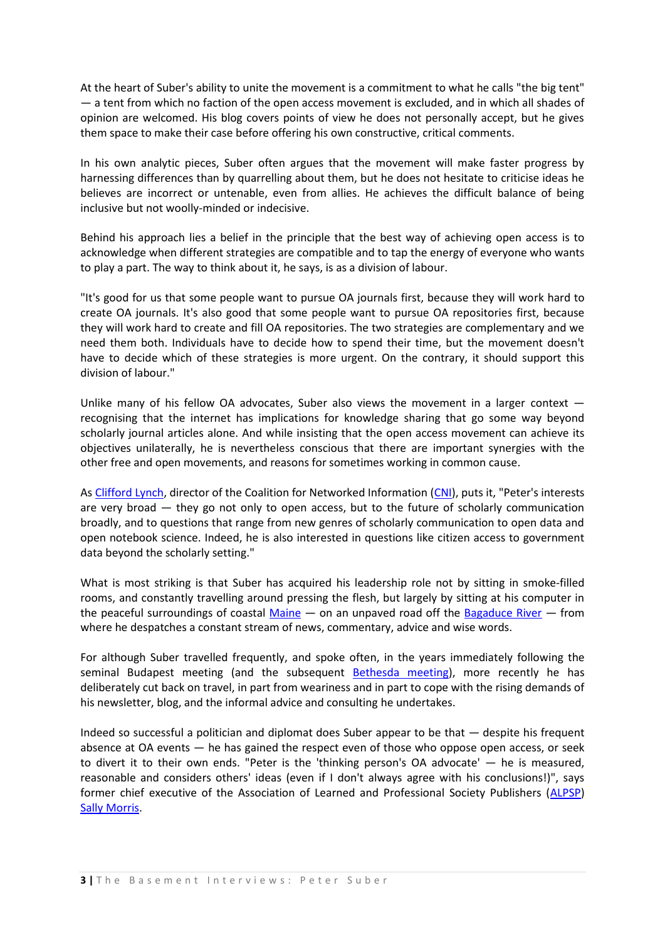At the heart of Suber's ability to unite the movement is a commitment to what he calls "the big tent" — a tent from which no faction of the open access movement is excluded, and in which all shades of opinion are welcomed. His blog covers points of view he does not personally accept, but he gives them space to make their case before offering his own constructive, critical comments.

In his own analytic pieces, Suber often argues that the movement will make faster progress by harnessing differences than by quarrelling about them, but he does not hesitate to criticise ideas he believes are incorrect or untenable, even from allies. He achieves the difficult balance of being inclusive but not woolly-minded or indecisive.

Behind his approach lies a belief in the principle that the best way of achieving open access is to acknowledge when different strategies are compatible and to tap the energy of everyone who wants to play a part. The way to think about it, he says, is as a division of labour.

"It's good for us that some people want to pursue OA journals first, because they will work hard to create OA journals. It's also good that some people want to pursue OA repositories first, because they will work hard to create and fill OA repositories. The two strategies are complementary and we need them both. Individuals have to decide how to spend their time, but the movement doesn't have to decide which of these strategies is more urgent. On the contrary, it should support this division of labour."

Unlike many of his fellow OA advocates, Suber also views the movement in a larger context recognising that the internet has implications for knowledge sharing that go some way beyond scholarly journal articles alone. And while insisting that the open access movement can achieve its objectives unilaterally, he is nevertheless conscious that there are important synergies with the other free and open movements, and reasons for sometimes working in common cause.

As [Clifford Lynch,](http://www.cni.org/staff/clifford_index.html) director of the Coalition for Networked Information [\(CNI\)](http://www.cni.org/), puts it, "Peter's interests are very broad — they go not only to open access, but to the future of scholarly communication broadly, and to questions that range from new genres of scholarly communication to open data and open notebook science. Indeed, he is also interested in questions like citizen access to government data beyond the scholarly setting."

What is most striking is that Suber has acquired his leadership role not by sitting in smoke-filled rooms, and constantly travelling around pressing the flesh, but largely by sitting at his computer in the peaceful surroundings of coastal [Maine](http://en.wikipedia.org/wiki/Maine)  $-$  on an unpaved road off the [Bagaduce River](http://www.worldofstock.com/closeups/TAU2415.php)  $-$  from where he despatches a constant stream of news, commentary, advice and wise words.

For although Suber travelled frequently, and spoke often, in the years immediately following the seminal Budapest meeting (and the subsequent [Bethesda meeting\)](http://www.earlham.edu/~peters/fos/bethesda.htm), more recently he has deliberately cut back on travel, in part from weariness and in part to cope with the rising demands of his newsletter, blog, and the informal advice and consulting he undertakes.

Indeed so successful a politician and diplomat does Suber appear to be that — despite his frequent absence at OA events — he has gained the respect even of those who oppose open access, or seek to divert it to their own ends. "Peter is the 'thinking person's OA advocate' — he is measured, reasonable and considers others' ideas (even if I don't always agree with his conclusions!)", says former chief executive of the Association of Learned and Professional Society Publishers [\(ALPSP\)](http://www.alpsp.org/ngen_public/) [Sally Morris.](http://www.researchinformation.info/rijanfeb04sally_morris.html)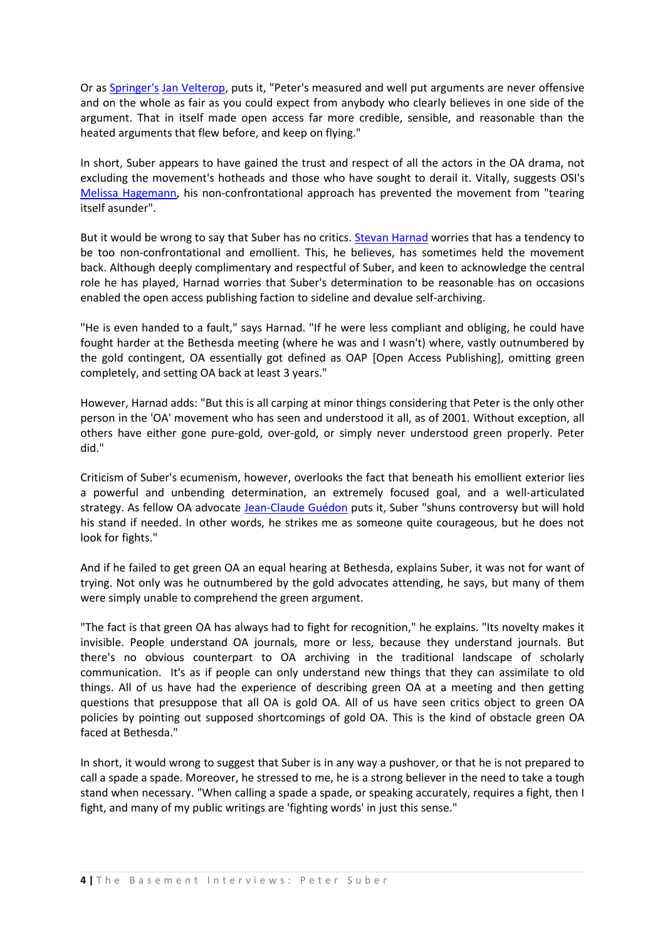Or as [Springer's](http://www.springer.com/uk/home?SGWID=3-102-0-0-0) [Jan Velterop,](http://en.wikipedia.org/wiki/Jan_Velterop) puts it, "Peter's measured and well put arguments are never offensive and on the whole as fair as you could expect from anybody who clearly believes in one side of the argument. That in itself made open access far more credible, sensible, and reasonable than the heated arguments that flew before, and keep on flying."

In short, Suber appears to have gained the trust and respect of all the actors in the OA drama, not excluding the movement's hotheads and those who have sought to derail it. Vitally, suggests OSI's [Melissa Hagemann,](http://poynder.blogspot.com/2005/06/interview-with-melissa-hagemann-of.html) his non-confrontational approach has prevented the movement from "tearing itself asunder".

But it would be wrong to say that Suber has no critics[. Stevan Harnad](http://en.wikipedia.org/wiki/Stevan_Harnad) worries that has a tendency to be too non-confrontational and emollient. This, he believes, has sometimes held the movement back. Although deeply complimentary and respectful of Suber, and keen to acknowledge the central role he has played, Harnad worries that Suber's determination to be reasonable has on occasions enabled the open access publishing faction to sideline and devalue self-archiving.

"He is even handed to a fault," says Harnad. "If he were less compliant and obliging, he could have fought harder at the Bethesda meeting (where he was and I wasn't) where, vastly outnumbered by the gold contingent, OA essentially got defined as OAP [Open Access Publishing], omitting green completely, and setting OA back at least 3 years."

However, Harnad adds: "But this is all carping at minor things considering that Peter is the only other person in the 'OA' movement who has seen and understood it all, as of 2001. Without exception, all others have either gone pure-gold, over-gold, or simply never understood green properly. Peter did."

Criticism of Suber's ecumenism, however, overlooks the fact that beneath his emollient exterior lies a powerful and unbending determination, an extremely focused goal, and a well-articulated strategy. As fellow OA advocate [Jean-Claude Guédon](http://en.wikipedia.org/wiki/Jean-Claude_Gu%C3%A9don) puts it, Suber "shuns controversy but will hold his stand if needed. In other words, he strikes me as someone quite courageous, but he does not look for fights."

And if he failed to get green OA an equal hearing at Bethesda, explains Suber, it was not for want of trying. Not only was he outnumbered by the gold advocates attending, he says, but many of them were simply unable to comprehend the green argument.

"The fact is that green OA has always had to fight for recognition," he explains. "Its novelty makes it invisible. People understand OA journals, more or less, because they understand journals. But there's no obvious counterpart to OA archiving in the traditional landscape of scholarly communication. It's as if people can only understand new things that they can assimilate to old things. All of us have had the experience of describing green OA at a meeting and then getting questions that presuppose that all OA is gold OA. All of us have seen critics object to green OA policies by pointing out supposed shortcomings of gold OA. This is the kind of obstacle green OA faced at Bethesda."

In short, it would wrong to suggest that Suber is in any way a pushover, or that he is not prepared to call a spade a spade. Moreover, he stressed to me, he is a strong believer in the need to take a tough stand when necessary. "When calling a spade a spade, or speaking accurately, requires a fight, then I fight, and many of my public writings are 'fighting words' in just this sense."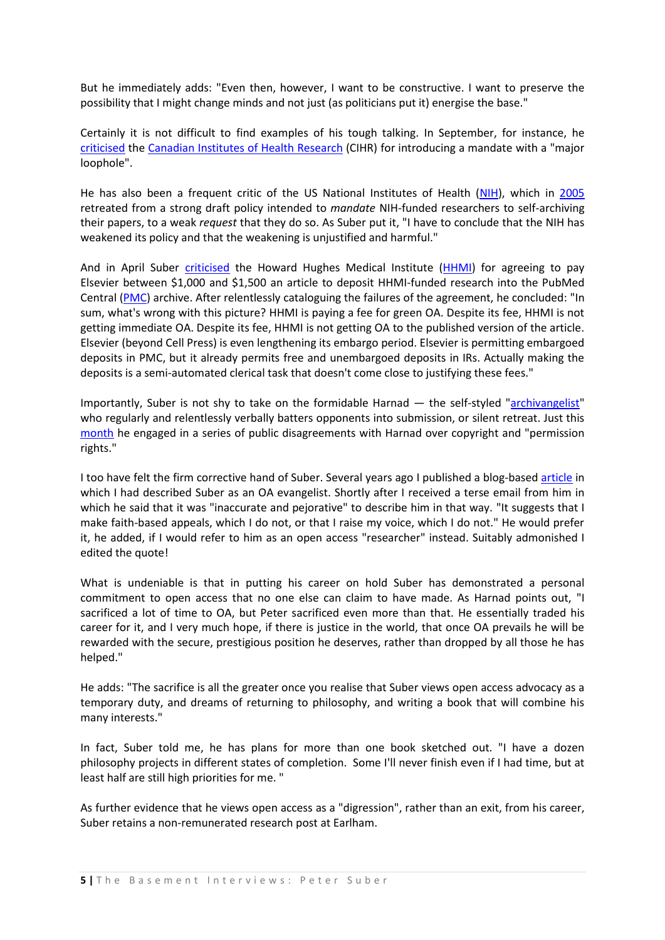But he immediately adds: "Even then, however, I want to be constructive. I want to preserve the possibility that I might change minds and not just (as politicians put it) energise the base."

Certainly it is not difficult to find examples of his tough talking. In September, for instance, he [criticised](http://www.earlham.edu/~peters/fos/2007/09/oa-mandate-at-cihr.html) the [Canadian Institutes of Health Research](http://www.cihr-irsc.gc.ca/) (CIHR) for introducing a mandate with a "major loophole".

He has also been a frequent critic of the US National Institutes of Health [\(NIH\)](http://www.nih.gov/), which in [2005](http://www.earlham.edu/~peters/fos/newsletter/02-02-05.htm#nih) retreated from a strong draft policy intended to *mandate* NIH-funded researchers to self-archiving their papers, to a weak *request* that they do so. As Suber put it, "I have to conclude that the NIH has weakened its policy and that the weakening is unjustified and harmful."

And in April Suber [criticised](http://www.earlham.edu/~peters/fos/newsletter/04-02-07.htm#green) the Howard Hughes Medical Institute [\(HHMI\)](http://www.hhmi.org/) for agreeing to pay Elsevier between \$1,000 and \$1,500 an article to deposit HHMI-funded research into the PubMed Central [\(PMC\)](http://www.pubmedcentral.nih.gov/) archive. After relentlessly cataloguing the failures of the agreement, he concluded: "In sum, what's wrong with this picture? HHMI is paying a fee for green OA. Despite its fee, HHMI is not getting immediate OA. Despite its fee, HHMI is not getting OA to the published version of the article. Elsevier (beyond Cell Press) is even lengthening its embargo period. Elsevier is permitting embargoed deposits in PMC, but it already permits free and unembargoed deposits in IRs. Actually making the deposits is a semi-automated clerical task that doesn't come close to justifying these fees."

Importantly, Suber is not shy to take on the formidable Harnad — the self-styled ["archivangelist"](http://openaccess.eprints.org/) who regularly and relentlessly verbally batters opponents into submission, or silent retreat. Just this [month](http://www.earlham.edu/~peters/fos/2007/10/more-on-removing-permission-barriers_16.html) he engaged in a series of public disagreements with Harnad over copyright and "permission rights."

I too have felt the firm corrective hand of Suber. Several years ago I published a blog-base[d article](http://poynder.blogspot.com/2005/03/open-wars.html) in which I had described Suber as an OA evangelist. Shortly after I received a terse email from him in which he said that it was "inaccurate and pejorative" to describe him in that way. "It suggests that I make faith-based appeals, which I do not, or that I raise my voice, which I do not." He would prefer it, he added, if I would refer to him as an open access "researcher" instead. Suitably admonished I edited the quote!

What is undeniable is that in putting his career on hold Suber has demonstrated a personal commitment to open access that no one else can claim to have made. As Harnad points out, "I sacrificed a lot of time to OA, but Peter sacrificed even more than that. He essentially traded his career for it, and I very much hope, if there is justice in the world, that once OA prevails he will be rewarded with the secure, prestigious position he deserves, rather than dropped by all those he has helped."

He adds: "The sacrifice is all the greater once you realise that Suber views open access advocacy as a temporary duty, and dreams of returning to philosophy, and writing a book that will combine his many interests."

In fact, Suber told me, he has plans for more than one book sketched out. "I have a dozen philosophy projects in different states of completion. Some I'll never finish even if I had time, but at least half are still high priorities for me. "

As further evidence that he views open access as a "digression", rather than an exit, from his career, Suber retains a non-remunerated research post at Earlham.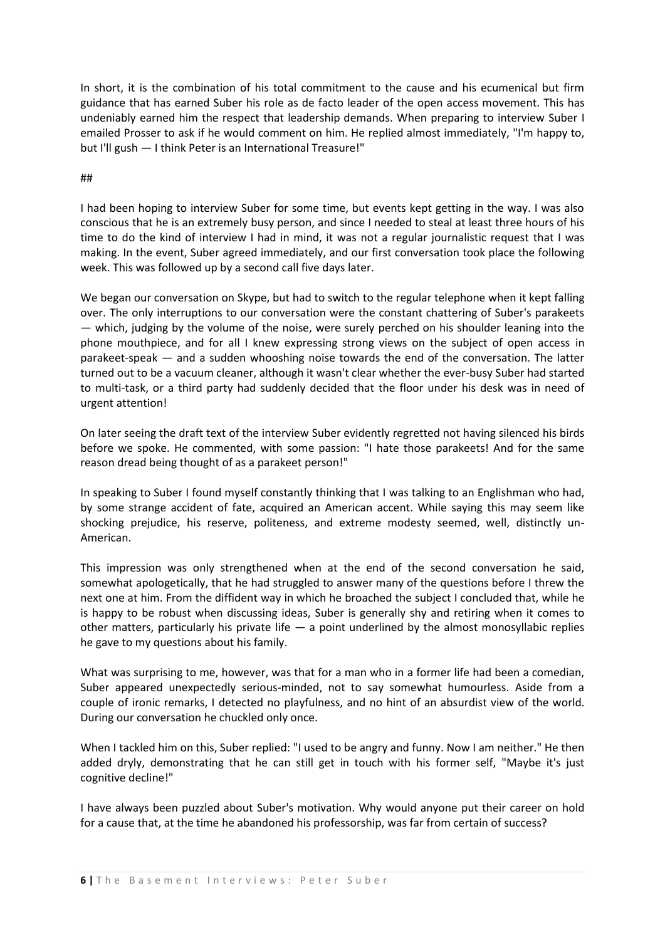In short, it is the combination of his total commitment to the cause and his ecumenical but firm guidance that has earned Suber his role as de facto leader of the open access movement. This has undeniably earned him the respect that leadership demands. When preparing to interview Suber I emailed Prosser to ask if he would comment on him. He replied almost immediately, "I'm happy to, but I'll gush — I think Peter is an International Treasure!"

#### ##

I had been hoping to interview Suber for some time, but events kept getting in the way. I was also conscious that he is an extremely busy person, and since I needed to steal at least three hours of his time to do the kind of interview I had in mind, it was not a regular journalistic request that I was making. In the event, Suber agreed immediately, and our first conversation took place the following week. This was followed up by a second call five days later.

We began our conversation on Skype, but had to switch to the regular telephone when it kept falling over. The only interruptions to our conversation were the constant chattering of Suber's parakeets — which, judging by the volume of the noise, were surely perched on his shoulder leaning into the phone mouthpiece, and for all I knew expressing strong views on the subject of open access in parakeet-speak — and a sudden whooshing noise towards the end of the conversation. The latter turned out to be a vacuum cleaner, although it wasn't clear whether the ever-busy Suber had started to multi-task, or a third party had suddenly decided that the floor under his desk was in need of urgent attention!

On later seeing the draft text of the interview Suber evidently regretted not having silenced his birds before we spoke. He commented, with some passion: "I hate those parakeets! And for the same reason dread being thought of as a parakeet person!"

In speaking to Suber I found myself constantly thinking that I was talking to an Englishman who had, by some strange accident of fate, acquired an American accent. While saying this may seem like shocking prejudice, his reserve, politeness, and extreme modesty seemed, well, distinctly un-American.

This impression was only strengthened when at the end of the second conversation he said, somewhat apologetically, that he had struggled to answer many of the questions before I threw the next one at him. From the diffident way in which he broached the subject I concluded that, while he is happy to be robust when discussing ideas, Suber is generally shy and retiring when it comes to other matters, particularly his private life  $-$  a point underlined by the almost monosyllabic replies he gave to my questions about his family.

What was surprising to me, however, was that for a man who in a former life had been a comedian, Suber appeared unexpectedly serious-minded, not to say somewhat humourless. Aside from a couple of ironic remarks, I detected no playfulness, and no hint of an absurdist view of the world. During our conversation he chuckled only once.

When I tackled him on this, Suber replied: "I used to be angry and funny. Now I am neither." He then added dryly, demonstrating that he can still get in touch with his former self, "Maybe it's just cognitive decline!"

I have always been puzzled about Suber's motivation. Why would anyone put their career on hold for a cause that, at the time he abandoned his professorship, was far from certain of success?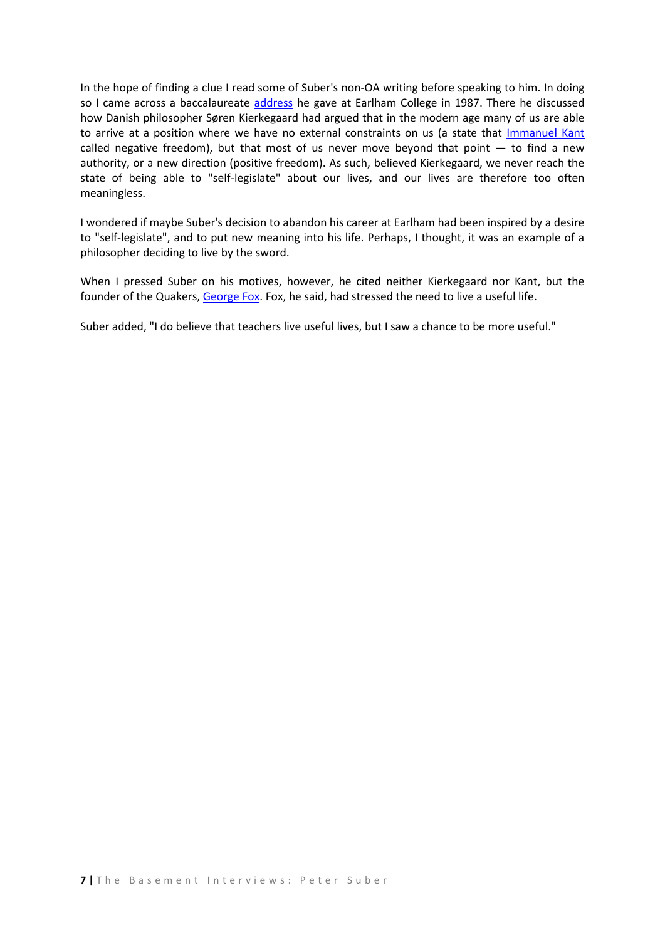In the hope of finding a clue I read some of Suber's non-OA writing before speaking to him. In doing so I came across a baccalaureate [address](http://www.earlham.edu/~peters/writing/bacc1.htm) he gave at Earlham College in 1987. There he discussed how Danish philosopher Søren Kierkegaard had argued that in the modern age many of us are able to arrive at a position where we have no external constraints on us (a state that [Immanuel Kant](http://en.wikipedia.org/wiki/Immanuel_Kant) called negative freedom), but that most of us never move beyond that point  $-$  to find a new authority, or a new direction (positive freedom). As such, believed Kierkegaard, we never reach the state of being able to "self-legislate" about our lives, and our lives are therefore too often meaningless.

I wondered if maybe Suber's decision to abandon his career at Earlham had been inspired by a desire to "self-legislate", and to put new meaning into his life. Perhaps, I thought, it was an example of a philosopher deciding to live by the sword.

When I pressed Suber on his motives, however, he cited neither Kierkegaard nor Kant, but the founder of the Quakers, [George Fox.](http://en.wikipedia.org/wiki/George_Fox) Fox, he said, had stressed the need to live a useful life.

Suber added, "I do believe that teachers live useful lives, but I saw a chance to be more useful."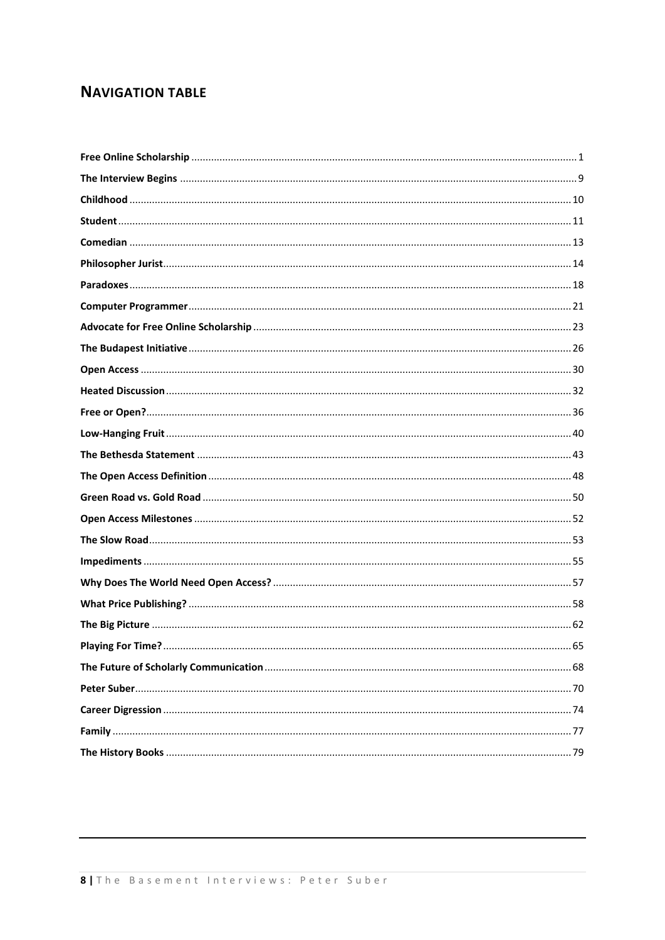## **NAVIGATION TABLE**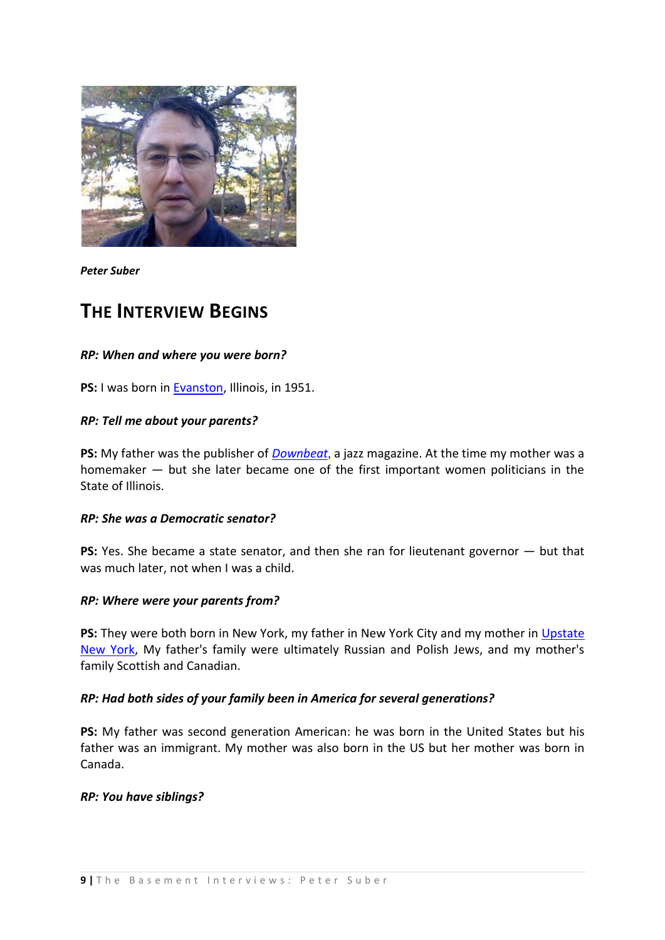

*Peter Suber*

## <span id="page-8-0"></span>**THE INTERVIEW BEGINS**

#### *RP: When and where you were born?*

**PS:** I was born in **Evanston**, Illinois, in 1951.

#### *RP: Tell me about your parents?*

**PS:** My father was the publisher of *[Downbeat](http://www.downbeat.com/)*, a jazz magazine. At the time my mother was a homemaker — but she later became one of the first important women politicians in the State of Illinois.

#### *RP: She was a Democratic senator?*

**PS:** Yes. She became a state senator, and then she ran for lieutenant governor — but that was much later, not when I was a child.

#### *RP: Where were your parents from?*

**PS:** They were both born in New York, my father in New York City and my mother in [Upstate](http://en.wikipedia.org/wiki/Upstate_New_York)  [New York,](http://en.wikipedia.org/wiki/Upstate_New_York) My father's family were ultimately Russian and Polish Jews, and my mother's family Scottish and Canadian.

#### *RP: Had both sides of your family been in America for several generations?*

**PS:** My father was second generation American: he was born in the United States but his father was an immigrant. My mother was also born in the US but her mother was born in Canada.

#### *RP: You have siblings?*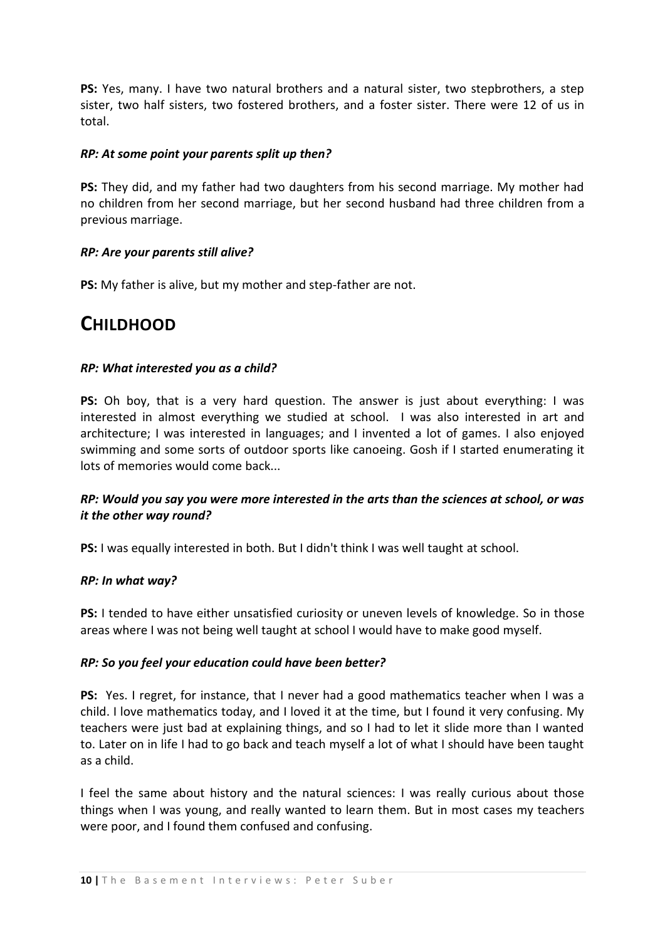**PS:** Yes, many. I have two natural brothers and a natural sister, two stepbrothers, a step sister, two half sisters, two fostered brothers, and a foster sister. There were 12 of us in total.

#### *RP: At some point your parents split up then?*

**PS:** They did, and my father had two daughters from his second marriage. My mother had no children from her second marriage, but her second husband had three children from a previous marriage.

### *RP: Are your parents still alive?*

<span id="page-9-0"></span>**PS:** My father is alive, but my mother and step-father are not.

## **CHILDHOOD**

### *RP: What interested you as a child?*

**PS:** Oh boy, that is a very hard question. The answer is just about everything: I was interested in almost everything we studied at school. I was also interested in art and architecture; I was interested in languages; and I invented a lot of games. I also enjoyed swimming and some sorts of outdoor sports like canoeing. Gosh if I started enumerating it lots of memories would come back...

## *RP: Would you say you were more interested in the arts than the sciences at school, or was it the other way round?*

**PS:** I was equally interested in both. But I didn't think I was well taught at school.

#### *RP: In what way?*

**PS:** I tended to have either unsatisfied curiosity or uneven levels of knowledge. So in those areas where I was not being well taught at school I would have to make good myself.

#### *RP: So you feel your education could have been better?*

**PS:** Yes. I regret, for instance, that I never had a good mathematics teacher when I was a child. I love mathematics today, and I loved it at the time, but I found it very confusing. My teachers were just bad at explaining things, and so I had to let it slide more than I wanted to. Later on in life I had to go back and teach myself a lot of what I should have been taught as a child.

I feel the same about history and the natural sciences: I was really curious about those things when I was young, and really wanted to learn them. But in most cases my teachers were poor, and I found them confused and confusing.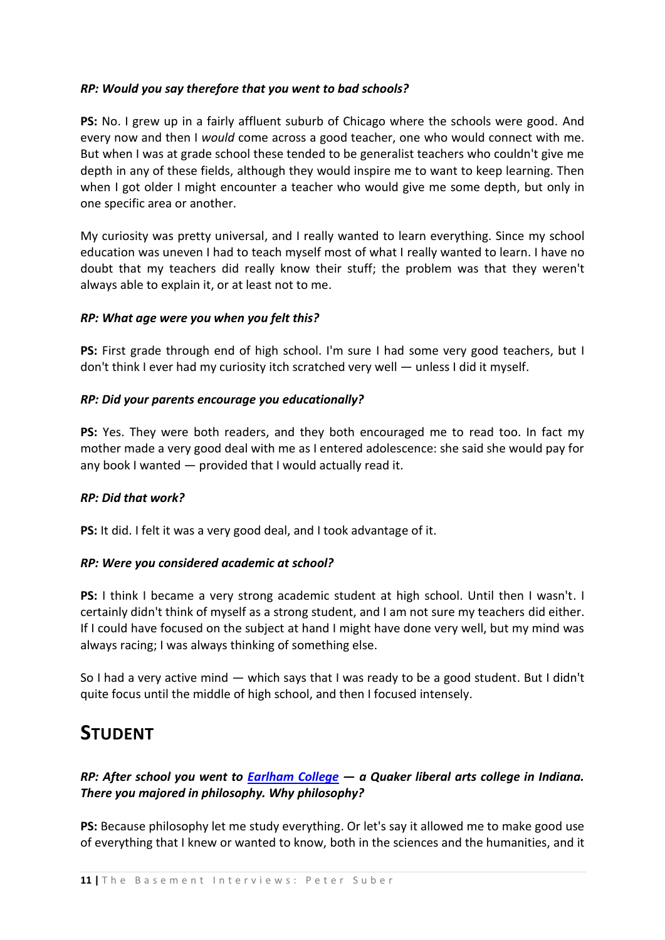## *RP: Would you say therefore that you went to bad schools?*

**PS:** No. I grew up in a fairly affluent suburb of Chicago where the schools were good. And every now and then I *would* come across a good teacher, one who would connect with me. But when I was at grade school these tended to be generalist teachers who couldn't give me depth in any of these fields, although they would inspire me to want to keep learning. Then when I got older I might encounter a teacher who would give me some depth, but only in one specific area or another.

My curiosity was pretty universal, and I really wanted to learn everything. Since my school education was uneven I had to teach myself most of what I really wanted to learn. I have no doubt that my teachers did really know their stuff; the problem was that they weren't always able to explain it, or at least not to me.

#### *RP: What age were you when you felt this?*

**PS:** First grade through end of high school. I'm sure I had some very good teachers, but I don't think I ever had my curiosity itch scratched very well — unless I did it myself.

#### *RP: Did your parents encourage you educationally?*

**PS:** Yes. They were both readers, and they both encouraged me to read too. In fact my mother made a very good deal with me as I entered adolescence: she said she would pay for any book I wanted — provided that I would actually read it.

#### *RP: Did that work?*

**PS:** It did. I felt it was a very good deal, and I took advantage of it.

#### *RP: Were you considered academic at school?*

**PS:** I think I became a very strong academic student at high school. Until then I wasn't. I certainly didn't think of myself as a strong student, and I am not sure my teachers did either. If I could have focused on the subject at hand I might have done very well, but my mind was always racing; I was always thinking of something else.

So I had a very active mind — which says that I was ready to be a good student. But I didn't quite focus until the middle of high school, and then I focused intensely.

## <span id="page-10-0"></span>**STUDENT**

## *RP: After school you went to [Earlham College](http://en.wikipedia.org/wiki/Earlham_College) — a Quaker liberal arts college in Indiana. There you majored in philosophy. Why philosophy?*

**PS:** Because philosophy let me study everything. Or let's say it allowed me to make good use of everything that I knew or wanted to know, both in the sciences and the humanities, and it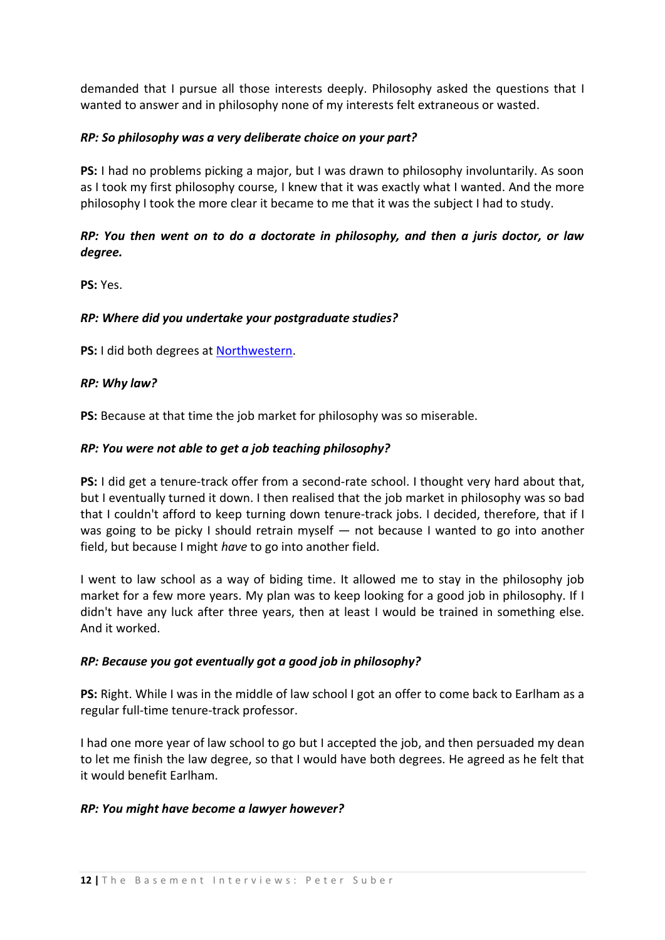demanded that I pursue all those interests deeply. Philosophy asked the questions that I wanted to answer and in philosophy none of my interests felt extraneous or wasted.

## *RP: So philosophy was a very deliberate choice on your part?*

**PS:** I had no problems picking a major, but I was drawn to philosophy involuntarily. As soon as I took my first philosophy course, I knew that it was exactly what I wanted. And the more philosophy I took the more clear it became to me that it was the subject I had to study.

## *RP: You then went on to do a doctorate in philosophy, and then a juris doctor, or law degree.*

**PS:** Yes.

#### *RP: Where did you undertake your postgraduate studies?*

**PS:** I did both degrees at [Northwestern.](http://www.northwestern.edu/)

#### *RP: Why law?*

**PS:** Because at that time the job market for philosophy was so miserable.

### *RP: You were not able to get a job teaching philosophy?*

**PS:** I did get a tenure-track offer from a second-rate school. I thought very hard about that, but I eventually turned it down. I then realised that the job market in philosophy was so bad that I couldn't afford to keep turning down tenure-track jobs. I decided, therefore, that if I was going to be picky I should retrain myself – not because I wanted to go into another field, but because I might *have* to go into another field.

I went to law school as a way of biding time. It allowed me to stay in the philosophy job market for a few more years. My plan was to keep looking for a good job in philosophy. If I didn't have any luck after three years, then at least I would be trained in something else. And it worked.

#### *RP: Because you got eventually got a good job in philosophy?*

**PS:** Right. While I was in the middle of law school I got an offer to come back to Earlham as a regular full-time tenure-track professor.

I had one more year of law school to go but I accepted the job, and then persuaded my dean to let me finish the law degree, so that I would have both degrees. He agreed as he felt that it would benefit Earlham.

#### *RP: You might have become a lawyer however?*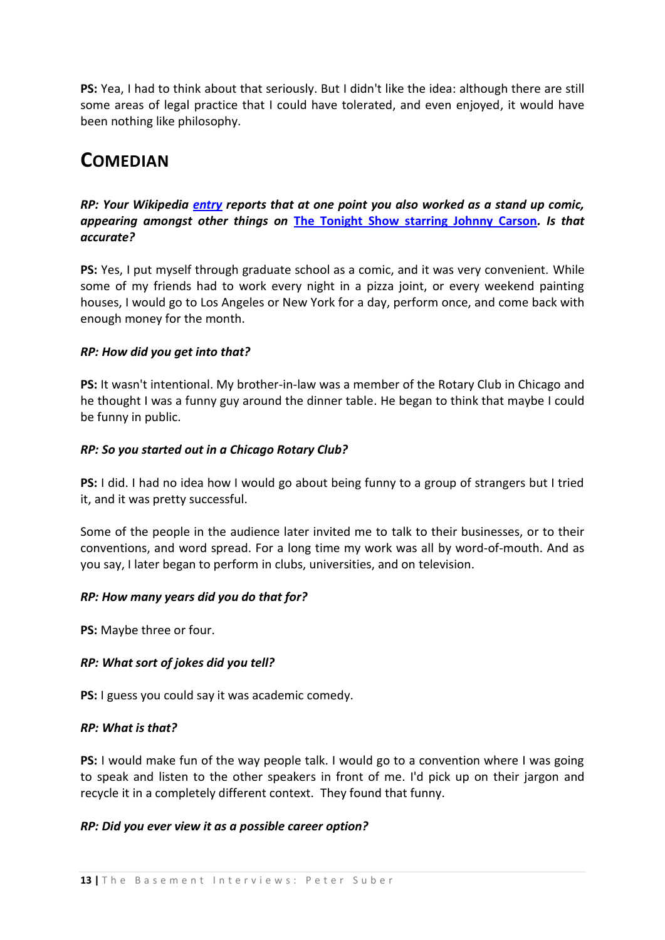**PS:** Yea, I had to think about that seriously. But I didn't like the idea: although there are still some areas of legal practice that I could have tolerated, and even enjoyed, it would have been nothing like philosophy.

# <span id="page-12-0"></span>**COMEDIAN**

## *RP: Your Wikipedia [entry](http://en.wikipedia.org/wiki/Peter_Suber) reports that at one point you also worked as a stand up comic, appearing amongst other things on* **[The Tonight Show starring Johnny Carson](http://en.wikipedia.org/wiki/The_Tonight_Show_Starring_Johnny_Carson)***. Is that accurate?*

**PS:** Yes, I put myself through graduate school as a comic, and it was very convenient. While some of my friends had to work every night in a pizza joint, or every weekend painting houses, I would go to Los Angeles or New York for a day, perform once, and come back with enough money for the month.

## *RP: How did you get into that?*

**PS:** It wasn't intentional. My brother-in-law was a member of the Rotary Club in Chicago and he thought I was a funny guy around the dinner table. He began to think that maybe I could be funny in public.

### *RP: So you started out in a Chicago Rotary Club?*

**PS:** I did. I had no idea how I would go about being funny to a group of strangers but I tried it, and it was pretty successful.

Some of the people in the audience later invited me to talk to their businesses, or to their conventions, and word spread. For a long time my work was all by word-of-mouth. And as you say, I later began to perform in clubs, universities, and on television.

#### *RP: How many years did you do that for?*

**PS:** Maybe three or four.

#### *RP: What sort of jokes did you tell?*

**PS:** I guess you could say it was academic comedy.

#### *RP: What is that?*

**PS:** I would make fun of the way people talk. I would go to a convention where I was going to speak and listen to the other speakers in front of me. I'd pick up on their jargon and recycle it in a completely different context. They found that funny.

#### *RP: Did you ever view it as a possible career option?*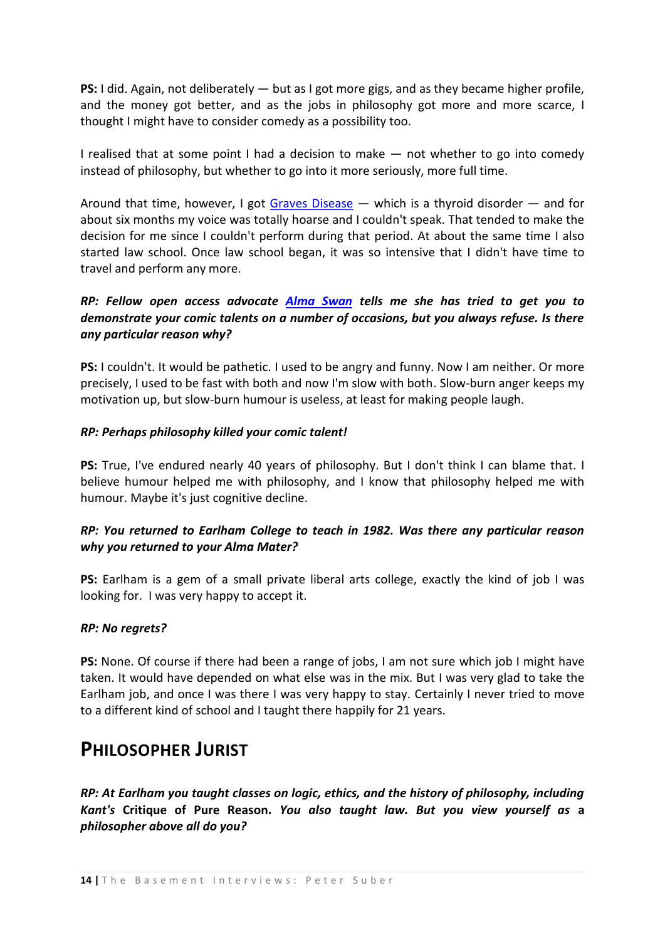**PS:** I did. Again, not deliberately — but as I got more gigs, and as they became higher profile, and the money got better, and as the jobs in philosophy got more and more scarce, I thought I might have to consider comedy as a possibility too.

I realised that at some point I had a decision to make — not whether to go into comedy instead of philosophy, but whether to go into it more seriously, more full time.

Around that time, however, I got [Graves Disease](http://en.wikipedia.org/wiki/Graves_disease) — which is a thyroid disorder — and for about six months my voice was totally hoarse and I couldn't speak. That tended to make the decision for me since I couldn't perform during that period. At about the same time I also started law school. Once law school began, it was so intensive that I didn't have time to travel and perform any more.

## *RP: Fellow open access advocate [Alma Swan](http://www.keyperspectives.co.uk/aboutus/aswan.html) tells me she has tried to get you to demonstrate your comic talents on a number of occasions, but you always refuse. Is there any particular reason why?*

**PS:** I couldn't. It would be pathetic. I used to be angry and funny. Now I am neither. Or more precisely, I used to be fast with both and now I'm slow with both. Slow-burn anger keeps my motivation up, but slow-burn humour is useless, at least for making people laugh.

### *RP: Perhaps philosophy killed your comic talent!*

PS: True, I've endured nearly 40 years of philosophy. But I don't think I can blame that. I believe humour helped me with philosophy, and I know that philosophy helped me with humour. Maybe it's just cognitive decline.

## *RP: You returned to Earlham College to teach in 1982. Was there any particular reason why you returned to your Alma Mater?*

**PS:** Earlham is a gem of a small private liberal arts college, exactly the kind of job I was looking for. I was very happy to accept it.

#### *RP: No regrets?*

**PS:** None. Of course if there had been a range of jobs, I am not sure which job I might have taken. It would have depended on what else was in the mix. But I was very glad to take the Earlham job, and once I was there I was very happy to stay. Certainly I never tried to move to a different kind of school and I taught there happily for 21 years.

## <span id="page-13-0"></span>**PHILOSOPHER JURIST**

*RP: At Earlham you taught classes on logic, ethics, and the history of philosophy, including Kant's* **Critique of Pure Reason.** *You also taught law. But you view yourself as* **a**  *philosopher above all do you?*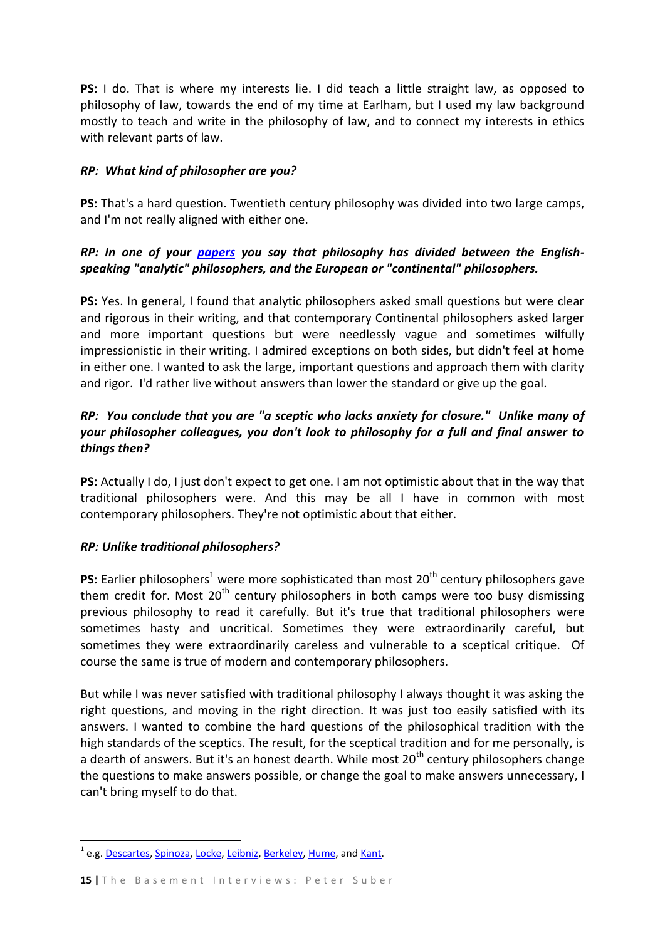**PS:** I do. That is where my interests lie. I did teach a little straight law, as opposed to philosophy of law, towards the end of my time at Earlham, but I used my law background mostly to teach and write in the philosophy of law, and to connect my interests in ethics with relevant parts of law.

### *RP: What kind of philosopher are you?*

**PS:** That's a hard question. Twentieth century philosophy was divided into two large camps, and I'm not really aligned with either one.

## *RP: In one of your [papers](http://www.earlham.edu/~peters/writing/endphilo.htm) you say that philosophy has divided between the Englishspeaking "analytic" philosophers, and the European or "continental" philosophers.*

**PS:** Yes. In general, I found that analytic philosophers asked small questions but were clear and rigorous in their writing, and that contemporary Continental philosophers asked larger and more important questions but were needlessly vague and sometimes wilfully impressionistic in their writing. I admired exceptions on both sides, but didn't feel at home in either one. I wanted to ask the large, important questions and approach them with clarity and rigor. I'd rather live without answers than lower the standard or give up the goal.

## *RP: You conclude that you are "a sceptic who lacks anxiety for closure." Unlike many of your philosopher colleagues, you don't look to philosophy for a full and final answer to things then?*

**PS:** Actually I do, I just don't expect to get one. I am not optimistic about that in the way that traditional philosophers were. And this may be all I have in common with most contemporary philosophers. They're not optimistic about that either.

## *RP: Unlike traditional philosophers?*

**PS:** Earlier philosophers<sup>1</sup> were more sophisticated than most 20<sup>th</sup> century philosophers gave them credit for. Most  $20<sup>th</sup>$  century philosophers in both camps were too busy dismissing previous philosophy to read it carefully. But it's true that traditional philosophers were sometimes hasty and uncritical. Sometimes they were extraordinarily careful, but sometimes they were extraordinarily careless and vulnerable to a sceptical critique. Of course the same is true of modern and contemporary philosophers.

But while I was never satisfied with traditional philosophy I always thought it was asking the right questions, and moving in the right direction. It was just too easily satisfied with its answers. I wanted to combine the hard questions of the philosophical tradition with the high standards of the sceptics. The result, for the sceptical tradition and for me personally, is a dearth of answers. But it's an honest dearth. While most  $20<sup>th</sup>$  century philosophers change the questions to make answers possible, or change the goal to make answers unnecessary, I can't bring myself to do that.

1

<sup>&</sup>lt;sup>1</sup> e.g. <u>Descartes</u>, [Spinoza,](http://en.wikipedia.org/wiki/Spinoza) [Locke,](http://en.wikipedia.org/wiki/John_locke) [Leibniz,](http://en.wikipedia.org/wiki/Gottfried_Leibniz) [Berkeley,](http://en.wikipedia.org/wiki/George_Berkeley) [Hume,](http://en.wikipedia.org/wiki/David_Hume) and <u>Kant</u>.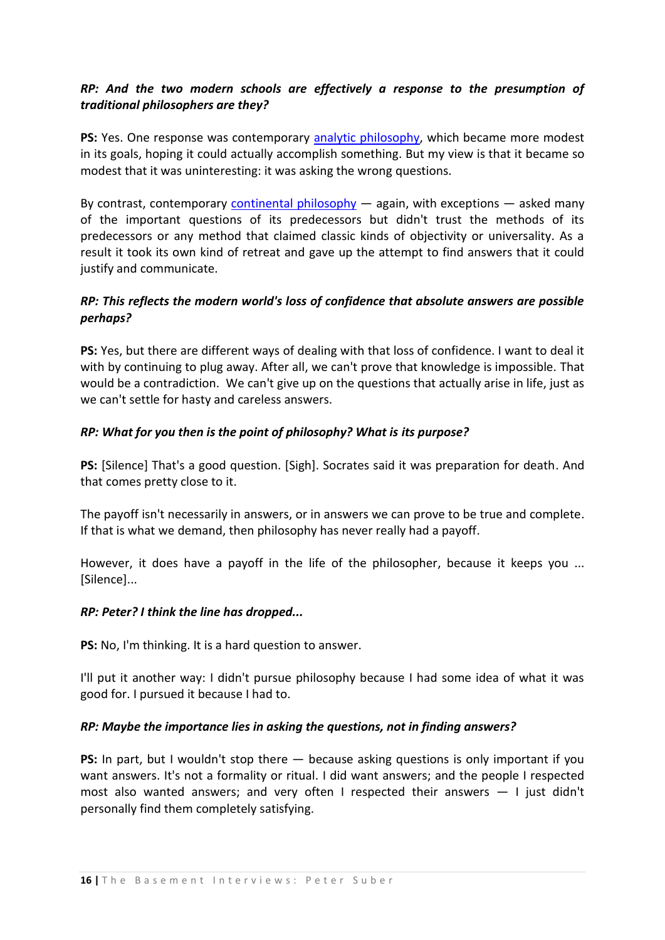## *RP: And the two modern schools are effectively a response to the presumption of traditional philosophers are they?*

PS: Yes. One response was contemporary [analytic philosophy,](http://en.wikipedia.org/wiki/Analytic_philosophy) which became more modest in its goals, hoping it could actually accomplish something. But my view is that it became so modest that it was uninteresting: it was asking the wrong questions.

By contrast, contemporary [continental philosophy](http://en.wikipedia.org/wiki/Continental_philosophy)  $-$  again, with exceptions  $-$  asked many of the important questions of its predecessors but didn't trust the methods of its predecessors or any method that claimed classic kinds of objectivity or universality. As a result it took its own kind of retreat and gave up the attempt to find answers that it could justify and communicate.

## *RP: This reflects the modern world's loss of confidence that absolute answers are possible perhaps?*

**PS:** Yes, but there are different ways of dealing with that loss of confidence. I want to deal it with by continuing to plug away. After all, we can't prove that knowledge is impossible. That would be a contradiction. We can't give up on the questions that actually arise in life, just as we can't settle for hasty and careless answers.

### *RP: What for you then is the point of philosophy? What is its purpose?*

**PS:** [Silence] That's a good question. [Sigh]. Socrates said it was preparation for death. And that comes pretty close to it.

The payoff isn't necessarily in answers, or in answers we can prove to be true and complete. If that is what we demand, then philosophy has never really had a payoff.

However, it does have a payoff in the life of the philosopher, because it keeps you ... [Silence]...

#### *RP: Peter? I think the line has dropped...*

**PS:** No, I'm thinking. It is a hard question to answer.

I'll put it another way: I didn't pursue philosophy because I had some idea of what it was good for. I pursued it because I had to.

#### *RP: Maybe the importance lies in asking the questions, not in finding answers?*

**PS:** In part, but I wouldn't stop there — because asking questions is only important if you want answers. It's not a formality or ritual. I did want answers; and the people I respected most also wanted answers; and very often I respected their answers — I just didn't personally find them completely satisfying.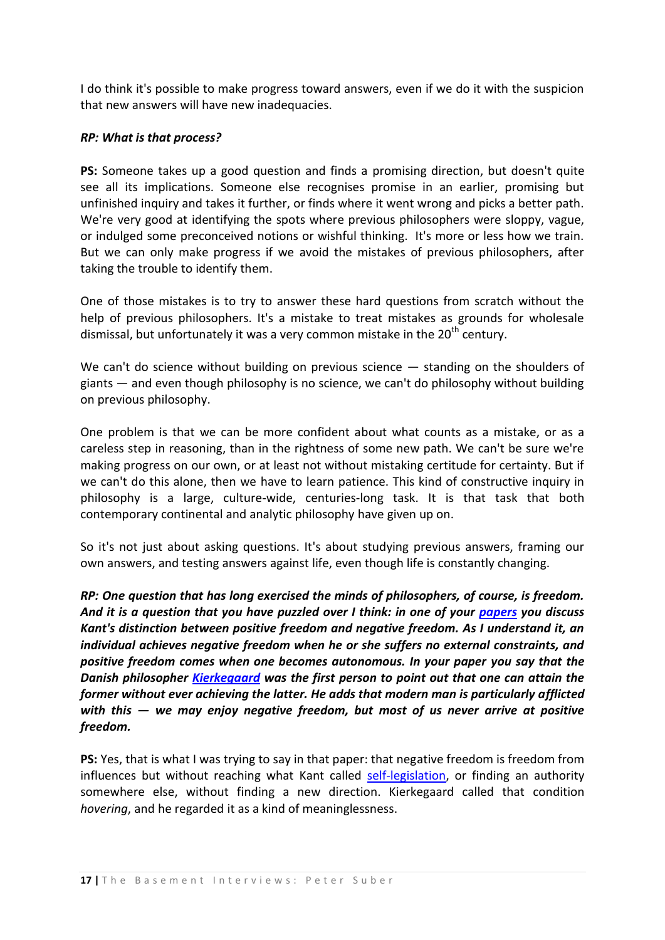I do think it's possible to make progress toward answers, even if we do it with the suspicion that new answers will have new inadequacies.

#### *RP: What is that process?*

**PS:** Someone takes up a good question and finds a promising direction, but doesn't quite see all its implications. Someone else recognises promise in an earlier, promising but unfinished inquiry and takes it further, or finds where it went wrong and picks a better path. We're very good at identifying the spots where previous philosophers were sloppy, vague, or indulged some preconceived notions or wishful thinking. It's more or less how we train. But we can only make progress if we avoid the mistakes of previous philosophers, after taking the trouble to identify them.

One of those mistakes is to try to answer these hard questions from scratch without the help of previous philosophers. It's a mistake to treat mistakes as grounds for wholesale dismissal, but unfortunately it was a very common mistake in the  $20<sup>th</sup>$  century.

We can't do science without building on previous science — standing on the shoulders of giants — and even though philosophy is no science, we can't do philosophy without building on previous philosophy.

One problem is that we can be more confident about what counts as a mistake, or as a careless step in reasoning, than in the rightness of some new path. We can't be sure we're making progress on our own, or at least not without mistaking certitude for certainty. But if we can't do this alone, then we have to learn patience. This kind of constructive inquiry in philosophy is a large, culture-wide, centuries-long task. It is that task that both contemporary continental and analytic philosophy have given up on.

So it's not just about asking questions. It's about studying previous answers, framing our own answers, and testing answers against life, even though life is constantly changing.

*RP: One question that has long exercised the minds of philosophers, of course, is freedom. And it is a question that you have puzzled over I think: in one of your [papers](http://www.earlham.edu/~peters/writing/liber.htm) you discuss Kant's distinction between positive freedom and negative freedom. As I understand it, an individual achieves negative freedom when he or she suffers no external constraints, and positive freedom comes when one becomes autonomous. In your paper you say that the Danish philosopher [Kierkegaard](http://en.wikipedia.org/wiki/S%C3%B8ren_Kierkegaard) was the first person to point out that one can attain the former without ever achieving the latter. He adds that modern man is particularly afflicted with this — we may enjoy negative freedom, but most of us never arrive at positive freedom.*

**PS:** Yes, that is what I was trying to say in that paper: that negative freedom is freedom from influences but without reaching what Kant called [self-legislation,](http://www.atypon-link.com/WDG/doi/abs/10.1515/agph.2004.86.3.257) or finding an authority somewhere else, without finding a new direction. Kierkegaard called that condition *hovering*, and he regarded it as a kind of meaninglessness.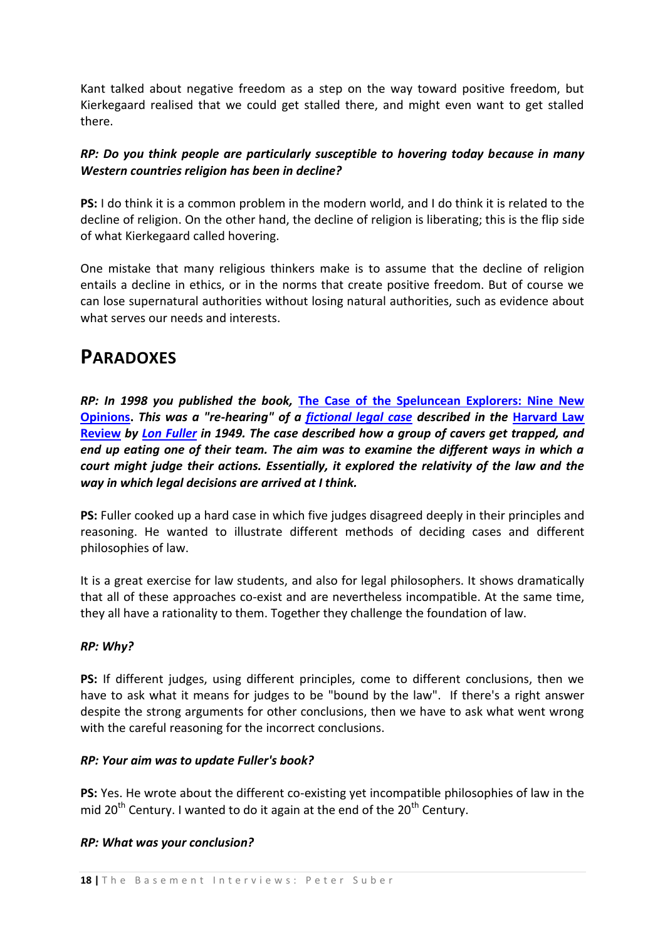Kant talked about negative freedom as a step on the way toward positive freedom, but Kierkegaard realised that we could get stalled there, and might even want to get stalled there.

## *RP: Do you think people are particularly susceptible to hovering today because in many Western countries religion has been in decline?*

**PS:** I do think it is a common problem in the modern world, and I do think it is related to the decline of religion. On the other hand, the decline of religion is liberating; this is the flip side of what Kierkegaard called hovering.

One mistake that many religious thinkers make is to assume that the decline of religion entails a decline in ethics, or in the norms that create positive freedom. But of course we can lose supernatural authorities without losing natural authorities, such as evidence about what serves our needs and interests.

# <span id="page-17-0"></span>**PARADOXES**

*RP: In 1998 you published the book,* **[The Case of the Speluncean Explorers: Nine New](http://www.earlham.edu/~peters/writing/cse.htm)  [Opinions.](http://www.earlham.edu/~peters/writing/cse.htm)** *This was a "re-hearing" of a [fictional legal case](http://en.wikipedia.org/wiki/The_Case_of_the_Speluncean_Explorers) described in the* **[Harvard Law](http://en.wikipedia.org/wiki/Harvard_Law_Review)  [Review](http://en.wikipedia.org/wiki/Harvard_Law_Review)** *by [Lon Fuller](http://en.wikipedia.org/wiki/Lon_L._Fuller) in 1949. The case described how a group of cavers get trapped, and end up eating one of their team. The aim was to examine the different ways in which a court might judge their actions. Essentially, it explored the relativity of the law and the way in which legal decisions are arrived at I think.*

**PS:** Fuller cooked up a hard case in which five judges disagreed deeply in their principles and reasoning. He wanted to illustrate different methods of deciding cases and different philosophies of law.

It is a great exercise for law students, and also for legal philosophers. It shows dramatically that all of these approaches co-exist and are nevertheless incompatible. At the same time, they all have a rationality to them. Together they challenge the foundation of law.

## *RP: Why?*

**PS:** If different judges, using different principles, come to different conclusions, then we have to ask what it means for judges to be "bound by the law". If there's a right answer despite the strong arguments for other conclusions, then we have to ask what went wrong with the careful reasoning for the incorrect conclusions.

## *RP: Your aim was to update Fuller's book?*

**PS:** Yes. He wrote about the different co-existing yet incompatible philosophies of law in the mid 20<sup>th</sup> Century. I wanted to do it again at the end of the 20<sup>th</sup> Century.

## *RP: What was your conclusion?*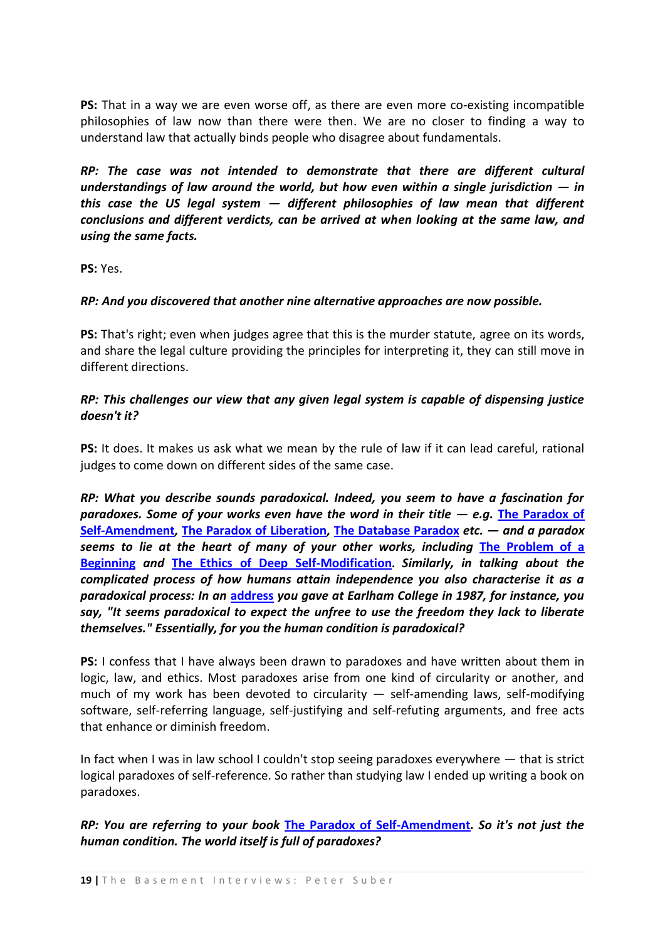**PS:** That in a way we are even worse off, as there are even more co-existing incompatible philosophies of law now than there were then. We are no closer to finding a way to understand law that actually binds people who disagree about fundamentals.

*RP: The case was not intended to demonstrate that there are different cultural understandings of law around the world, but how even within a single jurisdiction*  $-$  *in this case the US legal system — different philosophies of law mean that different conclusions and different verdicts, can be arrived at when looking at the same law, and using the same facts.*

**PS:** Yes.

### *RP: And you discovered that another nine alternative approaches are now possible.*

**PS:** That's right; even when judges agree that this is the murder statute, agree on its words, and share the legal culture providing the principles for interpreting it, they can still move in different directions.

## *RP: This challenges our view that any given legal system is capable of dispensing justice doesn't it?*

**PS:** It does. It makes us ask what we mean by the rule of law if it can lead careful, rational judges to come down on different sides of the same case.

*RP: What you describe sounds paradoxical. Indeed, you seem to have a fascination for paradoxes. Some of your works even have the word in their title — e.g.* **[The Paradox of](http://www.earlham.edu/~peters/writing/psa/index.htm)  [Self-Amendment](http://www.earlham.edu/~peters/writing/psa/index.htm)***,* **[The Paradox of Liberation](http://www.earlham.edu/~peters/writing/liber.htm)***,* **[The Database Paradox](http://www.earlham.edu/~peters/writing/teachtec.htm)** *etc. — and a paradox seems to lie at the heart of many of your other works, including* **[The Problem of a](http://www.earlham.edu/~peters/writing/begin.htm)  [Beginning](http://www.earlham.edu/~peters/writing/begin.htm)** *and* **[The Ethics of Deep Self-Modification](http://www.earlham.edu/~peters/writing/selfmod.htm).** *Similarly, in talking about the complicated process of how humans attain independence you also characterise it as a paradoxical process: In an* **[address](http://www.earlham.edu/~peters/writing/bacc1.htm)** *you gave at Earlham College in 1987, for instance, you say, "It seems paradoxical to expect the unfree to use the freedom they lack to liberate themselves." Essentially, for you the human condition is paradoxical?*

**PS:** I confess that I have always been drawn to paradoxes and have written about them in logic, law, and ethics. Most paradoxes arise from one kind of circularity or another, and much of my work has been devoted to circularity  $-$  self-amending laws, self-modifying software, self-referring language, self-justifying and self-refuting arguments, and free acts that enhance or diminish freedom.

In fact when I was in law school I couldn't stop seeing paradoxes everywhere — that is strict logical paradoxes of self-reference. So rather than studying law I ended up writing a book on paradoxes.

*RP: You are referring to your book* **[The Paradox of Self-Amendment](http://www.earlham.edu/~peters/writing/psa/index.htm)***. So it's not just the human condition. The world itself is full of paradoxes?*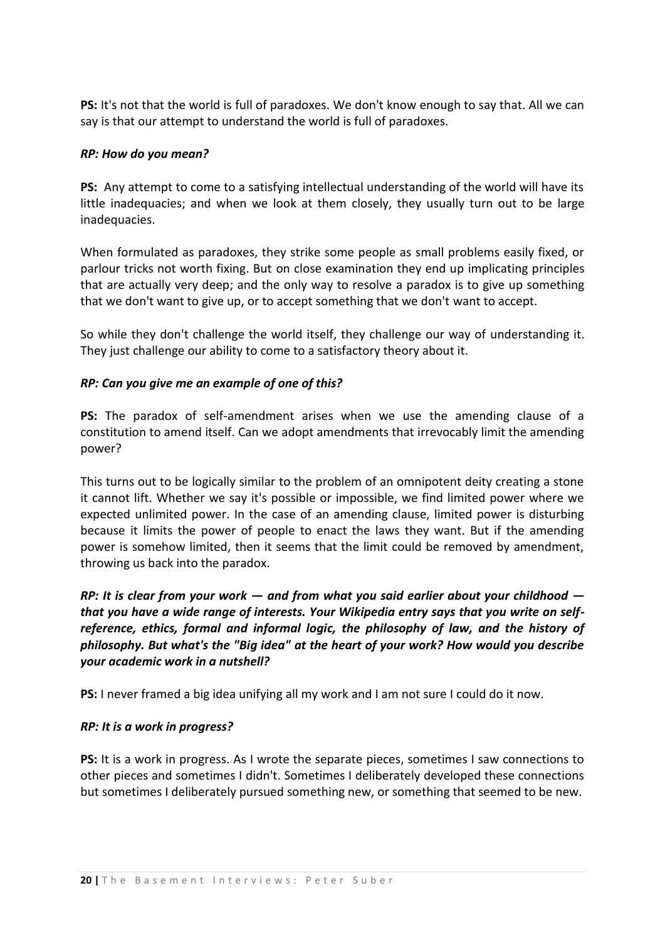**PS:** It's not that the world is full of paradoxes. We don't know enough to say that. All we can say is that our attempt to understand the world is full of paradoxes.

#### *RP: How do you mean?*

**PS:** Any attempt to come to a satisfying intellectual understanding of the world will have its little inadequacies; and when we look at them closely, they usually turn out to be large inadequacies.

When formulated as paradoxes, they strike some people as small problems easily fixed, or parlour tricks not worth fixing. But on close examination they end up implicating principles that are actually very deep; and the only way to resolve a paradox is to give up something that we don't want to give up, or to accept something that we don't want to accept.

So while they don't challenge the world itself, they challenge our way of understanding it. They just challenge our ability to come to a satisfactory theory about it.

### *RP: Can you give me an example of one of this?*

**PS:** The paradox of self-amendment arises when we use the amending clause of a constitution to amend itself. Can we adopt amendments that irrevocably limit the amending power?

This turns out to be logically similar to the problem of an omnipotent deity creating a stone it cannot lift. Whether we say it's possible or impossible, we find limited power where we expected unlimited power. In the case of an amending clause, limited power is disturbing because it limits the power of people to enact the laws they want. But if the amending power is somehow limited, then it seems that the limit could be removed by amendment, throwing us back into the paradox.

*RP: It is clear from your work — and from what you said earlier about your childhood that you have a wide range of interests. Your Wikipedia entry says that you write on selfreference, ethics, formal and informal logic, the philosophy of law, and the history of philosophy. But what's the "Big idea" at the heart of your work? How would you describe your academic work in a nutshell?* 

**PS:** I never framed a big idea unifying all my work and I am not sure I could do it now.

#### *RP: It is a work in progress?*

**PS:** It is a work in progress. As I wrote the separate pieces, sometimes I saw connections to other pieces and sometimes I didn't. Sometimes I deliberately developed these connections but sometimes I deliberately pursued something new, or something that seemed to be new.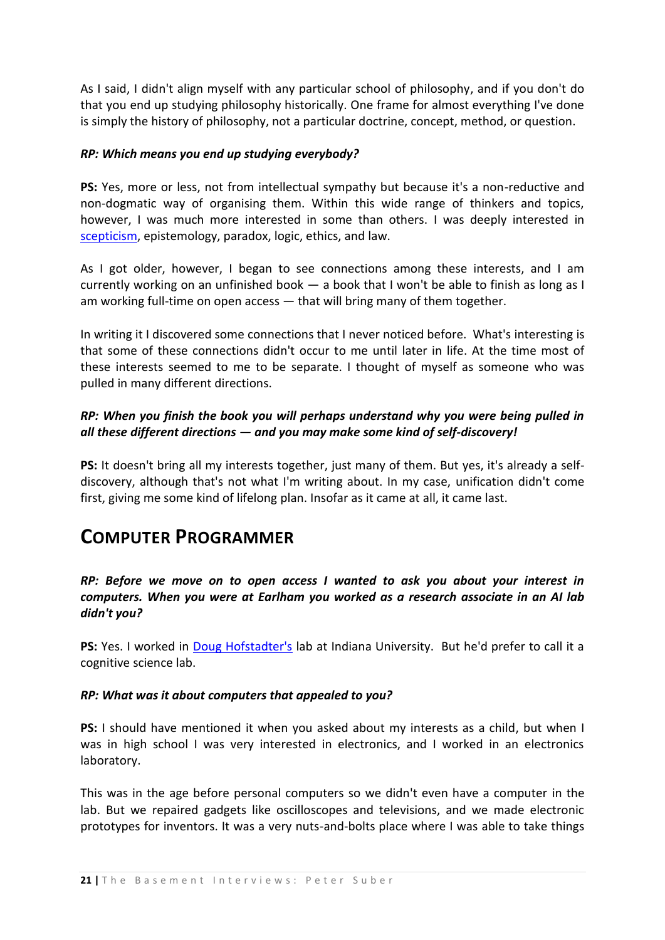As I said, I didn't align myself with any particular school of philosophy, and if you don't do that you end up studying philosophy historically. One frame for almost everything I've done is simply the history of philosophy, not a particular doctrine, concept, method, or question.

#### *RP: Which means you end up studying everybody?*

**PS:** Yes, more or less, not from intellectual sympathy but because it's a non-reductive and non-dogmatic way of organising them. Within this wide range of thinkers and topics, however, I was much more interested in some than others. I was deeply interested in [scepticism,](http://en.wikipedia.org/wiki/Scepticism) epistemology, paradox, logic, ethics, and law.

As I got older, however, I began to see connections among these interests, and I am currently working on an unfinished book — a book that I won't be able to finish as long as I am working full-time on open access — that will bring many of them together.

In writing it I discovered some connections that I never noticed before. What's interesting is that some of these connections didn't occur to me until later in life. At the time most of these interests seemed to me to be separate. I thought of myself as someone who was pulled in many different directions.

## *RP: When you finish the book you will perhaps understand why you were being pulled in all these different directions — and you may make some kind of self-discovery!*

**PS:** It doesn't bring all my interests together, just many of them. But yes, it's already a selfdiscovery, although that's not what I'm writing about. In my case, unification didn't come first, giving me some kind of lifelong plan. Insofar as it came at all, it came last.

# <span id="page-20-0"></span>**COMPUTER PROGRAMMER**

## *RP: Before we move on to open access I wanted to ask you about your interest in computers. When you were at Earlham you worked as a research associate in an AI lab didn't you?*

PS: Yes. I worked in [Doug Hofstadter's](http://en.wikipedia.org/wiki/Douglas_Hofstadter) lab at Indiana University. But he'd prefer to call it a cognitive science lab.

#### *RP: What was it about computers that appealed to you?*

**PS:** I should have mentioned it when you asked about my interests as a child, but when I was in high school I was very interested in electronics, and I worked in an electronics laboratory.

This was in the age before personal computers so we didn't even have a computer in the lab. But we repaired gadgets like oscilloscopes and televisions, and we made electronic prototypes for inventors. It was a very nuts-and-bolts place where I was able to take things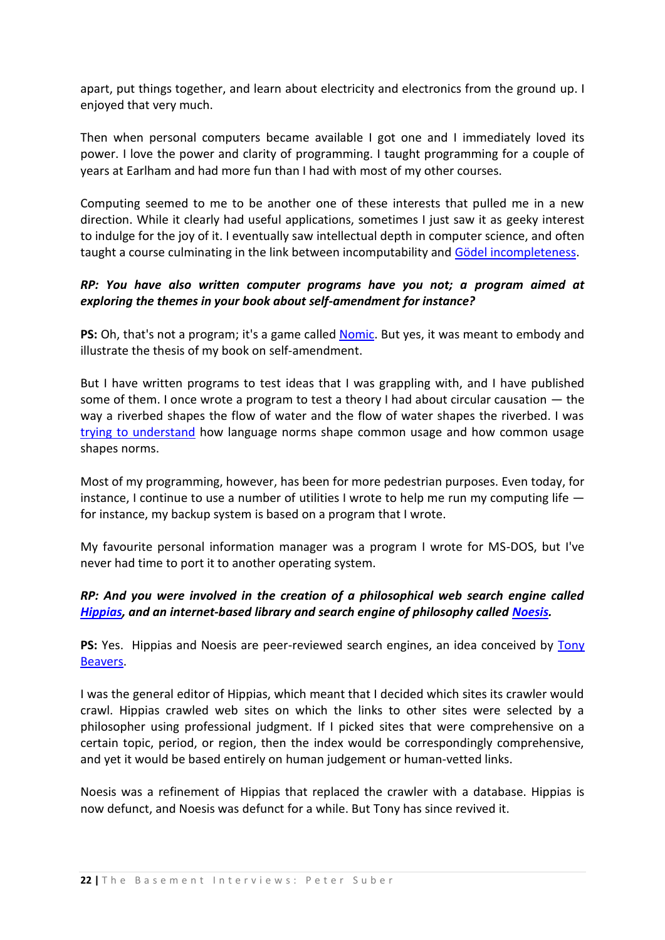apart, put things together, and learn about electricity and electronics from the ground up. I enjoyed that very much.

Then when personal computers became available I got one and I immediately loved its power. I love the power and clarity of programming. I taught programming for a couple of years at Earlham and had more fun than I had with most of my other courses.

Computing seemed to me to be another one of these interests that pulled me in a new direction. While it clearly had useful applications, sometimes I just saw it as geeky interest to indulge for the joy of it. I eventually saw intellectual depth in computer science, and often taught a course culminating in the link between incomputability and [Gödel incompleteness.](http://en.wikipedia.org/wiki/G%C3%B6del%27s_incompleteness_theorems)

## *RP: You have also written computer programs have you not; a program aimed at exploring the themes in your book about self-amendment for instance?*

**PS:** Oh, that's not a program; it's a game called [Nomic.](http://www.earlham.edu/~peters/nomic.htm) But yes, it was meant to embody and illustrate the thesis of my book on self-amendment.

But I have written programs to test ideas that I was grappling with, and I have published some of them. I once wrote a program to test a theory I had about circular causation — the way a riverbed shapes the flow of water and the flow of water shapes the riverbed. I was [trying to understand](http://www.earlham.edu/~peters/writing/freiburg.htm) how language norms shape common usage and how common usage shapes norms.

Most of my programming, however, has been for more pedestrian purposes. Even today, for instance, I continue to use a number of utilities I wrote to help me run my computing life for instance, my backup system is based on a program that I wrote.

My favourite personal information manager was a program I wrote for MS-DOS, but I've never had time to port it to another operating system.

## *RP: And you were involved in the creation of a philosophical web search engine called [Hippias,](http://www.earlham.edu/~peters/philinks.htm#hippias) and an internet-based library and search engine of philosophy called [Noesis.](http://noesis.evansville.edu/cse)*

**PS:** Yes. Hippias and Noesis are peer-reviewed search engines, an idea conceived by [Tony](http://faculty.evansville.edu/tb2/)  [Beavers.](http://faculty.evansville.edu/tb2/)

I was the general editor of Hippias, which meant that I decided which sites its crawler would crawl. Hippias crawled web sites on which the links to other sites were selected by a philosopher using professional judgment. If I picked sites that were comprehensive on a certain topic, period, or region, then the index would be correspondingly comprehensive, and yet it would be based entirely on human judgement or human-vetted links.

Noesis was a refinement of Hippias that replaced the crawler with a database. Hippias is now defunct, and Noesis was defunct for a while. But Tony has since revived it.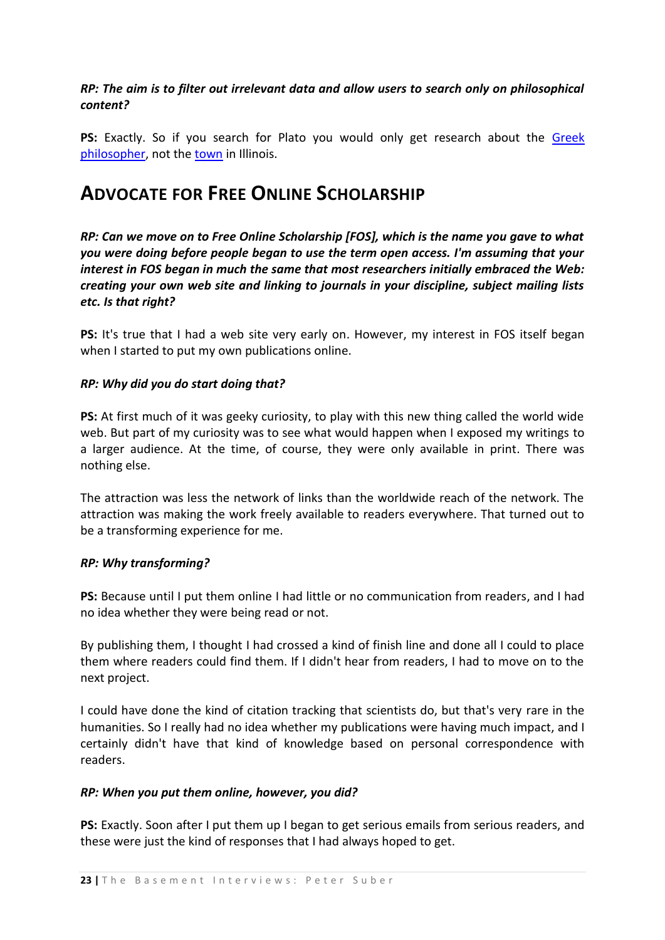## *RP: The aim is to filter out irrelevant data and allow users to search only on philosophical content?*

PS: Exactly. So if you search for Plato you would only get research about the Greek [philosopher,](http://en.wikipedia.org/wiki/Plato) not the [town](http://www.city-data.com/township/Plato-Kane-IL.html) in Illinois.

## <span id="page-22-0"></span>**ADVOCATE FOR FREE ONLINE SCHOLARSHIP**

*RP: Can we move on to Free Online Scholarship [FOS], which is the name you gave to what you were doing before people began to use the term open access. I'm assuming that your interest in FOS began in much the same that most researchers initially embraced the Web: creating your own web site and linking to journals in your discipline, subject mailing lists etc. Is that right?* 

**PS:** It's true that I had a web site very early on. However, my interest in FOS itself began when I started to put my own publications online.

### *RP: Why did you do start doing that?*

**PS:** At first much of it was geeky curiosity, to play with this new thing called the world wide web. But part of my curiosity was to see what would happen when I exposed my writings to a larger audience. At the time, of course, they were only available in print. There was nothing else.

The attraction was less the network of links than the worldwide reach of the network. The attraction was making the work freely available to readers everywhere. That turned out to be a transforming experience for me.

#### *RP: Why transforming?*

**PS:** Because until I put them online I had little or no communication from readers, and I had no idea whether they were being read or not.

By publishing them, I thought I had crossed a kind of finish line and done all I could to place them where readers could find them. If I didn't hear from readers, I had to move on to the next project.

I could have done the kind of citation tracking that scientists do, but that's very rare in the humanities. So I really had no idea whether my publications were having much impact, and I certainly didn't have that kind of knowledge based on personal correspondence with readers.

## *RP: When you put them online, however, you did?*

**PS:** Exactly. Soon after I put them up I began to get serious emails from serious readers, and these were just the kind of responses that I had always hoped to get.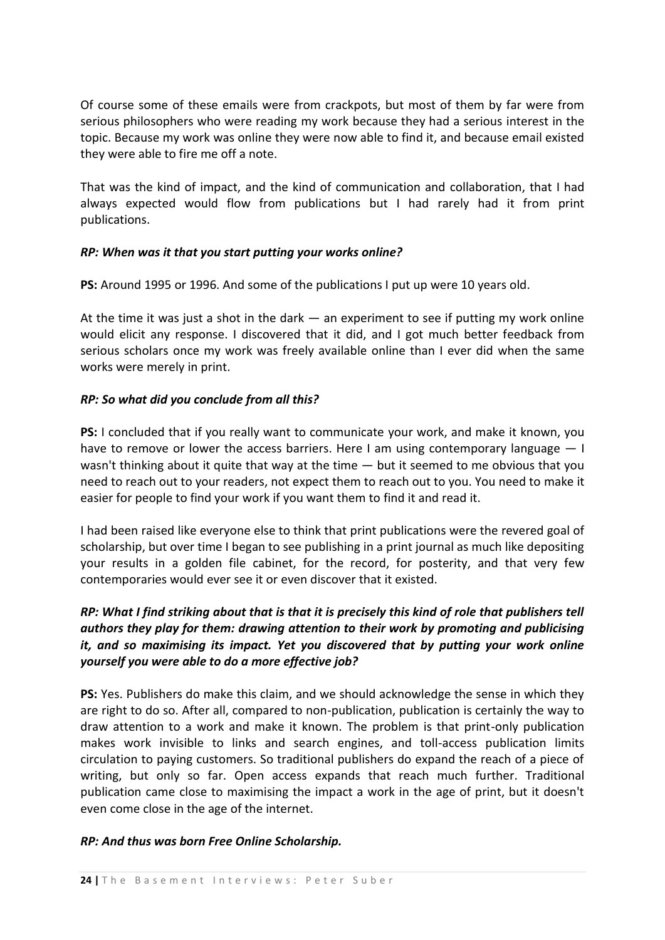Of course some of these emails were from crackpots, but most of them by far were from serious philosophers who were reading my work because they had a serious interest in the topic. Because my work was online they were now able to find it, and because email existed they were able to fire me off a note.

That was the kind of impact, and the kind of communication and collaboration, that I had always expected would flow from publications but I had rarely had it from print publications.

## *RP: When was it that you start putting your works online?*

**PS:** Around 1995 or 1996. And some of the publications I put up were 10 years old.

At the time it was just a shot in the dark — an experiment to see if putting my work online would elicit any response. I discovered that it did, and I got much better feedback from serious scholars once my work was freely available online than I ever did when the same works were merely in print.

### *RP: So what did you conclude from all this?*

**PS:** I concluded that if you really want to communicate your work, and make it known, you have to remove or lower the access barriers. Here I am using contemporary language - I wasn't thinking about it quite that way at the time  $-$  but it seemed to me obvious that you need to reach out to your readers, not expect them to reach out to you. You need to make it easier for people to find your work if you want them to find it and read it.

I had been raised like everyone else to think that print publications were the revered goal of scholarship, but over time I began to see publishing in a print journal as much like depositing your results in a golden file cabinet, for the record, for posterity, and that very few contemporaries would ever see it or even discover that it existed.

## *RP: What I find striking about that is that it is precisely this kind of role that publishers tell authors they play for them: drawing attention to their work by promoting and publicising it, and so maximising its impact. Yet you discovered that by putting your work online yourself you were able to do a more effective job?*

**PS:** Yes. Publishers do make this claim, and we should acknowledge the sense in which they are right to do so. After all, compared to non-publication, publication is certainly the way to draw attention to a work and make it known. The problem is that print-only publication makes work invisible to links and search engines, and toll-access publication limits circulation to paying customers. So traditional publishers do expand the reach of a piece of writing, but only so far. Open access expands that reach much further. Traditional publication came close to maximising the impact a work in the age of print, but it doesn't even come close in the age of the internet.

#### *RP: And thus was born Free Online Scholarship.*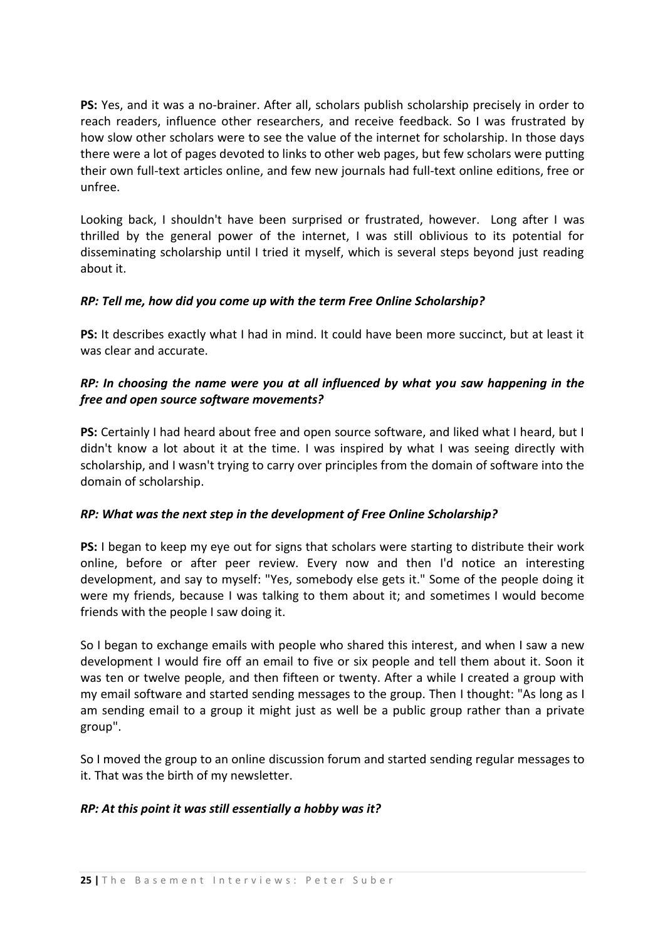**PS:** Yes, and it was a no-brainer. After all, scholars publish scholarship precisely in order to reach readers, influence other researchers, and receive feedback. So I was frustrated by how slow other scholars were to see the value of the internet for scholarship. In those days there were a lot of pages devoted to links to other web pages, but few scholars were putting their own full-text articles online, and few new journals had full-text online editions, free or unfree.

Looking back, I shouldn't have been surprised or frustrated, however. Long after I was thrilled by the general power of the internet, I was still oblivious to its potential for disseminating scholarship until I tried it myself, which is several steps beyond just reading about it.

### *RP: Tell me, how did you come up with the term Free Online Scholarship?*

**PS:** It describes exactly what I had in mind. It could have been more succinct, but at least it was clear and accurate.

## *RP: In choosing the name were you at all influenced by what you saw happening in the free and open source software movements?*

**PS:** Certainly I had heard about free and open source software, and liked what I heard, but I didn't know a lot about it at the time. I was inspired by what I was seeing directly with scholarship, and I wasn't trying to carry over principles from the domain of software into the domain of scholarship.

#### *RP: What was the next step in the development of Free Online Scholarship?*

**PS:** I began to keep my eye out for signs that scholars were starting to distribute their work online, before or after peer review. Every now and then I'd notice an interesting development, and say to myself: "Yes, somebody else gets it." Some of the people doing it were my friends, because I was talking to them about it; and sometimes I would become friends with the people I saw doing it.

So I began to exchange emails with people who shared this interest, and when I saw a new development I would fire off an email to five or six people and tell them about it. Soon it was ten or twelve people, and then fifteen or twenty. After a while I created a group with my email software and started sending messages to the group. Then I thought: "As long as I am sending email to a group it might just as well be a public group rather than a private group".

So I moved the group to an online discussion forum and started sending regular messages to it. That was the birth of my newsletter.

## *RP: At this point it was still essentially a hobby was it?*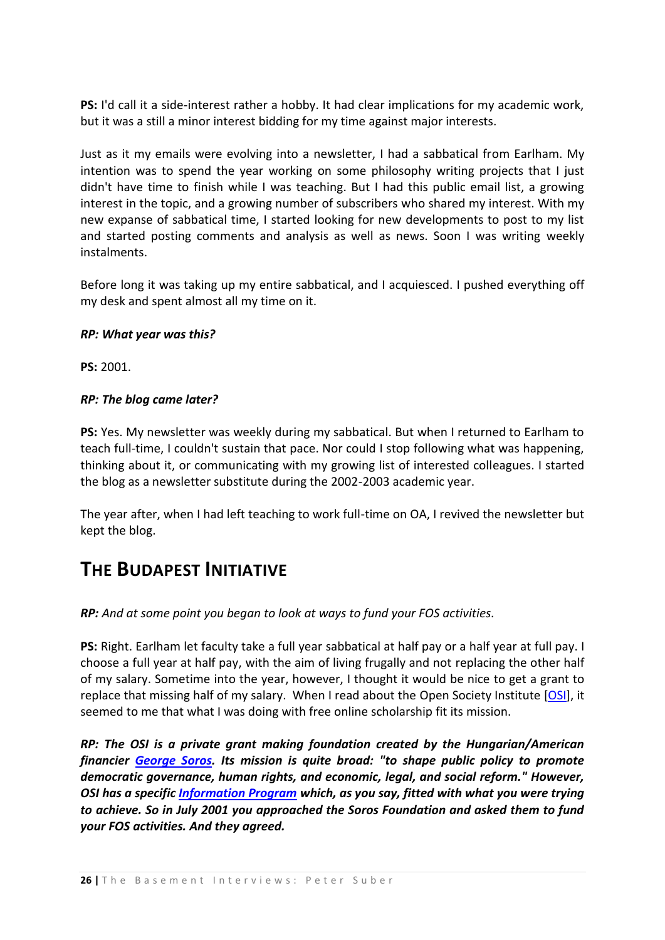**PS:** I'd call it a side-interest rather a hobby. It had clear implications for my academic work, but it was a still a minor interest bidding for my time against major interests.

Just as it my emails were evolving into a newsletter, I had a sabbatical from Earlham. My intention was to spend the year working on some philosophy writing projects that I just didn't have time to finish while I was teaching. But I had this public email list, a growing interest in the topic, and a growing number of subscribers who shared my interest. With my new expanse of sabbatical time, I started looking for new developments to post to my list and started posting comments and analysis as well as news. Soon I was writing weekly instalments.

Before long it was taking up my entire sabbatical, and I acquiesced. I pushed everything off my desk and spent almost all my time on it.

### *RP: What year was this?*

**PS:** 2001.

## *RP: The blog came later?*

**PS:** Yes. My newsletter was weekly during my sabbatical. But when I returned to Earlham to teach full-time, I couldn't sustain that pace. Nor could I stop following what was happening, thinking about it, or communicating with my growing list of interested colleagues. I started the blog as a newsletter substitute during the 2002-2003 academic year.

The year after, when I had left teaching to work full-time on OA, I revived the newsletter but kept the blog.

## <span id="page-25-0"></span>**THE BUDAPEST INITIATIVE**

*RP: And at some point you began to look at ways to fund your FOS activities.*

**PS:** Right. Earlham let faculty take a full year sabbatical at half pay or a half year at full pay. I choose a full year at half pay, with the aim of living frugally and not replacing the other half of my salary. Sometime into the year, however, I thought it would be nice to get a grant to replace that missing half of my salary. When I read about the Open Society Institute [\[OSI\]](http://www.soros.org/), it seemed to me that what I was doing with free online scholarship fit its mission.

*RP: The OSI is a private grant making foundation created by the Hungarian/American financier [George Soros.](http://en.wikipedia.org/wiki/George_Soros) Its mission is quite broad: "to shape public policy to promote democratic governance, human rights, and economic, legal, and social reform." However, OSI has a specific [Information Program](http://www.soros.org/initiatives/information) which, as you say, fitted with what you were trying to achieve. So in July 2001 you approached the Soros Foundation and asked them to fund your FOS activities. And they agreed.*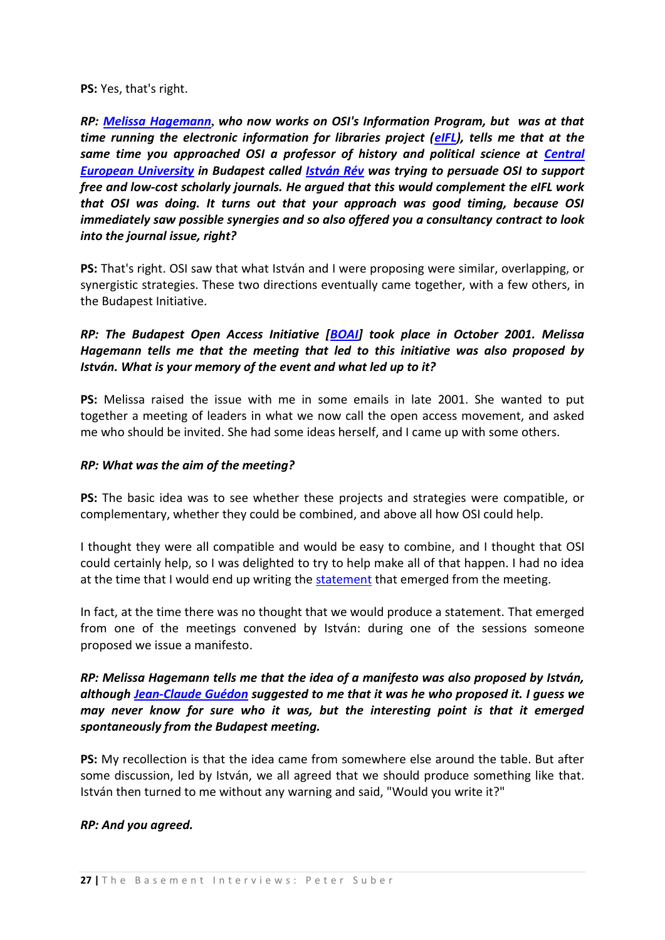#### **PS:** Yes, that's right.

*RP: [Melissa Hagemann](http://poynder.blogspot.com/2005/06/interview-with-melissa-hagemann-of.html)***,** *who now works on OSI's Information Program, but was at that time running the electronic information for libraries project [\(eIFL\)](http://www.eifl.net/cps/sections/home), tells me that at the same time you approached OSI a professor of history and political science at Central [European University](http://www.hist.ceu.hu/?q=node/1) in Budapest called [István Rév](http://www.hist.ceu.hu/?q=node/55) was trying to persuade OSI to support free and low-cost scholarly journals. He argued that this would complement the eIFL work that OSI was doing. It turns out that your approach was good timing, because OSI immediately saw possible synergies and so also offered you a consultancy contract to look into the journal issue, right?*

**PS:** That's right. OSI saw that what István and I were proposing were similar, overlapping, or synergistic strategies. These two directions eventually came together, with a few others, in the Budapest Initiative.

*RP: The Budapest Open Access Initiative [\[BOAI\]](http://www.soros.org/openaccess/) took place in October 2001. Melissa Hagemann tells me that the meeting that led to this initiative was also proposed by István. What is your memory of the event and what led up to it?*

**PS:** Melissa raised the issue with me in some emails in late 2001. She wanted to put together a meeting of leaders in what we now call the open access movement, and asked me who should be invited. She had some ideas herself, and I came up with some others.

#### *RP: What was the aim of the meeting?*

**PS:** The basic idea was to see whether these projects and strategies were compatible, or complementary, whether they could be combined, and above all how OSI could help.

I thought they were all compatible and would be easy to combine, and I thought that OSI could certainly help, so I was delighted to try to help make all of that happen. I had no idea at the time that I would end up writing th[e statement](http://www.soros.org/openaccess/read.shtml) that emerged from the meeting.

In fact, at the time there was no thought that we would produce a statement. That emerged from one of the meetings convened by István: during one of the sessions someone proposed we issue a manifesto.

*RP: Melissa Hagemann tells me that the idea of a manifesto was also proposed by István, although [Jean-Claude Guédon](http://www.soros.org/openaccess/read.shtml) suggested to me that it was he who proposed it. I guess we may never know for sure who it was, but the interesting point is that it emerged spontaneously from the Budapest meeting.*

**PS:** My recollection is that the idea came from somewhere else around the table. But after some discussion, led by István, we all agreed that we should produce something like that. István then turned to me without any warning and said, "Would you write it?"

#### *RP: And you agreed.*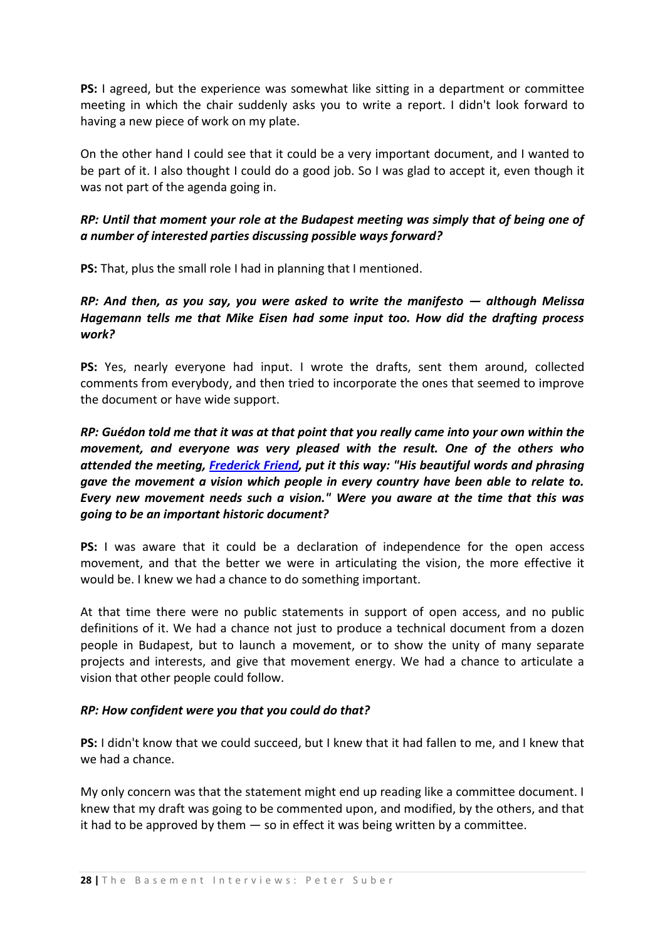**PS:** I agreed, but the experience was somewhat like sitting in a department or committee meeting in which the chair suddenly asks you to write a report. I didn't look forward to having a new piece of work on my plate.

On the other hand I could see that it could be a very important document, and I wanted to be part of it. I also thought I could do a good job. So I was glad to accept it, even though it was not part of the agenda going in.

## *RP: Until that moment your role at the Budapest meeting was simply that of being one of a number of interested parties discussing possible ways forward?*

**PS:** That, plus the small role I had in planning that I mentioned.

## *RP: And then, as you say, you were asked to write the manifesto — although Melissa Hagemann tells me that Mike Eisen had some input too. How did the drafting process work?*

**PS:** Yes, nearly everyone had input. I wrote the drafts, sent them around, collected comments from everybody, and then tried to incorporate the ones that seemed to improve the document or have wide support.

*RP: Guédon told me that it was at that point that you really came into your own within the movement, and everyone was very pleased with the result. One of the others who attended the meeting, [Frederick Friend,](http://www.aepic.it/conf/viewabstract.php?id=85&cf=3) put it this way: "His beautiful words and phrasing gave the movement a vision which people in every country have been able to relate to. Every new movement needs such a vision." Were you aware at the time that this was going to be an important historic document?*

**PS:** I was aware that it could be a declaration of independence for the open access movement, and that the better we were in articulating the vision, the more effective it would be. I knew we had a chance to do something important.

At that time there were no public statements in support of open access, and no public definitions of it. We had a chance not just to produce a technical document from a dozen people in Budapest, but to launch a movement, or to show the unity of many separate projects and interests, and give that movement energy. We had a chance to articulate a vision that other people could follow.

## *RP: How confident were you that you could do that?*

**PS:** I didn't know that we could succeed, but I knew that it had fallen to me, and I knew that we had a chance.

My only concern was that the statement might end up reading like a committee document. I knew that my draft was going to be commented upon, and modified, by the others, and that it had to be approved by them  $-$  so in effect it was being written by a committee.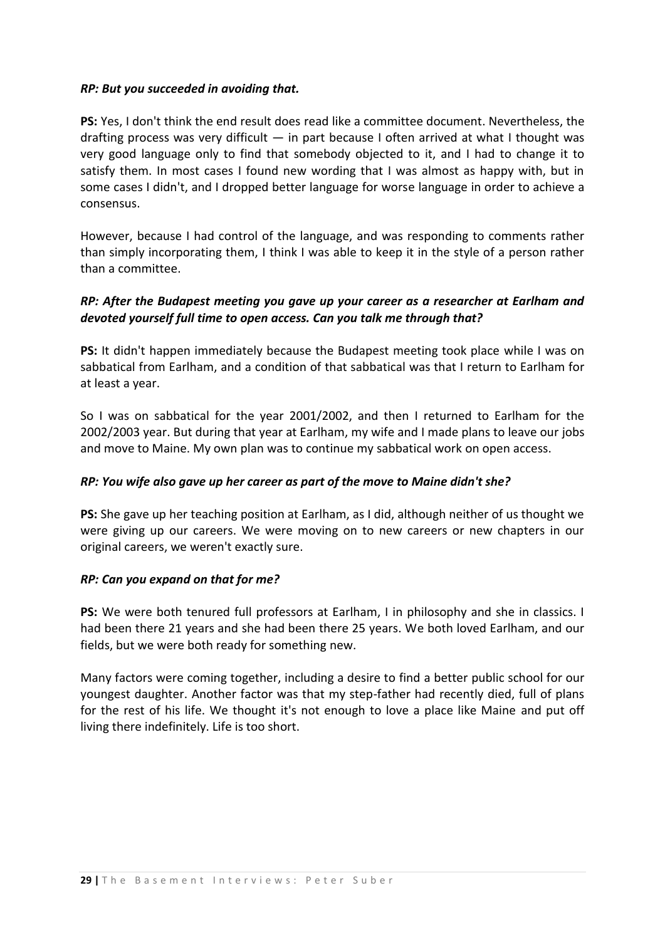#### *RP: But you succeeded in avoiding that.*

**PS:** Yes, I don't think the end result does read like a committee document. Nevertheless, the drafting process was very difficult — in part because I often arrived at what I thought was very good language only to find that somebody objected to it, and I had to change it to satisfy them. In most cases I found new wording that I was almost as happy with, but in some cases I didn't, and I dropped better language for worse language in order to achieve a consensus.

However, because I had control of the language, and was responding to comments rather than simply incorporating them, I think I was able to keep it in the style of a person rather than a committee.

## *RP: After the Budapest meeting you gave up your career as a researcher at Earlham and devoted yourself full time to open access. Can you talk me through that?*

**PS:** It didn't happen immediately because the Budapest meeting took place while I was on sabbatical from Earlham, and a condition of that sabbatical was that I return to Earlham for at least a year.

So I was on sabbatical for the year 2001/2002, and then I returned to Earlham for the 2002/2003 year. But during that year at Earlham, my wife and I made plans to leave our jobs and move to Maine. My own plan was to continue my sabbatical work on open access.

## *RP: You wife also gave up her career as part of the move to Maine didn't she?*

**PS:** She gave up her teaching position at Earlham, as I did, although neither of us thought we were giving up our careers. We were moving on to new careers or new chapters in our original careers, we weren't exactly sure.

#### *RP: Can you expand on that for me?*

**PS:** We were both tenured full professors at Earlham, I in philosophy and she in classics. I had been there 21 years and she had been there 25 years. We both loved Earlham, and our fields, but we were both ready for something new.

Many factors were coming together, including a desire to find a better public school for our youngest daughter. Another factor was that my step-father had recently died, full of plans for the rest of his life. We thought it's not enough to love a place like Maine and put off living there indefinitely. Life is too short.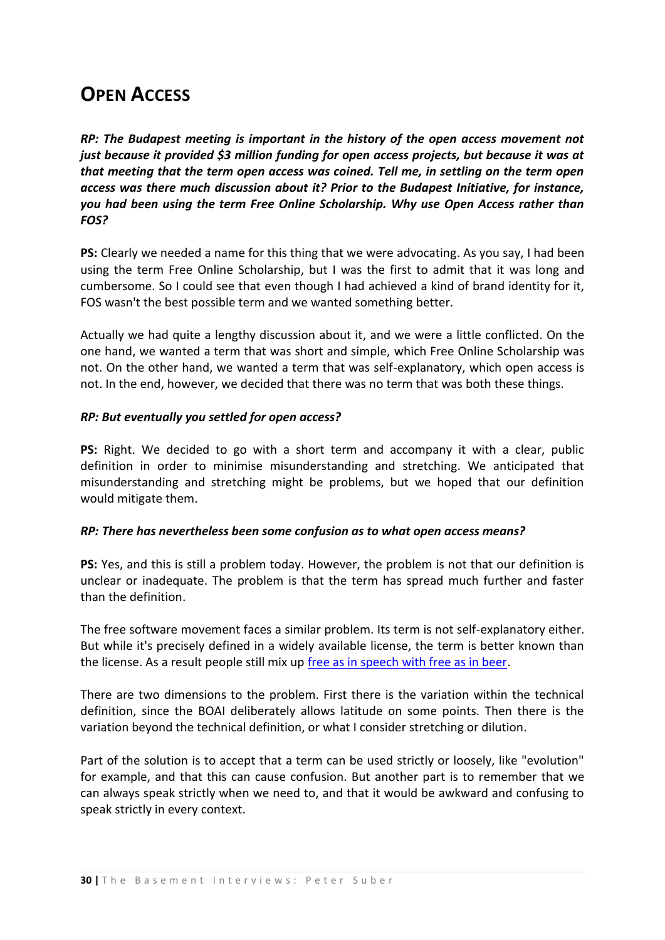# <span id="page-29-0"></span>**OPEN ACCESS**

*RP: The Budapest meeting is important in the history of the open access movement not just because it provided \$3 million funding for open access projects, but because it was at that meeting that the term open access was coined. Tell me, in settling on the term open access was there much discussion about it? Prior to the Budapest Initiative, for instance, you had been using the term Free Online Scholarship. Why use Open Access rather than FOS?*

**PS:** Clearly we needed a name for this thing that we were advocating. As you say, I had been using the term Free Online Scholarship, but I was the first to admit that it was long and cumbersome. So I could see that even though I had achieved a kind of brand identity for it, FOS wasn't the best possible term and we wanted something better.

Actually we had quite a lengthy discussion about it, and we were a little conflicted. On the one hand, we wanted a term that was short and simple, which Free Online Scholarship was not. On the other hand, we wanted a term that was self-explanatory, which open access is not. In the end, however, we decided that there was no term that was both these things.

### *RP: But eventually you settled for open access?*

**PS:** Right. We decided to go with a short term and accompany it with a clear, public definition in order to minimise misunderstanding and stretching. We anticipated that misunderstanding and stretching might be problems, but we hoped that our definition would mitigate them.

## *RP: There has nevertheless been some confusion as to what open access means?*

**PS:** Yes, and this is still a problem today. However, the problem is not that our definition is unclear or inadequate. The problem is that the term has spread much further and faster than the definition.

The free software movement faces a similar problem. Its term is not self-explanatory either. But while it's precisely defined in a widely available license, the term is better known than the license. As a result people still mix up [free as in speech with free as in beer.](http://www.gnu.org/philosophy/free-sw.html)

There are two dimensions to the problem. First there is the variation within the technical definition, since the BOAI deliberately allows latitude on some points. Then there is the variation beyond the technical definition, or what I consider stretching or dilution.

Part of the solution is to accept that a term can be used strictly or loosely, like "evolution" for example, and that this can cause confusion. But another part is to remember that we can always speak strictly when we need to, and that it would be awkward and confusing to speak strictly in every context.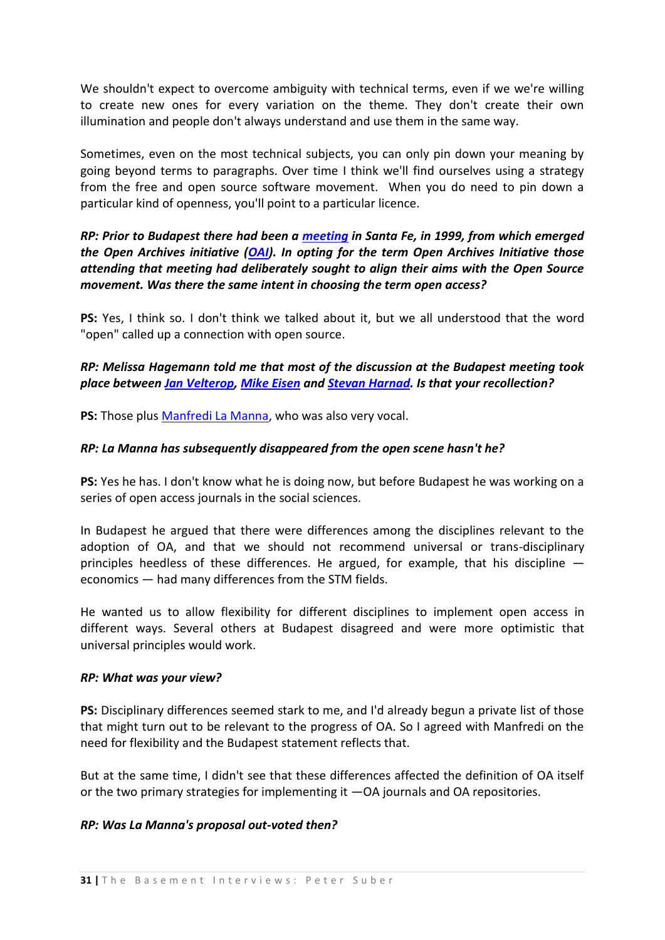We shouldn't expect to overcome ambiguity with technical terms, even if we we're willing to create new ones for every variation on the theme. They don't create their own illumination and people don't always understand and use them in the same way.

Sometimes, even on the most technical subjects, you can only pin down your meaning by going beyond terms to paragraphs. Over time I think we'll find ourselves using a strategy from the free and open source software movement. When you do need to pin down a particular kind of openness, you'll point to a particular licence.

## *RP: Prior to Budapest there had been a [meeting](http://www.dlib.org/dlib/february00/vandesompel-oai/02vandesompel-oai.html) in Santa Fe, in 1999, from which emerged the Open Archives initiative [\(OAI\)](http://www.openarchives.org/). In opting for the term Open Archives Initiative those attending that meeting had deliberately sought to align their aims with the Open Source movement. Was there the same intent in choosing the term open access?*

**PS:** Yes, I think so. I don't think we talked about it, but we all understood that the word "open" called up a connection with open source.

## *RP: Melissa Hagemann told me that most of the discussion at the Budapest meeting took place between [Jan Velterop,](http://en.wikipedia.org/wiki/Jan_Velterop) [Mike Eisen](http://rana.lbl.gov/) and [Stevan Harnad.](http://en.wikipedia.org/wiki/Stevan_Harnad) Is that your recollection?*

**PS:** Those plu[s Manfredi La Manna,](http://www.sgpe.ac.uk/people/staffing/lamanna3.htm) who was also very vocal.

## *RP: La Manna has subsequently disappeared from the open scene hasn't he?*

**PS:** Yes he has. I don't know what he is doing now, but before Budapest he was working on a series of open access journals in the social sciences.

In Budapest he argued that there were differences among the disciplines relevant to the adoption of OA, and that we should not recommend universal or trans-disciplinary principles heedless of these differences. He argued, for example, that his discipline  $$ economics — had many differences from the STM fields.

He wanted us to allow flexibility for different disciplines to implement open access in different ways. Several others at Budapest disagreed and were more optimistic that universal principles would work.

#### *RP: What was your view?*

**PS:** Disciplinary differences seemed stark to me, and I'd already begun a private list of those that might turn out to be relevant to the progress of OA. So I agreed with Manfredi on the need for flexibility and the Budapest statement reflects that.

But at the same time, I didn't see that these differences affected the definition of OA itself or the two primary strategies for implementing it —OA journals and OA repositories.

#### *RP: Was La Manna's proposal out-voted then?*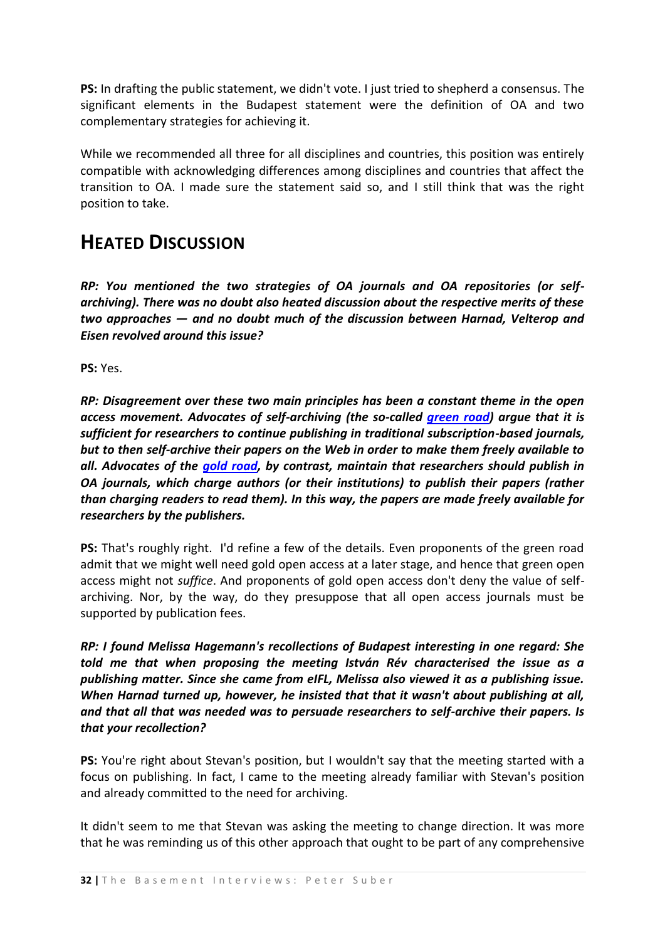**PS:** In drafting the public statement, we didn't vote. I just tried to shepherd a consensus. The significant elements in the Budapest statement were the definition of OA and two complementary strategies for achieving it.

While we recommended all three for all disciplines and countries, this position was entirely compatible with acknowledging differences among disciplines and countries that affect the transition to OA. I made sure the statement said so, and I still think that was the right position to take.

## <span id="page-31-0"></span>**HEATED DISCUSSION**

*RP: You mentioned the two strategies of OA journals and OA repositories (or selfarchiving). There was no doubt also heated discussion about the respective merits of these two approaches — and no doubt much of the discussion between Harnad, Velterop and Eisen revolved around this issue?*

**PS:** Yes.

*RP: Disagreement over these two main principles has been a constant theme in the open access movement. Advocates of self-archiving (the so-called [green road\)](http://users.ecs.soton.ac.uk/harnad/Temp/greenroad.html) argue that it is sufficient for researchers to continue publishing in traditional subscription-based journals, but to then self-archive their papers on the Web in order to make them freely available to all. Advocates of the [gold road,](http://www.jisc.ac.uk/whatwedo/themes/information_environment/scholarly_comms/oa/oajournals.aspx) by contrast, maintain that researchers should publish in OA journals, which charge authors (or their institutions) to publish their papers (rather than charging readers to read them). In this way, the papers are made freely available for researchers by the publishers.*

**PS:** That's roughly right. I'd refine a few of the details. Even proponents of the green road admit that we might well need gold open access at a later stage, and hence that green open access might not *suffice*. And proponents of gold open access don't deny the value of selfarchiving. Nor, by the way, do they presuppose that all open access journals must be supported by publication fees.

*RP: I found Melissa Hagemann's recollections of Budapest interesting in one regard: She told me that when proposing the meeting István Rév characterised the issue as a publishing matter. Since she came from eIFL, Melissa also viewed it as a publishing issue. When Harnad turned up, however, he insisted that that it wasn't about publishing at all, and that all that was needed was to persuade researchers to self-archive their papers. Is that your recollection?*

**PS:** You're right about Stevan's position, but I wouldn't say that the meeting started with a focus on publishing. In fact, I came to the meeting already familiar with Stevan's position and already committed to the need for archiving.

It didn't seem to me that Stevan was asking the meeting to change direction. It was more that he was reminding us of this other approach that ought to be part of any comprehensive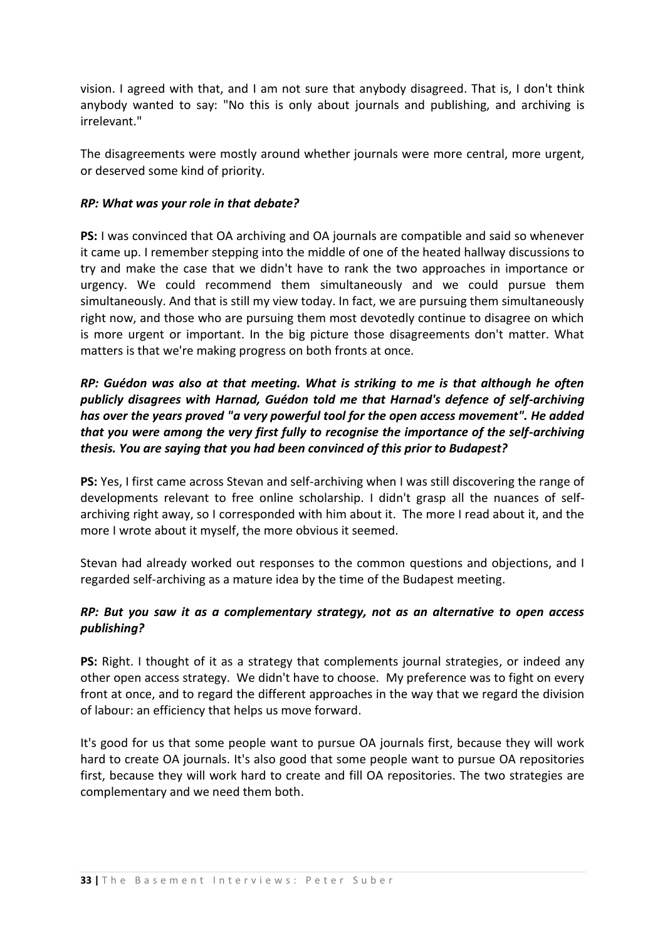vision. I agreed with that, and I am not sure that anybody disagreed. That is, I don't think anybody wanted to say: "No this is only about journals and publishing, and archiving is irrelevant."

The disagreements were mostly around whether journals were more central, more urgent, or deserved some kind of priority.

#### *RP: What was your role in that debate?*

**PS:** I was convinced that OA archiving and OA journals are compatible and said so whenever it came up. I remember stepping into the middle of one of the heated hallway discussions to try and make the case that we didn't have to rank the two approaches in importance or urgency. We could recommend them simultaneously and we could pursue them simultaneously. And that is still my view today. In fact, we are pursuing them simultaneously right now, and those who are pursuing them most devotedly continue to disagree on which is more urgent or important. In the big picture those disagreements don't matter. What matters is that we're making progress on both fronts at once.

## *RP: Guédon was also at that meeting. What is striking to me is that although he often publicly disagrees with Harnad, Guédon told me that Harnad's defence of self-archiving has over the years proved "a very powerful tool for the open access movement". He added that you were among the very first fully to recognise the importance of the self-archiving thesis. You are saying that you had been convinced of this prior to Budapest?*

**PS:** Yes, I first came across Stevan and self-archiving when I was still discovering the range of developments relevant to free online scholarship. I didn't grasp all the nuances of selfarchiving right away, so I corresponded with him about it. The more I read about it, and the more I wrote about it myself, the more obvious it seemed.

Stevan had already worked out responses to the common questions and objections, and I regarded self-archiving as a mature idea by the time of the Budapest meeting.

## *RP: But you saw it as a complementary strategy, not as an alternative to open access publishing?*

**PS:** Right. I thought of it as a strategy that complements journal strategies, or indeed any other open access strategy. We didn't have to choose. My preference was to fight on every front at once, and to regard the different approaches in the way that we regard the division of labour: an efficiency that helps us move forward.

It's good for us that some people want to pursue OA journals first, because they will work hard to create OA journals. It's also good that some people want to pursue OA repositories first, because they will work hard to create and fill OA repositories. The two strategies are complementary and we need them both.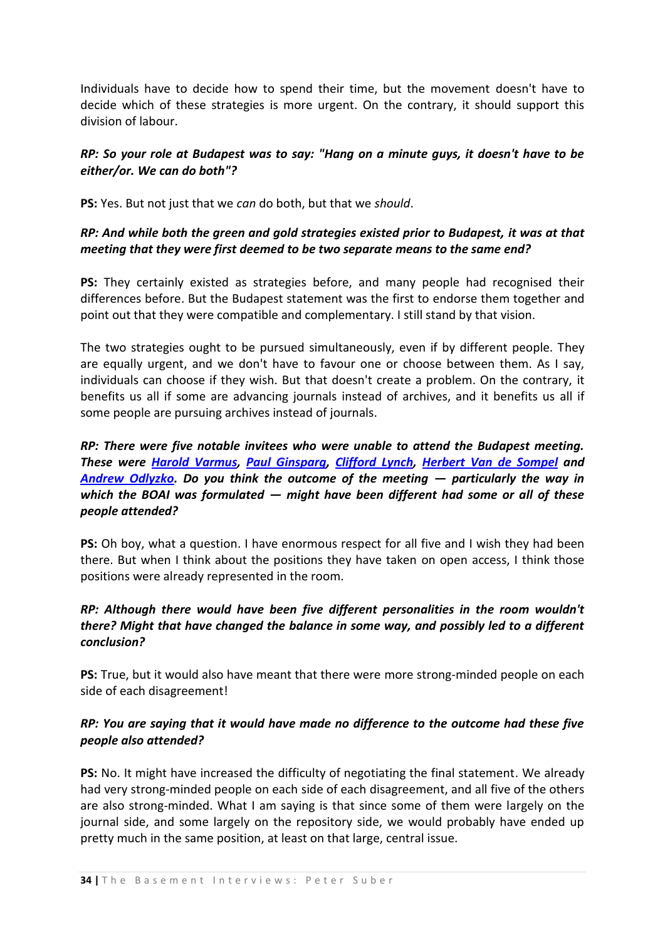Individuals have to decide how to spend their time, but the movement doesn't have to decide which of these strategies is more urgent. On the contrary, it should support this division of labour.

## *RP: So your role at Budapest was to say: "Hang on a minute guys, it doesn't have to be either/or. We can do both"?*

**PS:** Yes. But not just that we *can* do both, but that we *should*.

## *RP: And while both the green and gold strategies existed prior to Budapest, it was at that meeting that they were first deemed to be two separate means to the same end?*

**PS:** They certainly existed as strategies before, and many people had recognised their differences before. But the Budapest statement was the first to endorse them together and point out that they were compatible and complementary. I still stand by that vision.

The two strategies ought to be pursued simultaneously, even if by different people. They are equally urgent, and we don't have to favour one or choose between them. As I say, individuals can choose if they wish. But that doesn't create a problem. On the contrary, it benefits us all if some are advancing journals instead of archives, and it benefits us all if some people are pursuing archives instead of journals.

*RP: There were five notable invitees who were unable to attend the Budapest meeting. These were [Harold Varmus,](http://poynder.blogspot.com/2006/06/interview-with-harold-varmus.html) [Paul Ginsparg,](http://en.wikipedia.org/wiki/Paul_Ginsparg) [Clifford Lynch,](http://www.cni.org/staff/clifford_index.html) [Herbert Van de Sompel](http://public.lanl.gov/herbertv/) and [Andrew Odlyzko.](http://www.coburnventures.com/Research_Fellows/Research_Fellow_-_Andrew_Odlyzko.html) Do you think the outcome of the meeting — particularly the way in which the BOAI was formulated — might have been different had some or all of these people attended?*

**PS:** Oh boy, what a question. I have enormous respect for all five and I wish they had been there. But when I think about the positions they have taken on open access, I think those positions were already represented in the room.

## *RP: Although there would have been five different personalities in the room wouldn't there? Might that have changed the balance in some way, and possibly led to a different conclusion?*

**PS:** True, but it would also have meant that there were more strong-minded people on each side of each disagreement!

## *RP: You are saying that it would have made no difference to the outcome had these five people also attended?*

**PS:** No. It might have increased the difficulty of negotiating the final statement. We already had very strong-minded people on each side of each disagreement, and all five of the others are also strong-minded. What I am saying is that since some of them were largely on the journal side, and some largely on the repository side, we would probably have ended up pretty much in the same position, at least on that large, central issue.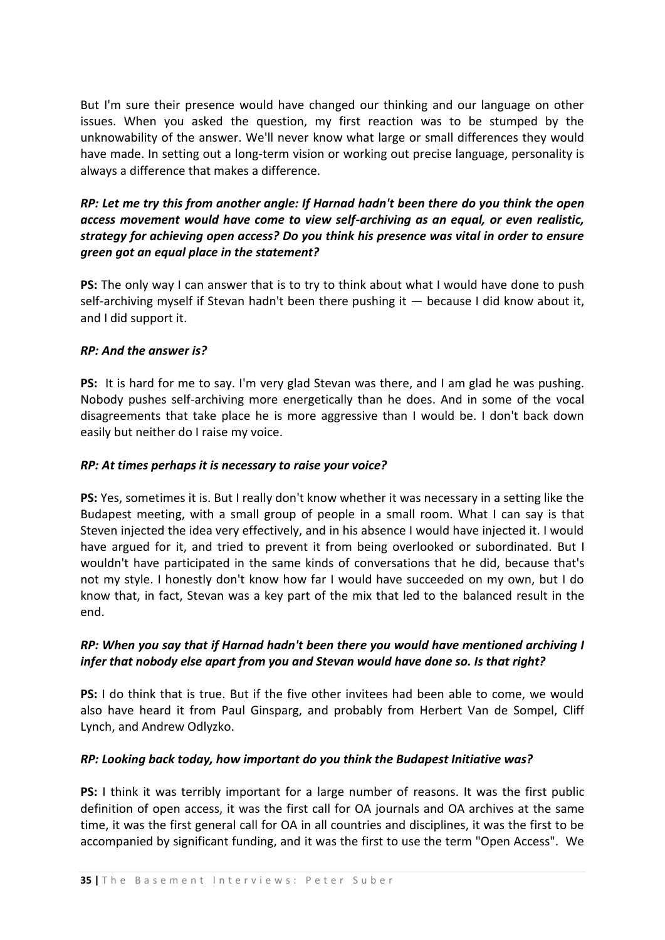But I'm sure their presence would have changed our thinking and our language on other issues. When you asked the question, my first reaction was to be stumped by the unknowability of the answer. We'll never know what large or small differences they would have made. In setting out a long-term vision or working out precise language, personality is always a difference that makes a difference.

## *RP: Let me try this from another angle: If Harnad hadn't been there do you think the open access movement would have come to view self-archiving as an equal, or even realistic, strategy for achieving open access? Do you think his presence was vital in order to ensure green got an equal place in the statement?*

**PS:** The only way I can answer that is to try to think about what I would have done to push self-archiving myself if Stevan hadn't been there pushing it — because I did know about it, and I did support it.

### *RP: And the answer is?*

**PS:** It is hard for me to say. I'm very glad Stevan was there, and I am glad he was pushing. Nobody pushes self-archiving more energetically than he does. And in some of the vocal disagreements that take place he is more aggressive than I would be. I don't back down easily but neither do I raise my voice.

#### *RP: At times perhaps it is necessary to raise your voice?*

**PS:** Yes, sometimes it is. But I really don't know whether it was necessary in a setting like the Budapest meeting, with a small group of people in a small room. What I can say is that Steven injected the idea very effectively, and in his absence I would have injected it. I would have argued for it, and tried to prevent it from being overlooked or subordinated. But I wouldn't have participated in the same kinds of conversations that he did, because that's not my style. I honestly don't know how far I would have succeeded on my own, but I do know that, in fact, Stevan was a key part of the mix that led to the balanced result in the end.

## *RP: When you say that if Harnad hadn't been there you would have mentioned archiving I infer that nobody else apart from you and Stevan would have done so. Is that right?*

**PS:** I do think that is true. But if the five other invitees had been able to come, we would also have heard it from Paul Ginsparg, and probably from Herbert Van de Sompel, Cliff Lynch, and Andrew Odlyzko.

## *RP: Looking back today, how important do you think the Budapest Initiative was?*

**PS:** I think it was terribly important for a large number of reasons. It was the first public definition of open access, it was the first call for OA journals and OA archives at the same time, it was the first general call for OA in all countries and disciplines, it was the first to be accompanied by significant funding, and it was the first to use the term "Open Access". We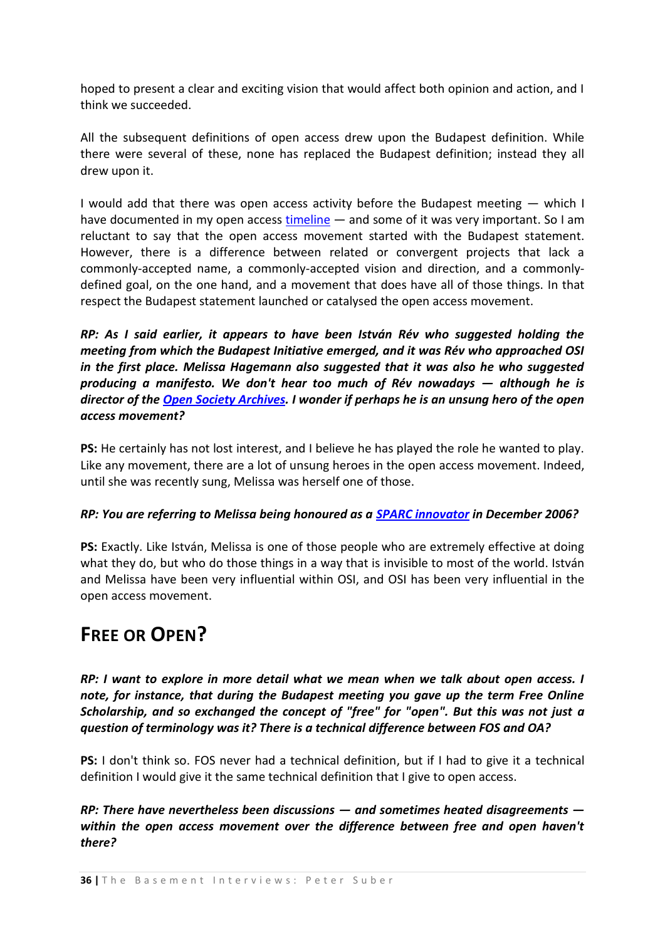hoped to present a clear and exciting vision that would affect both opinion and action, and I think we succeeded.

All the subsequent definitions of open access drew upon the Budapest definition. While there were several of these, none has replaced the Budapest definition; instead they all drew upon it.

I would add that there was open access activity before the Budapest meeting — which I have documented in my open access [timeline](http://www.earlham.edu/~peters/fos/timeline.htm) — and some of it was very important. So I am reluctant to say that the open access movement started with the Budapest statement. However, there is a difference between related or convergent projects that lack a commonly-accepted name, a commonly-accepted vision and direction, and a commonlydefined goal, on the one hand, and a movement that does have all of those things. In that respect the Budapest statement launched or catalysed the open access movement.

*RP: As I said earlier, it appears to have been István Rév who suggested holding the meeting from which the Budapest Initiative emerged, and it was Rév who approached OSI in the first place. Melissa Hagemann also suggested that it was also he who suggested producing a manifesto. We don't hear too much of Rév nowadays — although he is director of the [Open Society Archives.](http://www.osa.ceu.hu/) I wonder if perhaps he is an unsung hero of the open access movement?*

**PS:** He certainly has not lost interest, and I believe he has played the role he wanted to play. Like any movement, there are a lot of unsung heroes in the open access movement. Indeed, until she was recently sung, Melissa was herself one of those.

## *RP: You are referring to Melissa being honoured as a [SPARC innovator](http://www.arl.org/sparc/innovator/hagemann.html) in December 2006?*

**PS:** Exactly. Like István, Melissa is one of those people who are extremely effective at doing what they do, but who do those things in a way that is invisible to most of the world. István and Melissa have been very influential within OSI, and OSI has been very influential in the open access movement.

# <span id="page-35-0"></span>**FREE OR OPEN?**

*RP: I want to explore in more detail what we mean when we talk about open access. I note, for instance, that during the Budapest meeting you gave up the term Free Online Scholarship, and so exchanged the concept of "free" for "open". But this was not just a question of terminology was it? There is a technical difference between FOS and OA?*

**PS:** I don't think so. FOS never had a technical definition, but if I had to give it a technical definition I would give it the same technical definition that I give to open access.

*RP: There have nevertheless been discussions — and sometimes heated disagreements within the open access movement over the difference between free and open haven't there?*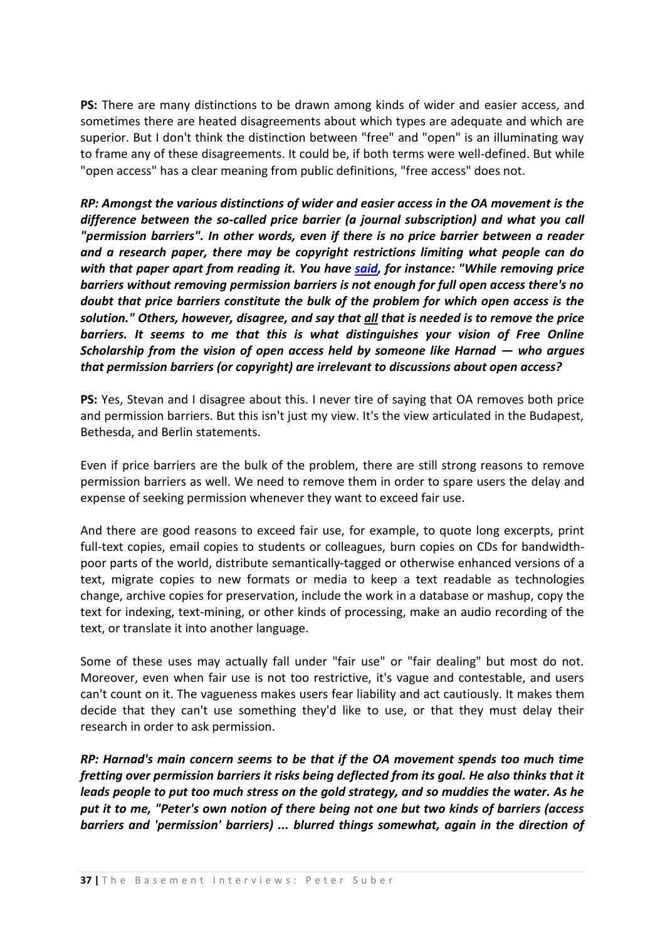**PS:** There are many distinctions to be drawn among kinds of wider and easier access, and sometimes there are heated disagreements about which types are adequate and which are superior. But I don't think the distinction between "free" and "open" is an illuminating way to frame any of these disagreements. It could be, if both terms were well-defined. But while "open access" has a clear meaning from public definitions, "free access" does not.

*RP: Amongst the various distinctions of wider and easier access in the OA movement is the difference between the so-called price barrier (a journal subscription) and what you call "permission barriers". In other words, even if there is no price barrier between a reader and a research paper, there may be copyright restrictions limiting what people can do with that paper apart from reading it. You have [said,](http://www.earlham.edu/~peters/fos/overview.htm) for instance: "While removing price barriers without removing permission barriers is not enough for full open access there's no doubt that price barriers constitute the bulk of the problem for which open access is the solution." Others, however, disagree, and say that all that is needed is to remove the price barriers. It seems to me that this is what distinguishes your vision of Free Online Scholarship from the vision of open access held by someone like Harnad — who argues that permission barriers (or copyright) are irrelevant to discussions about open access?*

**PS:** Yes, Stevan and I disagree about this. I never tire of saying that OA removes both price and permission barriers. But this isn't just my view. It's the view articulated in the Budapest, Bethesda, and Berlin statements.

Even if price barriers are the bulk of the problem, there are still strong reasons to remove permission barriers as well. We need to remove them in order to spare users the delay and expense of seeking permission whenever they want to exceed fair use.

And there are good reasons to exceed fair use, for example, to quote long excerpts, print full-text copies, email copies to students or colleagues, burn copies on CDs for bandwidthpoor parts of the world, distribute semantically-tagged or otherwise enhanced versions of a text, migrate copies to new formats or media to keep a text readable as technologies change, archive copies for preservation, include the work in a database or mashup, copy the text for indexing, text-mining, or other kinds of processing, make an audio recording of the text, or translate it into another language.

Some of these uses may actually fall under "fair use" or "fair dealing" but most do not. Moreover, even when fair use is not too restrictive, it's vague and contestable, and users can't count on it. The vagueness makes users fear liability and act cautiously. It makes them decide that they can't use something they'd like to use, or that they must delay their research in order to ask permission.

*RP: Harnad's main concern seems to be that if the OA movement spends too much time fretting over permission barriers it risks being deflected from its goal. He also thinks that it leads people to put too much stress on the gold strategy, and so muddies the water. As he put it to me, "Peter's own notion of there being not one but two kinds of barriers (access barriers and 'permission' barriers) ... blurred things somewhat, again in the direction of*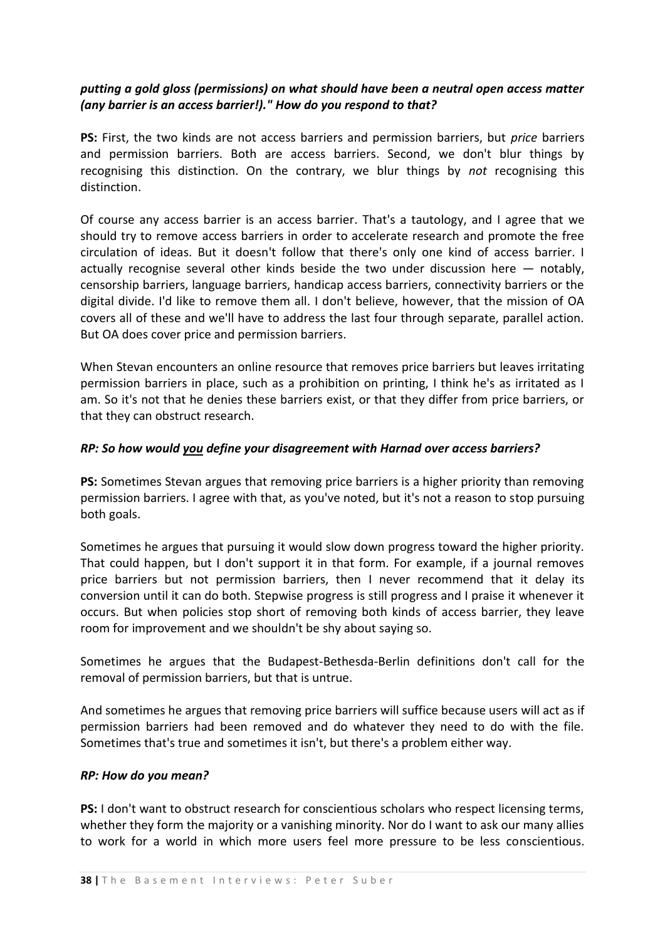### *putting a gold gloss (permissions) on what should have been a neutral open access matter (any barrier is an access barrier!)." How do you respond to that?*

**PS:** First, the two kinds are not access barriers and permission barriers, but *price* barriers and permission barriers. Both are access barriers. Second, we don't blur things by recognising this distinction. On the contrary, we blur things by *not* recognising this distinction.

Of course any access barrier is an access barrier. That's a tautology, and I agree that we should try to remove access barriers in order to accelerate research and promote the free circulation of ideas. But it doesn't follow that there's only one kind of access barrier. I actually recognise several other kinds beside the two under discussion here  $-$  notably, censorship barriers, language barriers, handicap access barriers, connectivity barriers or the digital divide. I'd like to remove them all. I don't believe, however, that the mission of OA covers all of these and we'll have to address the last four through separate, parallel action. But OA does cover price and permission barriers.

When Stevan encounters an online resource that removes price barriers but leaves irritating permission barriers in place, such as a prohibition on printing, I think he's as irritated as I am. So it's not that he denies these barriers exist, or that they differ from price barriers, or that they can obstruct research.

#### *RP: So how would you define your disagreement with Harnad over access barriers?*

**PS:** Sometimes Stevan argues that removing price barriers is a higher priority than removing permission barriers. I agree with that, as you've noted, but it's not a reason to stop pursuing both goals.

Sometimes he argues that pursuing it would slow down progress toward the higher priority. That could happen, but I don't support it in that form. For example, if a journal removes price barriers but not permission barriers, then I never recommend that it delay its conversion until it can do both. Stepwise progress is still progress and I praise it whenever it occurs. But when policies stop short of removing both kinds of access barrier, they leave room for improvement and we shouldn't be shy about saying so.

Sometimes he argues that the Budapest-Bethesda-Berlin definitions don't call for the removal of permission barriers, but that is untrue.

And sometimes he argues that removing price barriers will suffice because users will act as if permission barriers had been removed and do whatever they need to do with the file. Sometimes that's true and sometimes it isn't, but there's a problem either way.

#### *RP: How do you mean?*

**PS:** I don't want to obstruct research for conscientious scholars who respect licensing terms, whether they form the majority or a vanishing minority. Nor do I want to ask our many allies to work for a world in which more users feel more pressure to be less conscientious.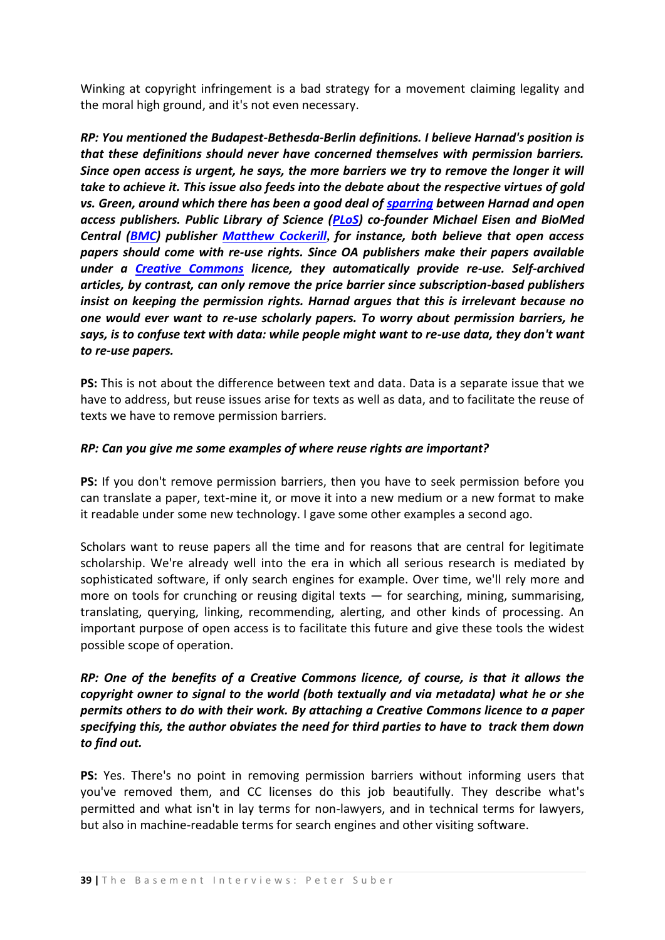Winking at copyright infringement is a bad strategy for a movement claiming legality and the moral high ground, and it's not even necessary.

*RP: You mentioned the Budapest-Bethesda-Berlin definitions. I believe Harnad's position is that these definitions should never have concerned themselves with permission barriers. Since open access is urgent, he says, the more barriers we try to remove the longer it will take to achieve it. This issue also feeds into the debate about the respective virtues of gold vs. Green, around which there has been a good deal of [sparring](http://users.ecs.soton.ac.uk/harnad/Hypermail/Amsci/2922.html) between Harnad and open access publishers. Public Library of Science [\(PLoS\)](http://www.plos.org/) co-founder Michael Eisen and BioMed Central [\(BMC\)](http://www.biomedcentral.com/home/) publisher [Matthew Cockerill](http://www.biomedcentral.com/info/about/whoweare)***,** *for instance, both believe that open access papers should come with re-use rights. Since OA publishers make their papers available under a [Creative Commons](http://creativecommons.org/) licence, they automatically provide re-use. Self-archived articles, by contrast, can only remove the price barrier since subscription-based publishers insist on keeping the permission rights. Harnad argues that this is irrelevant because no one would ever want to re-use scholarly papers. To worry about permission barriers, he says, is to confuse text with data: while people might want to re-use data, they don't want to re-use papers.*

**PS:** This is not about the difference between text and data. Data is a separate issue that we have to address, but reuse issues arise for texts as well as data, and to facilitate the reuse of texts we have to remove permission barriers.

#### *RP: Can you give me some examples of where reuse rights are important?*

**PS:** If you don't remove permission barriers, then you have to seek permission before you can translate a paper, text-mine it, or move it into a new medium or a new format to make it readable under some new technology. I gave some other examples a second ago.

Scholars want to reuse papers all the time and for reasons that are central for legitimate scholarship. We're already well into the era in which all serious research is mediated by sophisticated software, if only search engines for example. Over time, we'll rely more and more on tools for crunching or reusing digital texts  $-$  for searching, mining, summarising, translating, querying, linking, recommending, alerting, and other kinds of processing. An important purpose of open access is to facilitate this future and give these tools the widest possible scope of operation.

## *RP: One of the benefits of a Creative Commons licence, of course, is that it allows the copyright owner to signal to the world (both textually and via metadata) what he or she permits others to do with their work. By attaching a Creative Commons licence to a paper specifying this, the author obviates the need for third parties to have to track them down to find out.*

**PS:** Yes. There's no point in removing permission barriers without informing users that you've removed them, and CC licenses do this job beautifully. They describe what's permitted and what isn't in lay terms for non-lawyers, and in technical terms for lawyers, but also in machine-readable terms for search engines and other visiting software.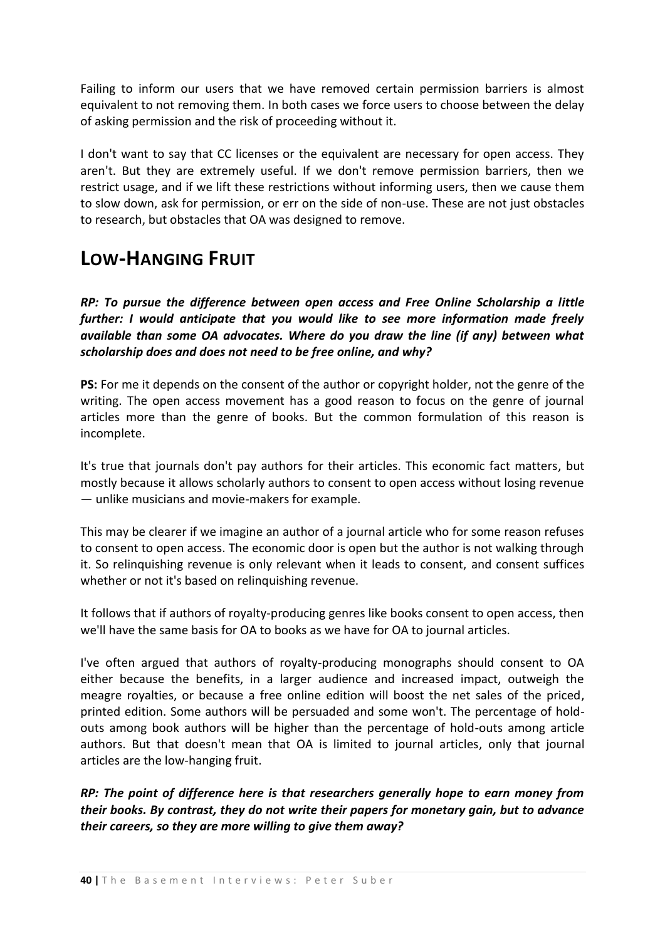Failing to inform our users that we have removed certain permission barriers is almost equivalent to not removing them. In both cases we force users to choose between the delay of asking permission and the risk of proceeding without it.

I don't want to say that CC licenses or the equivalent are necessary for open access. They aren't. But they are extremely useful. If we don't remove permission barriers, then we restrict usage, and if we lift these restrictions without informing users, then we cause them to slow down, ask for permission, or err on the side of non-use. These are not just obstacles to research, but obstacles that OA was designed to remove.

## **LOW-HANGING FRUIT**

*RP: To pursue the difference between open access and Free Online Scholarship a little further: I would anticipate that you would like to see more information made freely available than some OA advocates. Where do you draw the line (if any) between what scholarship does and does not need to be free online, and why?* 

**PS:** For me it depends on the consent of the author or copyright holder, not the genre of the writing. The open access movement has a good reason to focus on the genre of journal articles more than the genre of books. But the common formulation of this reason is incomplete.

It's true that journals don't pay authors for their articles. This economic fact matters, but mostly because it allows scholarly authors to consent to open access without losing revenue — unlike musicians and movie-makers for example.

This may be clearer if we imagine an author of a journal article who for some reason refuses to consent to open access. The economic door is open but the author is not walking through it. So relinquishing revenue is only relevant when it leads to consent, and consent suffices whether or not it's based on relinquishing revenue.

It follows that if authors of royalty-producing genres like books consent to open access, then we'll have the same basis for OA to books as we have for OA to journal articles.

I've often argued that authors of royalty-producing monographs should consent to OA either because the benefits, in a larger audience and increased impact, outweigh the meagre royalties, or because a free online edition will boost the net sales of the priced, printed edition. Some authors will be persuaded and some won't. The percentage of holdouts among book authors will be higher than the percentage of hold-outs among article authors. But that doesn't mean that OA is limited to journal articles, only that journal articles are the low-hanging fruit.

*RP: The point of difference here is that researchers generally hope to earn money from their books. By contrast, they do not write their papers for monetary gain, but to advance their careers, so they are more willing to give them away?*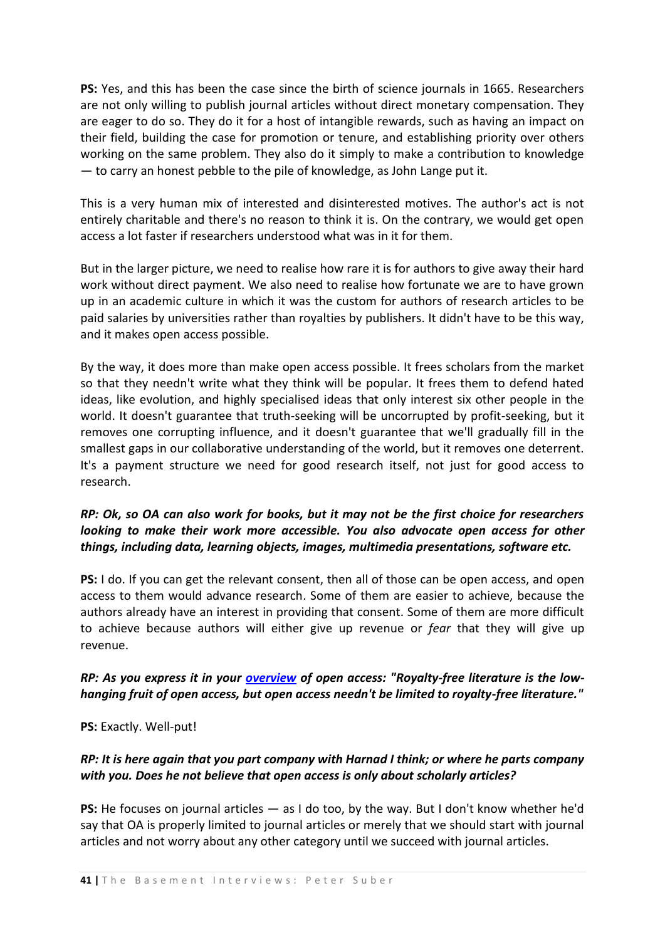**PS:** Yes, and this has been the case since the birth of science journals in 1665. Researchers are not only willing to publish journal articles without direct monetary compensation. They are eager to do so. They do it for a host of intangible rewards, such as having an impact on their field, building the case for promotion or tenure, and establishing priority over others working on the same problem. They also do it simply to make a contribution to knowledge — to carry an honest pebble to the pile of knowledge, as John Lange put it.

This is a very human mix of interested and disinterested motives. The author's act is not entirely charitable and there's no reason to think it is. On the contrary, we would get open access a lot faster if researchers understood what was in it for them.

But in the larger picture, we need to realise how rare it is for authors to give away their hard work without direct payment. We also need to realise how fortunate we are to have grown up in an academic culture in which it was the custom for authors of research articles to be paid salaries by universities rather than royalties by publishers. It didn't have to be this way, and it makes open access possible.

By the way, it does more than make open access possible. It frees scholars from the market so that they needn't write what they think will be popular. It frees them to defend hated ideas, like evolution, and highly specialised ideas that only interest six other people in the world. It doesn't guarantee that truth-seeking will be uncorrupted by profit-seeking, but it removes one corrupting influence, and it doesn't guarantee that we'll gradually fill in the smallest gaps in our collaborative understanding of the world, but it removes one deterrent. It's a payment structure we need for good research itself, not just for good access to research.

## *RP: Ok, so OA can also work for books, but it may not be the first choice for researchers looking to make their work more accessible. You also advocate open access for other things, including data, learning objects, images, multimedia presentations, software etc.*

**PS:** I do. If you can get the relevant consent, then all of those can be open access, and open access to them would advance research. Some of them are easier to achieve, because the authors already have an interest in providing that consent. Some of them are more difficult to achieve because authors will either give up revenue or *fear* that they will give up revenue.

#### *RP: As you express it in your [overview](http://www.earlham.edu/~peters/fos/overview.htm) of open access: "Royalty-free literature is the lowhanging fruit of open access, but open access needn't be limited to royalty-free literature."*

**PS:** Exactly. Well-put!

## *RP: It is here again that you part company with Harnad I think; or where he parts company with you. Does he not believe that open access is only about scholarly articles?*

**PS:** He focuses on journal articles — as I do too, by the way. But I don't know whether he'd say that OA is properly limited to journal articles or merely that we should start with journal articles and not worry about any other category until we succeed with journal articles.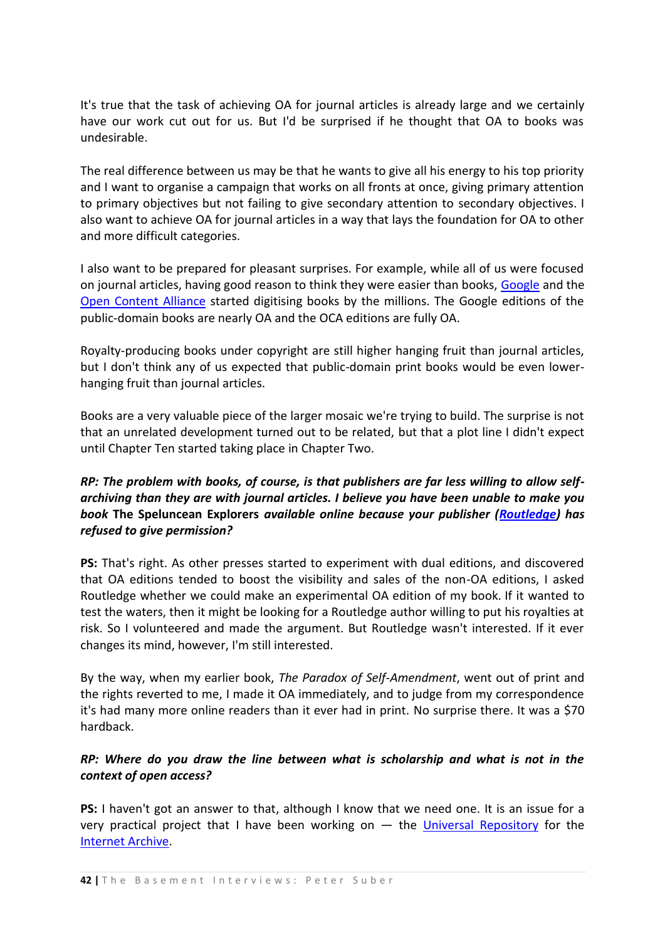It's true that the task of achieving OA for journal articles is already large and we certainly have our work cut out for us. But I'd be surprised if he thought that OA to books was undesirable.

The real difference between us may be that he wants to give all his energy to his top priority and I want to organise a campaign that works on all fronts at once, giving primary attention to primary objectives but not failing to give secondary attention to secondary objectives. I also want to achieve OA for journal articles in a way that lays the foundation for OA to other and more difficult categories.

I also want to be prepared for pleasant surprises. For example, while all of us were focused on journal articles, having good reason to think they were easier than books, [Google](http://www.google.com/) and the [Open Content Alliance](http://www.opencontentalliance.org/) started digitising books by the millions. The Google editions of the public-domain books are nearly OA and the OCA editions are fully OA.

Royalty-producing books under copyright are still higher hanging fruit than journal articles, but I don't think any of us expected that public-domain print books would be even lowerhanging fruit than journal articles.

Books are a very valuable piece of the larger mosaic we're trying to build. The surprise is not that an unrelated development turned out to be related, but that a plot line I didn't expect until Chapter Ten started taking place in Chapter Two.

## *RP: The problem with books, of course, is that publishers are far less willing to allow selfarchiving than they are with journal articles. I believe you have been unable to make you book* **The Speluncean Explorers** *available online because your publisher [\(Routledge\)](http://www.routledge.com/) has refused to give permission?*

**PS:** That's right. As other presses started to experiment with dual editions, and discovered that OA editions tended to boost the visibility and sales of the non-OA editions, I asked Routledge whether we could make an experimental OA edition of my book. If it wanted to test the waters, then it might be looking for a Routledge author willing to put his royalties at risk. So I volunteered and made the argument. But Routledge wasn't interested. If it ever changes its mind, however, I'm still interested.

By the way, when my earlier book, *The Paradox of Self-Amendment*, went out of print and the rights reverted to me, I made it OA immediately, and to judge from my correspondence it's had many more online readers than it ever had in print. No surprise there. It was a \$70 hardback.

## *RP: Where do you draw the line between what is scholarship and what is not in the context of open access?*

**PS:** I haven't got an answer to that, although I know that we need one. It is an issue for a very practical project that I have been working on  $-$  the [Universal Repository](http://www.earlham.edu/~peters/fos/newsletter/04-02-05.htm#oara) for the [Internet Archive.](http://www.archive.org/index.php)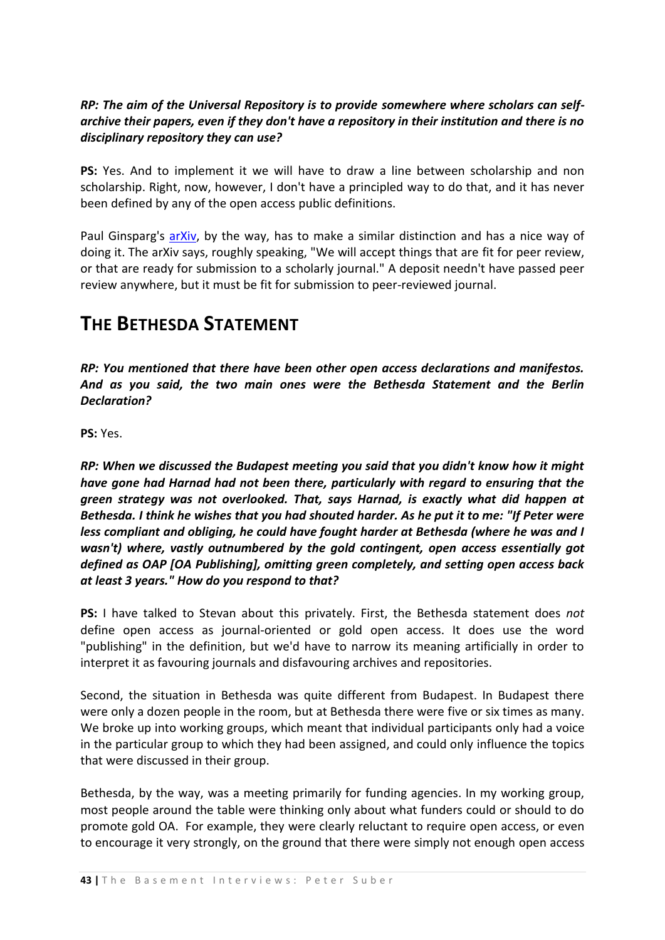### *RP: The aim of the Universal Repository is to provide somewhere where scholars can selfarchive their papers, even if they don't have a repository in their institution and there is no disciplinary repository they can use?*

**PS:** Yes. And to implement it we will have to draw a line between scholarship and non scholarship. Right, now, however, I don't have a principled way to do that, and it has never been defined by any of the open access public definitions.

Paul Ginsparg's [arXiv,](http://arxiv.org/) by the way, has to make a similar distinction and has a nice way of doing it. The arXiv says, roughly speaking, "We will accept things that are fit for peer review, or that are ready for submission to a scholarly journal." A deposit needn't have passed peer review anywhere, but it must be fit for submission to peer-reviewed journal.

## **THE BETHESDA STATEMENT**

*RP: You mentioned that there have been other open access declarations and manifestos. And as you said, the two main ones were the Bethesda Statement and the Berlin Declaration?* 

**PS:** Yes.

*RP: When we discussed the Budapest meeting you said that you didn't know how it might have gone had Harnad had not been there, particularly with regard to ensuring that the green strategy was not overlooked. That, says Harnad, is exactly what did happen at Bethesda. I think he wishes that you had shouted harder. As he put it to me: "If Peter were less compliant and obliging, he could have fought harder at Bethesda (where he was and I wasn't) where, vastly outnumbered by the gold contingent, open access essentially got defined as OAP [OA Publishing], omitting green completely, and setting open access back at least 3 years." How do you respond to that?*

**PS:** I have talked to Stevan about this privately. First, the Bethesda statement does *not* define open access as journal-oriented or gold open access. It does use the word "publishing" in the definition, but we'd have to narrow its meaning artificially in order to interpret it as favouring journals and disfavouring archives and repositories.

Second, the situation in Bethesda was quite different from Budapest. In Budapest there were only a dozen people in the room, but at Bethesda there were five or six times as many. We broke up into working groups, which meant that individual participants only had a voice in the particular group to which they had been assigned, and could only influence the topics that were discussed in their group.

Bethesda, by the way, was a meeting primarily for funding agencies. In my working group, most people around the table were thinking only about what funders could or should to do promote gold OA. For example, they were clearly reluctant to require open access, or even to encourage it very strongly, on the ground that there were simply not enough open access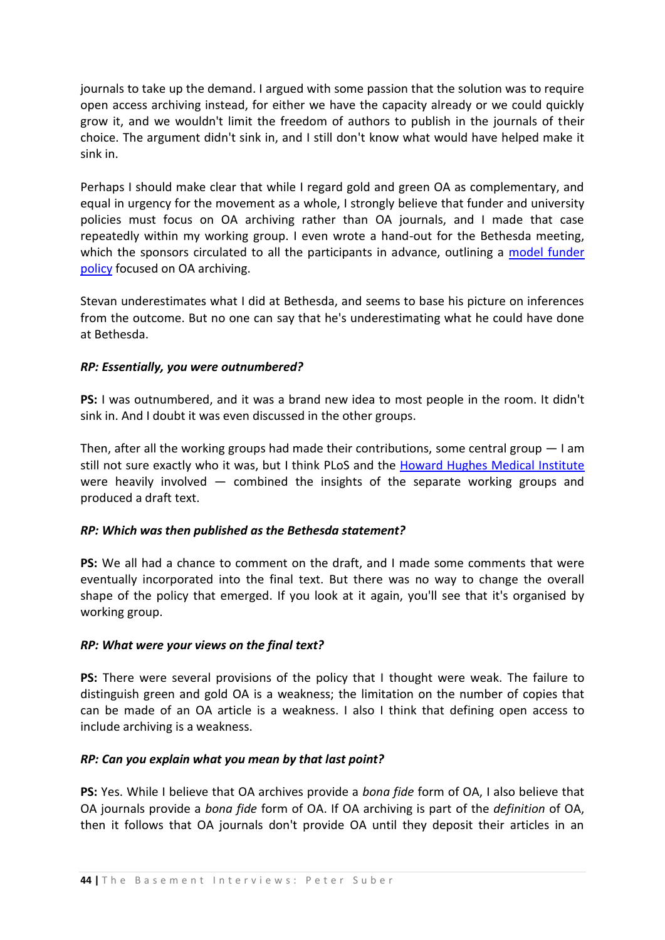journals to take up the demand. I argued with some passion that the solution was to require open access archiving instead, for either we have the capacity already or we could quickly grow it, and we wouldn't limit the freedom of authors to publish in the journals of their choice. The argument didn't sink in, and I still don't know what would have helped make it sink in.

Perhaps I should make clear that while I regard gold and green OA as complementary, and equal in urgency for the movement as a whole, I strongly believe that funder and university policies must focus on OA archiving rather than OA journals, and I made that case repeatedly within my working group. I even wrote a hand-out for the Bethesda meeting, which the sponsors circulated to all the participants in advance, outlining a model funder [policy](http://www.earlham.edu/~peters/fos/foundations.htm) focused on OA archiving.

Stevan underestimates what I did at Bethesda, and seems to base his picture on inferences from the outcome. But no one can say that he's underestimating what he could have done at Bethesda.

#### *RP: Essentially, you were outnumbered?*

**PS:** I was outnumbered, and it was a brand new idea to most people in the room. It didn't sink in. And I doubt it was even discussed in the other groups.

Then, after all the working groups had made their contributions, some central group — I am still not sure exactly who it was, but I think PLoS and the [Howard Hughes Medical Institute](http://www.hhmi.org/) were heavily involved — combined the insights of the separate working groups and produced a draft text.

#### *RP: Which was then published as the Bethesda statement?*

**PS:** We all had a chance to comment on the draft, and I made some comments that were eventually incorporated into the final text. But there was no way to change the overall shape of the policy that emerged. If you look at it again, you'll see that it's organised by working group.

#### *RP: What were your views on the final text?*

**PS:** There were several provisions of the policy that I thought were weak. The failure to distinguish green and gold OA is a weakness; the limitation on the number of copies that can be made of an OA article is a weakness. I also I think that defining open access to include archiving is a weakness.

#### *RP: Can you explain what you mean by that last point?*

**PS:** Yes. While I believe that OA archives provide a *bona fide* form of OA, I also believe that OA journals provide a *bona fide* form of OA. If OA archiving is part of the *definition* of OA, then it follows that OA journals don't provide OA until they deposit their articles in an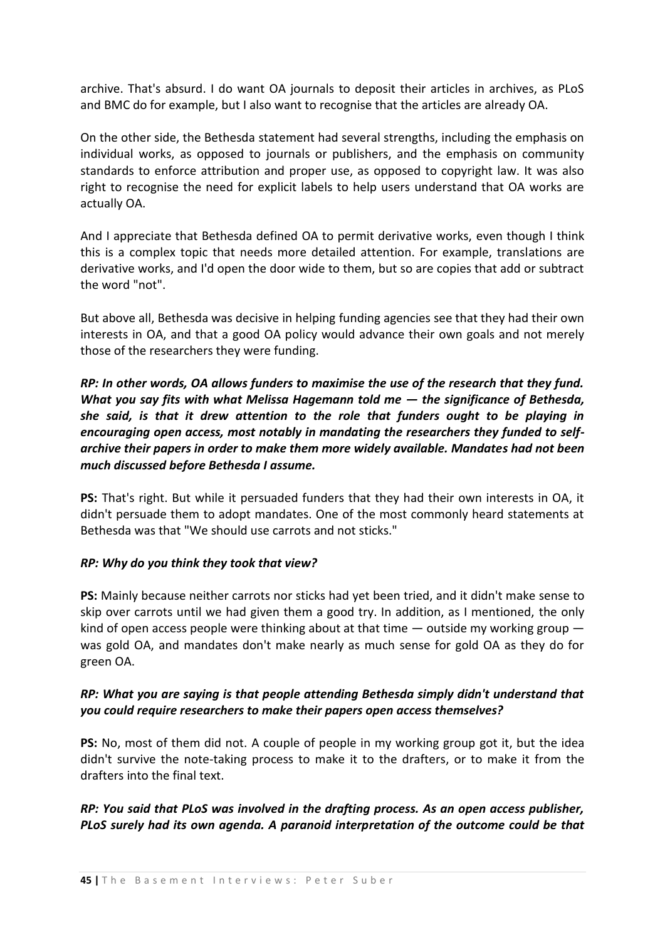archive. That's absurd. I do want OA journals to deposit their articles in archives, as PLoS and BMC do for example, but I also want to recognise that the articles are already OA.

On the other side, the Bethesda statement had several strengths, including the emphasis on individual works, as opposed to journals or publishers, and the emphasis on community standards to enforce attribution and proper use, as opposed to copyright law. It was also right to recognise the need for explicit labels to help users understand that OA works are actually OA.

And I appreciate that Bethesda defined OA to permit derivative works, even though I think this is a complex topic that needs more detailed attention. For example, translations are derivative works, and I'd open the door wide to them, but so are copies that add or subtract the word "not".

But above all, Bethesda was decisive in helping funding agencies see that they had their own interests in OA, and that a good OA policy would advance their own goals and not merely those of the researchers they were funding.

*RP: In other words, OA allows funders to maximise the use of the research that they fund. What you say fits with what Melissa Hagemann told me — the significance of Bethesda, she said, is that it drew attention to the role that funders ought to be playing in encouraging open access, most notably in mandating the researchers they funded to selfarchive their papers in order to make them more widely available. Mandates had not been much discussed before Bethesda I assume.* 

**PS:** That's right. But while it persuaded funders that they had their own interests in OA, it didn't persuade them to adopt mandates. One of the most commonly heard statements at Bethesda was that "We should use carrots and not sticks."

#### *RP: Why do you think they took that view?*

**PS:** Mainly because neither carrots nor sticks had yet been tried, and it didn't make sense to skip over carrots until we had given them a good try. In addition, as I mentioned, the only kind of open access people were thinking about at that time  $-$  outside my working group  $$ was gold OA, and mandates don't make nearly as much sense for gold OA as they do for green OA.

#### *RP: What you are saying is that people attending Bethesda simply didn't understand that you could require researchers to make their papers open access themselves?*

**PS:** No, most of them did not. A couple of people in my working group got it, but the idea didn't survive the note-taking process to make it to the drafters, or to make it from the drafters into the final text.

## *RP: You said that PLoS was involved in the drafting process. As an open access publisher, PLoS surely had its own agenda. A paranoid interpretation of the outcome could be that*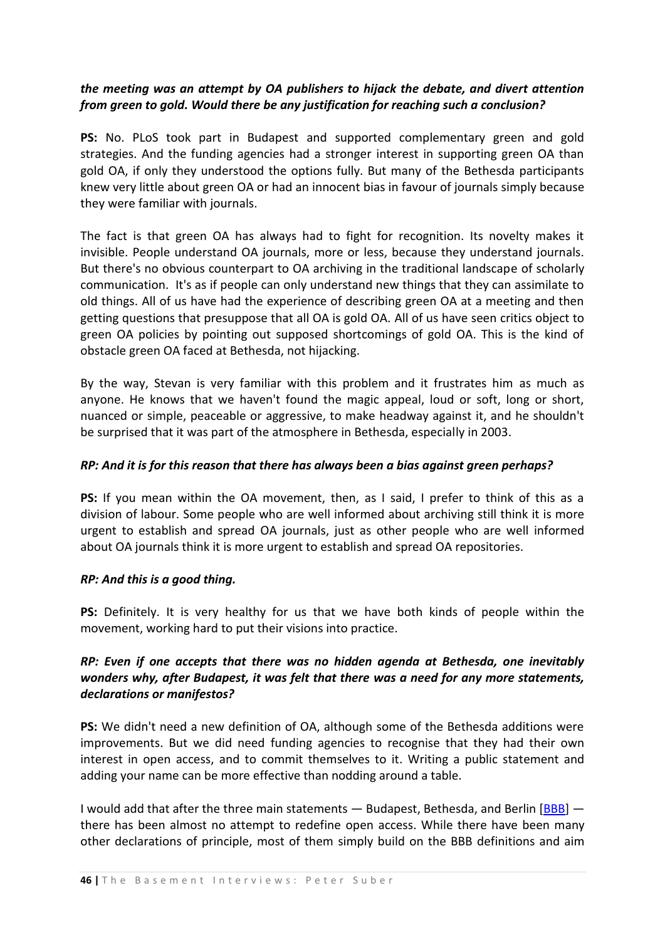## *the meeting was an attempt by OA publishers to hijack the debate, and divert attention from green to gold. Would there be any justification for reaching such a conclusion?*

**PS:** No. PLoS took part in Budapest and supported complementary green and gold strategies. And the funding agencies had a stronger interest in supporting green OA than gold OA, if only they understood the options fully. But many of the Bethesda participants knew very little about green OA or had an innocent bias in favour of journals simply because they were familiar with journals.

The fact is that green OA has always had to fight for recognition. Its novelty makes it invisible. People understand OA journals, more or less, because they understand journals. But there's no obvious counterpart to OA archiving in the traditional landscape of scholarly communication. It's as if people can only understand new things that they can assimilate to old things. All of us have had the experience of describing green OA at a meeting and then getting questions that presuppose that all OA is gold OA. All of us have seen critics object to green OA policies by pointing out supposed shortcomings of gold OA. This is the kind of obstacle green OA faced at Bethesda, not hijacking.

By the way, Stevan is very familiar with this problem and it frustrates him as much as anyone. He knows that we haven't found the magic appeal, loud or soft, long or short, nuanced or simple, peaceable or aggressive, to make headway against it, and he shouldn't be surprised that it was part of the atmosphere in Bethesda, especially in 2003.

#### *RP: And it is for this reason that there has always been a bias against green perhaps?*

**PS:** If you mean within the OA movement, then, as I said, I prefer to think of this as a division of labour. Some people who are well informed about archiving still think it is more urgent to establish and spread OA journals, just as other people who are well informed about OA journals think it is more urgent to establish and spread OA repositories.

#### *RP: And this is a good thing.*

**PS:** Definitely. It is very healthy for us that we have both kinds of people within the movement, working hard to put their visions into practice.

## *RP: Even if one accepts that there was no hidden agenda at Bethesda, one inevitably wonders why, after Budapest, it was felt that there was a need for any more statements, declarations or manifestos?*

**PS:** We didn't need a new definition of OA, although some of the Bethesda additions were improvements. But we did need funding agencies to recognise that they had their own interest in open access, and to commit themselves to it. Writing a public statement and adding your name can be more effective than nodding around a table.

I would add that after the three main statements  $-$  Budapest, Bethesda, and Berlin  $[BBB]$   $$ there has been almost no attempt to redefine open access. While there have been many other declarations of principle, most of them simply build on the BBB definitions and aim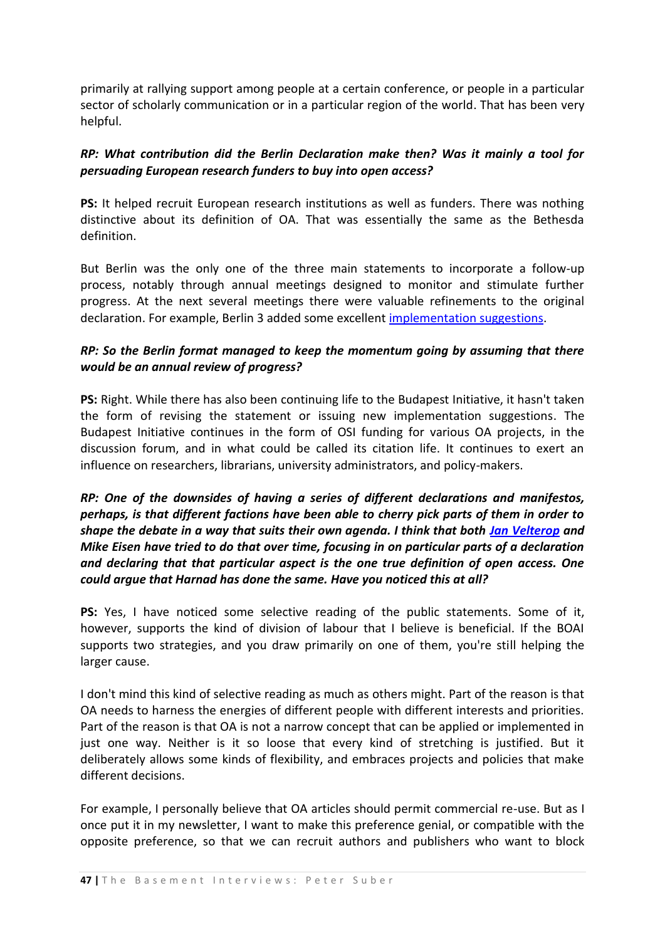primarily at rallying support among people at a certain conference, or people in a particular sector of scholarly communication or in a particular region of the world. That has been very helpful.

### *RP: What contribution did the Berlin Declaration make then? Was it mainly a tool for persuading European research funders to buy into open access?*

**PS:** It helped recruit European research institutions as well as funders. There was nothing distinctive about its definition of OA. That was essentially the same as the Bethesda definition.

But Berlin was the only one of the three main statements to incorporate a follow-up process, notably through annual meetings designed to monitor and stimulate further progress. At the next several meetings there were valuable refinements to the original declaration. For example, Berlin 3 added some excellent [implementation suggestions.](http://www.eprints.org/events/berlin3/outcomes.html)

## *RP: So the Berlin format managed to keep the momentum going by assuming that there would be an annual review of progress?*

**PS:** Right. While there has also been continuing life to the Budapest Initiative, it hasn't taken the form of revising the statement or issuing new implementation suggestions. The Budapest Initiative continues in the form of OSI funding for various OA projects, in the discussion forum, and in what could be called its citation life. It continues to exert an influence on researchers, librarians, university administrators, and policy-makers.

*RP: One of the downsides of having a series of different declarations and manifestos, perhaps, is that different factions have been able to cherry pick parts of them in order to shape the debate in a way that suits their own agenda. I think that both [Jan Velterop](http://wwmm.ch.cam.ac.uk/blogs/murrayrust/?p=396#comment-34169) and Mike Eisen have tried to do that over time, focusing in on particular parts of a declaration and declaring that that particular aspect is the one true definition of open access. One could argue that Harnad has done the same. Have you noticed this at all?* 

**PS:** Yes, I have noticed some selective reading of the public statements. Some of it, however, supports the kind of division of labour that I believe is beneficial. If the BOAI supports two strategies, and you draw primarily on one of them, you're still helping the larger cause.

I don't mind this kind of selective reading as much as others might. Part of the reason is that OA needs to harness the energies of different people with different interests and priorities. Part of the reason is that OA is not a narrow concept that can be applied or implemented in just one way. Neither is it so loose that every kind of stretching is justified. But it deliberately allows some kinds of flexibility, and embraces projects and policies that make different decisions.

For example, I personally believe that OA articles should permit commercial re-use. But as I once put it in my newsletter, I want to make this preference genial, or compatible with the opposite preference, so that we can recruit authors and publishers who want to block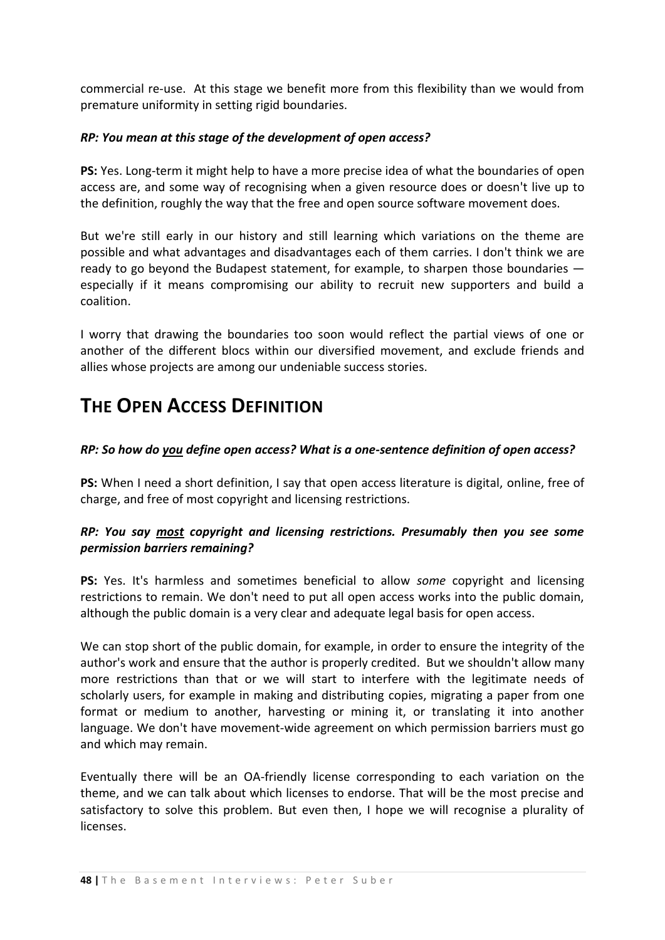commercial re-use. At this stage we benefit more from this flexibility than we would from premature uniformity in setting rigid boundaries.

#### *RP: You mean at this stage of the development of open access?*

**PS:** Yes. Long-term it might help to have a more precise idea of what the boundaries of open access are, and some way of recognising when a given resource does or doesn't live up to the definition, roughly the way that the free and open source software movement does.

But we're still early in our history and still learning which variations on the theme are possible and what advantages and disadvantages each of them carries. I don't think we are ready to go beyond the Budapest statement, for example, to sharpen those boundaries especially if it means compromising our ability to recruit new supporters and build a coalition.

I worry that drawing the boundaries too soon would reflect the partial views of one or another of the different blocs within our diversified movement, and exclude friends and allies whose projects are among our undeniable success stories.

## **THE OPEN ACCESS DEFINITION**

#### *RP: So how do you define open access? What is a one-sentence definition of open access?*

**PS:** When I need a short definition, I say that open access literature is digital, online, free of charge, and free of most copyright and licensing restrictions.

#### *RP: You say most copyright and licensing restrictions. Presumably then you see some permission barriers remaining?*

**PS:** Yes. It's harmless and sometimes beneficial to allow *some* copyright and licensing restrictions to remain. We don't need to put all open access works into the public domain, although the public domain is a very clear and adequate legal basis for open access.

We can stop short of the public domain, for example, in order to ensure the integrity of the author's work and ensure that the author is properly credited. But we shouldn't allow many more restrictions than that or we will start to interfere with the legitimate needs of scholarly users, for example in making and distributing copies, migrating a paper from one format or medium to another, harvesting or mining it, or translating it into another language. We don't have movement-wide agreement on which permission barriers must go and which may remain.

Eventually there will be an OA-friendly license corresponding to each variation on the theme, and we can talk about which licenses to endorse. That will be the most precise and satisfactory to solve this problem. But even then, I hope we will recognise a plurality of licenses.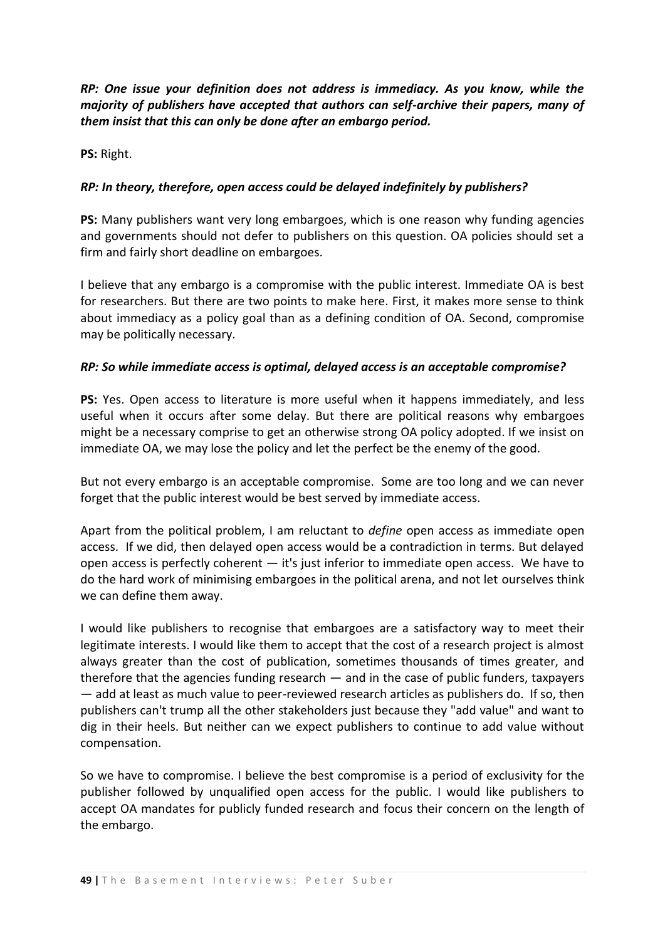*RP: One issue your definition does not address is immediacy. As you know, while the majority of publishers have accepted that authors can self-archive their papers, many of them insist that this can only be done after an embargo period.* 

**PS:** Right.

#### *RP: In theory, therefore, open access could be delayed indefinitely by publishers?*

**PS:** Many publishers want very long embargoes, which is one reason why funding agencies and governments should not defer to publishers on this question. OA policies should set a firm and fairly short deadline on embargoes.

I believe that any embargo is a compromise with the public interest. Immediate OA is best for researchers. But there are two points to make here. First, it makes more sense to think about immediacy as a policy goal than as a defining condition of OA. Second, compromise may be politically necessary.

#### *RP: So while immediate access is optimal, delayed access is an acceptable compromise?*

**PS:** Yes. Open access to literature is more useful when it happens immediately, and less useful when it occurs after some delay. But there are political reasons why embargoes might be a necessary comprise to get an otherwise strong OA policy adopted. If we insist on immediate OA, we may lose the policy and let the perfect be the enemy of the good.

But not every embargo is an acceptable compromise. Some are too long and we can never forget that the public interest would be best served by immediate access.

Apart from the political problem, I am reluctant to *define* open access as immediate open access. If we did, then delayed open access would be a contradiction in terms. But delayed open access is perfectly coherent — it's just inferior to immediate open access. We have to do the hard work of minimising embargoes in the political arena, and not let ourselves think we can define them away.

I would like publishers to recognise that embargoes are a satisfactory way to meet their legitimate interests. I would like them to accept that the cost of a research project is almost always greater than the cost of publication, sometimes thousands of times greater, and therefore that the agencies funding research — and in the case of public funders, taxpayers — add at least as much value to peer-reviewed research articles as publishers do. If so, then publishers can't trump all the other stakeholders just because they "add value" and want to dig in their heels. But neither can we expect publishers to continue to add value without compensation.

So we have to compromise. I believe the best compromise is a period of exclusivity for the publisher followed by unqualified open access for the public. I would like publishers to accept OA mandates for publicly funded research and focus their concern on the length of the embargo.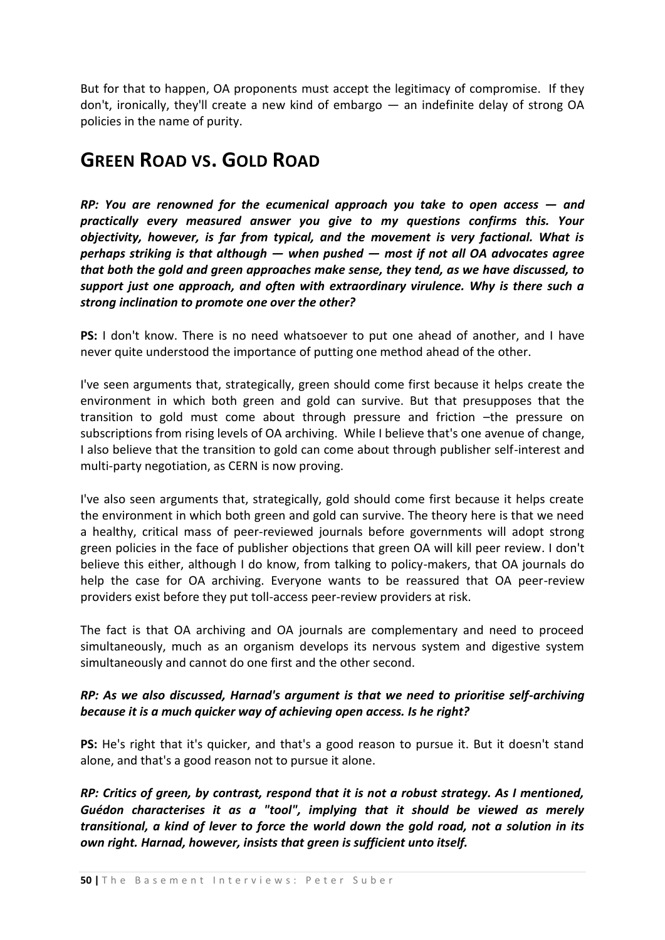But for that to happen, OA proponents must accept the legitimacy of compromise. If they don't, ironically, they'll create a new kind of embargo — an indefinite delay of strong OA policies in the name of purity.

## **GREEN ROAD VS. GOLD ROAD**

*RP: You are renowned for the ecumenical approach you take to open access — and practically every measured answer you give to my questions confirms this. Your objectivity, however, is far from typical, and the movement is very factional. What is perhaps striking is that although — when pushed — most if not all OA advocates agree that both the gold and green approaches make sense, they tend, as we have discussed, to support just one approach, and often with extraordinary virulence. Why is there such a strong inclination to promote one over the other?* 

**PS:** I don't know. There is no need whatsoever to put one ahead of another, and I have never quite understood the importance of putting one method ahead of the other.

I've seen arguments that, strategically, green should come first because it helps create the environment in which both green and gold can survive. But that presupposes that the transition to gold must come about through pressure and friction –the pressure on subscriptions from rising levels of OA archiving. While I believe that's one avenue of change, I also believe that the transition to gold can come about through publisher self-interest and multi-party negotiation, as CERN is now proving.

I've also seen arguments that, strategically, gold should come first because it helps create the environment in which both green and gold can survive. The theory here is that we need a healthy, critical mass of peer-reviewed journals before governments will adopt strong green policies in the face of publisher objections that green OA will kill peer review. I don't believe this either, although I do know, from talking to policy-makers, that OA journals do help the case for OA archiving. Everyone wants to be reassured that OA peer-review providers exist before they put toll-access peer-review providers at risk.

The fact is that OA archiving and OA journals are complementary and need to proceed simultaneously, much as an organism develops its nervous system and digestive system simultaneously and cannot do one first and the other second.

## *RP: As we also discussed, Harnad's argument is that we need to prioritise self-archiving because it is a much quicker way of achieving open access. Is he right?*

**PS:** He's right that it's quicker, and that's a good reason to pursue it. But it doesn't stand alone, and that's a good reason not to pursue it alone.

*RP: Critics of green, by contrast, respond that it is not a robust strategy. As I mentioned, Guédon characterises it as a "tool", implying that it should be viewed as merely transitional, a kind of lever to force the world down the gold road, not a solution in its own right. Harnad, however, insists that green is sufficient unto itself.*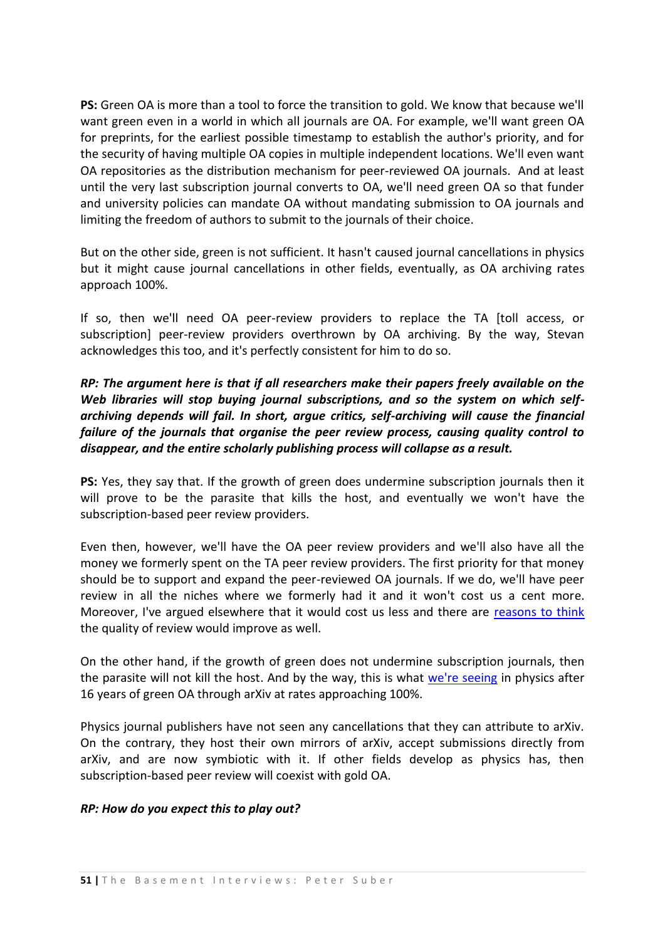**PS:** Green OA is more than a tool to force the transition to gold. We know that because we'll want green even in a world in which all journals are OA. For example, we'll want green OA for preprints, for the earliest possible timestamp to establish the author's priority, and for the security of having multiple OA copies in multiple independent locations. We'll even want OA repositories as the distribution mechanism for peer-reviewed OA journals. And at least until the very last subscription journal converts to OA, we'll need green OA so that funder and university policies can mandate OA without mandating submission to OA journals and limiting the freedom of authors to submit to the journals of their choice.

But on the other side, green is not sufficient. It hasn't caused journal cancellations in physics but it might cause journal cancellations in other fields, eventually, as OA archiving rates approach 100%.

If so, then we'll need OA peer-review providers to replace the TA [toll access, or subscription] peer-review providers overthrown by OA archiving. By the way, Stevan acknowledges this too, and it's perfectly consistent for him to do so.

## *RP: The argument here is that if all researchers make their papers freely available on the Web libraries will stop buying journal subscriptions, and so the system on which selfarchiving depends will fail. In short, argue critics, self-archiving will cause the financial failure of the journals that organise the peer review process, causing quality control to disappear, and the entire scholarly publishing process will collapse as a result.*

**PS:** Yes, they say that. If the growth of green does undermine subscription journals then it will prove to be the parasite that kills the host, and eventually we won't have the subscription-based peer review providers.

Even then, however, we'll have the OA peer review providers and we'll also have all the money we formerly spent on the TA peer review providers. The first priority for that money should be to support and expand the peer-reviewed OA journals. If we do, we'll have peer review in all the niches where we formerly had it and it won't cost us a cent more. Moreover, I've argued elsewhere that it would cost us less and there are [reasons to think](http://www.earlham.edu/~peters/fos/newsletter/10-02-06.htm#quality) the quality of review would improve as well.

On the other hand, if the growth of green does not undermine subscription journals, then the parasite will not kill the host. And by the way, this is what [we're seeing](http://eprints.ecs.soton.ac.uk/11006/) in physics after 16 years of green OA through arXiv at rates approaching 100%.

Physics journal publishers have not seen any cancellations that they can attribute to arXiv. On the contrary, they host their own mirrors of arXiv, accept submissions directly from arXiv, and are now symbiotic with it. If other fields develop as physics has, then subscription-based peer review will coexist with gold OA.

#### *RP: How do you expect this to play out?*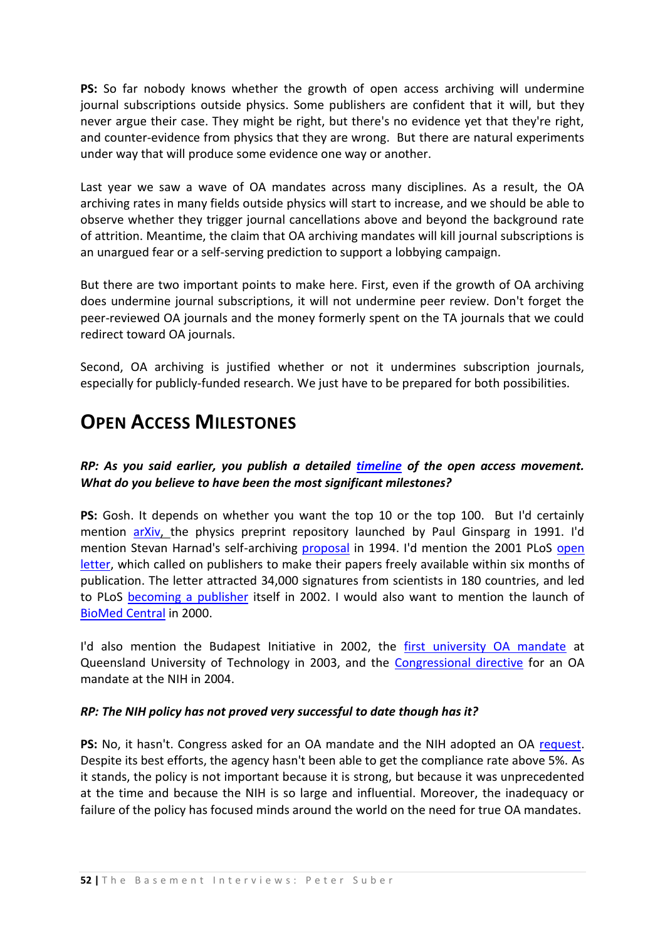**PS:** So far nobody knows whether the growth of open access archiving will undermine journal subscriptions outside physics. Some publishers are confident that it will, but they never argue their case. They might be right, but there's no evidence yet that they're right, and counter-evidence from physics that they are wrong. But there are natural experiments under way that will produce some evidence one way or another.

Last year we saw a wave of OA mandates across many disciplines. As a result, the OA archiving rates in many fields outside physics will start to increase, and we should be able to observe whether they trigger journal cancellations above and beyond the background rate of attrition. Meantime, the claim that OA archiving mandates will kill journal subscriptions is an unargued fear or a self-serving prediction to support a lobbying campaign.

But there are two important points to make here. First, even if the growth of OA archiving does undermine journal subscriptions, it will not undermine peer review. Don't forget the peer-reviewed OA journals and the money formerly spent on the TA journals that we could redirect toward OA journals.

Second, OA archiving is justified whether or not it undermines subscription journals, especially for publicly-funded research. We just have to be prepared for both possibilities.

## **OPEN ACCESS MILESTONES**

## *RP: As you said earlier, you publish a detailed [timeline](http://www.earlham.edu/~peters/fos/timeline.htm) of the open access movement. What do you believe to have been the most significant milestones?*

**PS:** Gosh. It depends on whether you want the top 10 or the top 100. But I'd certainly mention [arXiv,](http://en.wikipedia.org/wiki/Arxiv) the physics preprint repository launched by Paul Ginsparg in 1991. I'd mention Stevan Harnad's self-archiving [proposal](http://www.arl.org/scomm/subversive/sub01.html) in 1994. I'd mention the 2001 PLoS [open](http://www.plos.org/about/letter.html)  [letter,](http://www.plos.org/about/letter.html) which called on publishers to make their papers freely available within six months of publication. The letter attracted 34,000 signatures from scientists in 180 countries, and led to PLoS [becoming a publisher](http://query.nytimes.com/gst/fullpage.html?sec=technology&res=9406E5D8173DF934A25751C1A9649C8B63) itself in 2002. I would also want to mention the launch of [BioMed Central](http://www.biomedcentral.com/home/) in 2000.

I'd also mention the Budapest Initiative in 2002, the [first university OA mandate](http://www.eprints.org/openaccess/policysignup/fullinfo.php?inst=Queensland%20University%20of%20Technology) at Queensland University of Technology in 2003, and the [Congressional directive](http://thomas.loc.gov/cgi-bin/cpquery/?&db_id=cp108&r_n=hr636.108&sel=TOC_338641&) for an OA mandate at the NIH in 2004.

#### *RP: The NIH policy has not proved very successful to date though has it?*

**PS:** No, it hasn't. Congress asked for an OA mandate and the NIH adopted an OA [request.](http://grants.nih.gov/grants/guide/notice-files/NOT-OD-04-064.html) Despite its best efforts, the agency hasn't been able to get the compliance rate above 5%. As it stands, the policy is not important because it is strong, but because it was unprecedented at the time and because the NIH is so large and influential. Moreover, the inadequacy or failure of the policy has focused minds around the world on the need for true OA mandates.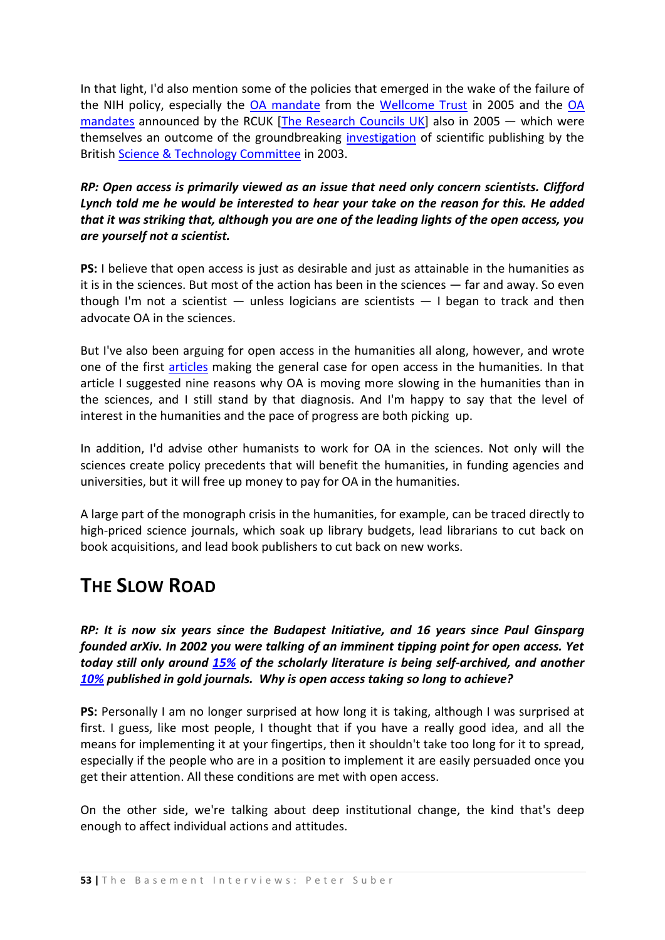In that light, I'd also mention some of the policies that emerged in the wake of the failure of the NIH policy, especially the [OA mandate](http://www.wellcome.ac.uk/doc_WTD002766.html) from the [Wellcome Trust](http://www.wellcome.ac.uk/) in 2005 and the [OA](http://www.rcuk.ac.uk/research/outputs/access/2005.htm)  [mandates](http://www.rcuk.ac.uk/research/outputs/access/2005.htm) announced by the RCUK [\[The Research Councils UK\]](http://www.rcuk.ac.uk/default.htm) also in 2005 — which were themselves an outcome of the groundbreaking [investigation](http://www.publications.parliament.uk/pa/cm200304/cmselect/cmsctech/399/39902.htm) of scientific publishing by the British [Science & Technology Committee](http://www.parliament.uk/parliamentary_committees/science_and_technology_committee.cfm) in 2003.

## *RP: Open access is primarily viewed as an issue that need only concern scientists. Clifford Lynch told me he would be interested to hear your take on the reason for this. He added that it was striking that, although you are one of the leading lights of the open access, you are yourself not a scientist.*

**PS:** I believe that open access is just as desirable and just as attainable in the humanities as it is in the sciences. But most of the action has been in the sciences — far and away. So even though I'm not a scientist  $-$  unless logicians are scientists  $-$  I began to track and then advocate OA in the sciences.

But I've also been arguing for open access in the humanities all along, however, and wrote one of the first [articles](http://www.earlham.edu/~peters/writing/apa.htm) making the general case for open access in the humanities. In that article I suggested nine reasons why OA is moving more slowing in the humanities than in the sciences, and I still stand by that diagnosis. And I'm happy to say that the level of interest in the humanities and the pace of progress are both picking up.

In addition, I'd advise other humanists to work for OA in the sciences. Not only will the sciences create policy precedents that will benefit the humanities, in funding agencies and universities, but it will free up money to pay for OA in the humanities.

A large part of the monograph crisis in the humanities, for example, can be traced directly to high-priced science journals, which soak up library budgets, lead librarians to cut back on book acquisitions, and lead book publishers to cut back on new works.

## **THE SLOW ROAD**

*RP: It is now six years since the Budapest Initiative, and 16 years since Paul Ginsparg founded arXiv. In 2002 you were talking of an imminent tipping point for open access. Yet today still only around [15%](http://users.ecs.soton.ac.uk/harnad/Temp/Romeo/romeosum.html) of the scholarly literature is being self-archived, and another [10%](http://eprints.ecs.soton.ac.uk/13964/) published in gold journals. Why is open access taking so long to achieve?*

**PS:** Personally I am no longer surprised at how long it is taking, although I was surprised at first. I guess, like most people, I thought that if you have a really good idea, and all the means for implementing it at your fingertips, then it shouldn't take too long for it to spread, especially if the people who are in a position to implement it are easily persuaded once you get their attention. All these conditions are met with open access.

On the other side, we're talking about deep institutional change, the kind that's deep enough to affect individual actions and attitudes.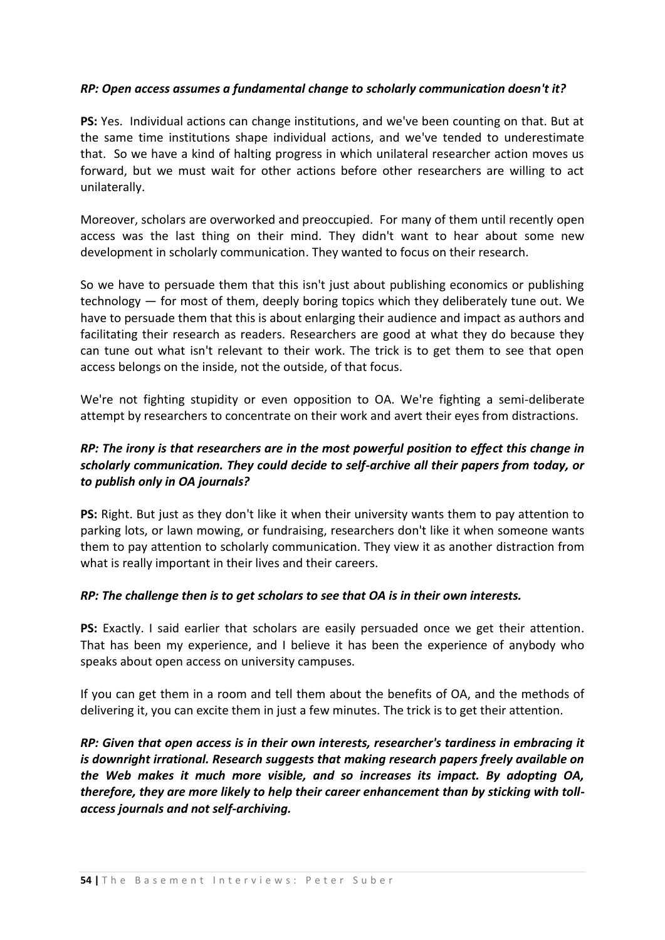#### *RP: Open access assumes a fundamental change to scholarly communication doesn't it?*

**PS:** Yes. Individual actions can change institutions, and we've been counting on that. But at the same time institutions shape individual actions, and we've tended to underestimate that. So we have a kind of halting progress in which unilateral researcher action moves us forward, but we must wait for other actions before other researchers are willing to act unilaterally.

Moreover, scholars are overworked and preoccupied. For many of them until recently open access was the last thing on their mind. They didn't want to hear about some new development in scholarly communication. They wanted to focus on their research.

So we have to persuade them that this isn't just about publishing economics or publishing technology — for most of them, deeply boring topics which they deliberately tune out. We have to persuade them that this is about enlarging their audience and impact as authors and facilitating their research as readers. Researchers are good at what they do because they can tune out what isn't relevant to their work. The trick is to get them to see that open access belongs on the inside, not the outside, of that focus.

We're not fighting stupidity or even opposition to OA. We're fighting a semi-deliberate attempt by researchers to concentrate on their work and avert their eyes from distractions.

## *RP: The irony is that researchers are in the most powerful position to effect this change in scholarly communication. They could decide to self-archive all their papers from today, or to publish only in OA journals?*

**PS:** Right. But just as they don't like it when their university wants them to pay attention to parking lots, or lawn mowing, or fundraising, researchers don't like it when someone wants them to pay attention to scholarly communication. They view it as another distraction from what is really important in their lives and their careers.

#### *RP: The challenge then is to get scholars to see that OA is in their own interests.*

**PS:** Exactly. I said earlier that scholars are easily persuaded once we get their attention. That has been my experience, and I believe it has been the experience of anybody who speaks about open access on university campuses.

If you can get them in a room and tell them about the benefits of OA, and the methods of delivering it, you can excite them in just a few minutes. The trick is to get their attention.

*RP: Given that open access is in their own interests, researcher's tardiness in embracing it is downright irrational. Research suggests that making research papers freely available on the Web makes it much more visible, and so increases its impact. By adopting OA, therefore, they are more likely to help their career enhancement than by sticking with tollaccess journals and not self-archiving.*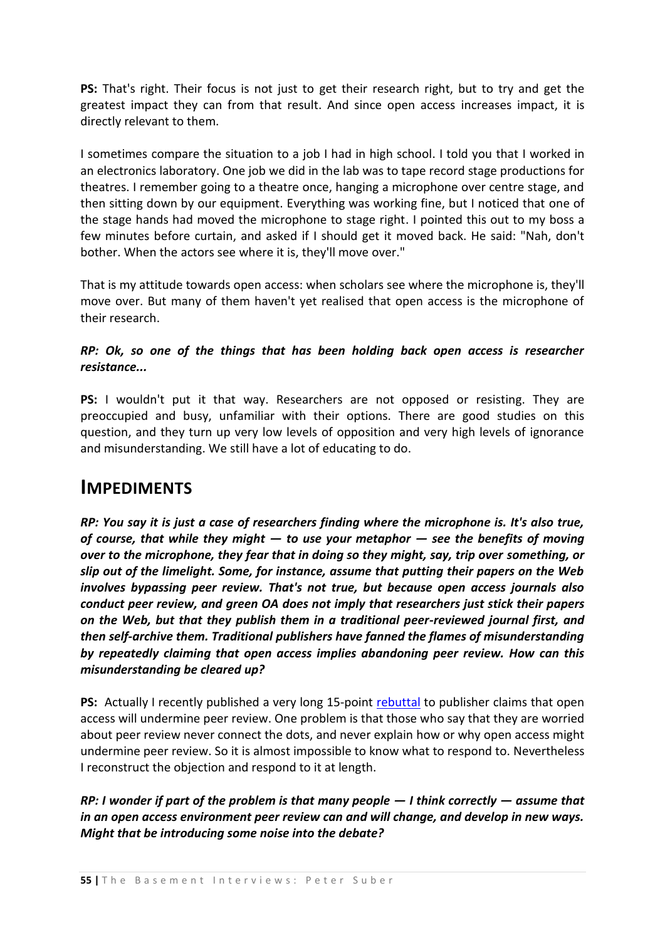**PS:** That's right. Their focus is not just to get their research right, but to try and get the greatest impact they can from that result. And since open access increases impact, it is directly relevant to them.

I sometimes compare the situation to a job I had in high school. I told you that I worked in an electronics laboratory. One job we did in the lab was to tape record stage productions for theatres. I remember going to a theatre once, hanging a microphone over centre stage, and then sitting down by our equipment. Everything was working fine, but I noticed that one of the stage hands had moved the microphone to stage right. I pointed this out to my boss a few minutes before curtain, and asked if I should get it moved back. He said: "Nah, don't bother. When the actors see where it is, they'll move over."

That is my attitude towards open access: when scholars see where the microphone is, they'll move over. But many of them haven't yet realised that open access is the microphone of their research.

#### *RP: Ok, so one of the things that has been holding back open access is researcher resistance...*

**PS:** I wouldn't put it that way. Researchers are not opposed or resisting. They are preoccupied and busy, unfamiliar with their options. There are good studies on this question, and they turn up very low levels of opposition and very high levels of ignorance and misunderstanding. We still have a lot of educating to do.

## **IMPEDIMENTS**

*RP: You say it is just a case of researchers finding where the microphone is. It's also true, of course, that while they might — to use your metaphor — see the benefits of moving over to the microphone, they fear that in doing so they might, say, trip over something, or slip out of the limelight. Some, for instance, assume that putting their papers on the Web involves bypassing peer review. That's not true, but because open access journals also conduct peer review, and green OA does not imply that researchers just stick their papers on the Web, but that they publish them in a traditional peer-reviewed journal first, and then self-archive them. Traditional publishers have fanned the flames of misunderstanding by repeatedly claiming that open access implies abandoning peer review. How can this misunderstanding be cleared up?*

**PS:** Actually I recently published a very long 15-point [rebuttal](http://www.earlham.edu/~peters/fos/newsletter/09-02-07.htm#peerreview) to publisher claims that open access will undermine peer review. One problem is that those who say that they are worried about peer review never connect the dots, and never explain how or why open access might undermine peer review. So it is almost impossible to know what to respond to. Nevertheless I reconstruct the objection and respond to it at length.

*RP: I wonder if part of the problem is that many people — I think correctly — assume that in an open access environment peer review can and will change, and develop in new ways. Might that be introducing some noise into the debate?*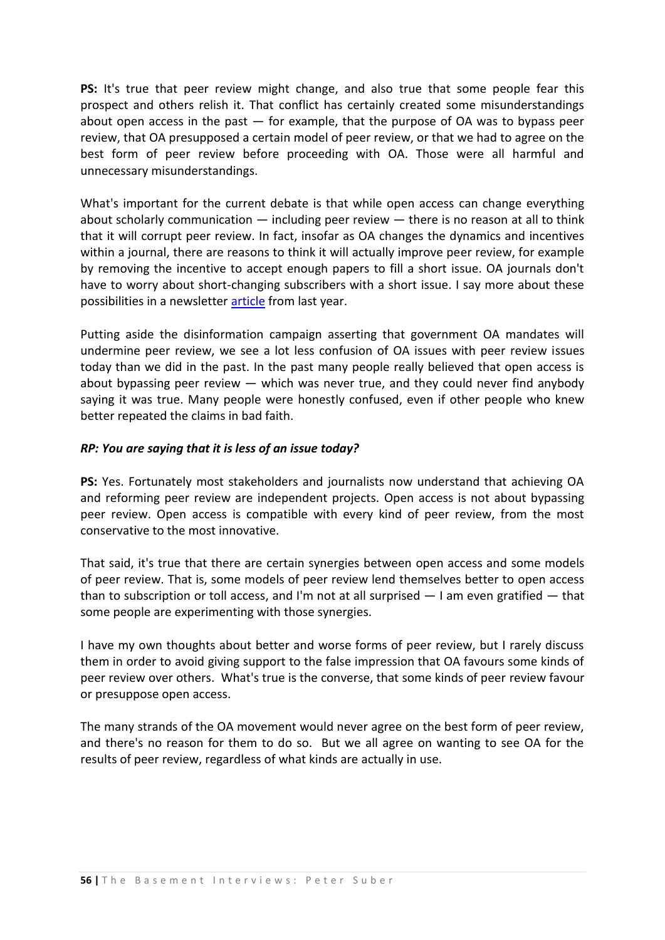**PS:** It's true that peer review might change, and also true that some people fear this prospect and others relish it. That conflict has certainly created some misunderstandings about open access in the past  $-$  for example, that the purpose of OA was to bypass peer review, that OA presupposed a certain model of peer review, or that we had to agree on the best form of peer review before proceeding with OA. Those were all harmful and unnecessary misunderstandings.

What's important for the current debate is that while open access can change everything about scholarly communication  $-$  including peer review  $-$  there is no reason at all to think that it will corrupt peer review. In fact, insofar as OA changes the dynamics and incentives within a journal, there are reasons to think it will actually improve peer review, for example by removing the incentive to accept enough papers to fill a short issue. OA journals don't have to worry about short-changing subscribers with a short issue. I say more about these possibilities in a newsletter [article](http://www.earlham.edu/~peters/fos/newsletter/10-02-06.htm#quality) from last year.

Putting aside the disinformation campaign asserting that government OA mandates will undermine peer review, we see a lot less confusion of OA issues with peer review issues today than we did in the past. In the past many people really believed that open access is about bypassing peer review  $-$  which was never true, and they could never find anybody saying it was true. Many people were honestly confused, even if other people who knew better repeated the claims in bad faith.

#### *RP: You are saying that it is less of an issue today?*

**PS:** Yes. Fortunately most stakeholders and journalists now understand that achieving OA and reforming peer review are independent projects. Open access is not about bypassing peer review. Open access is compatible with every kind of peer review, from the most conservative to the most innovative.

That said, it's true that there are certain synergies between open access and some models of peer review. That is, some models of peer review lend themselves better to open access than to subscription or toll access, and I'm not at all surprised  $-1$  am even gratified  $-$  that some people are experimenting with those synergies.

I have my own thoughts about better and worse forms of peer review, but I rarely discuss them in order to avoid giving support to the false impression that OA favours some kinds of peer review over others. What's true is the converse, that some kinds of peer review favour or presuppose open access.

The many strands of the OA movement would never agree on the best form of peer review, and there's no reason for them to do so. But we all agree on wanting to see OA for the results of peer review, regardless of what kinds are actually in use.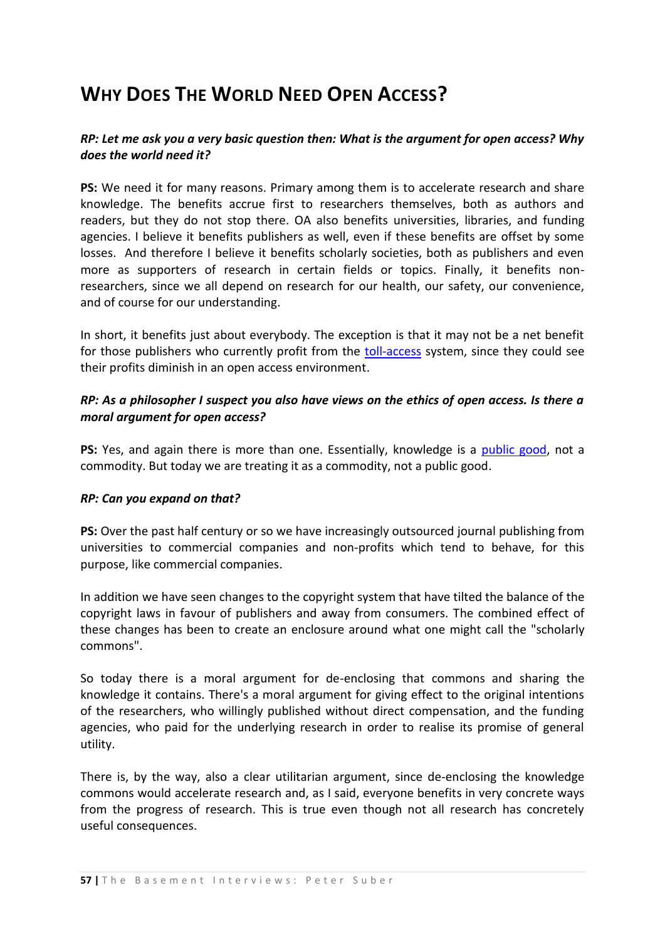# **WHY DOES THE WORLD NEED OPEN ACCESS?**

### *RP: Let me ask you a very basic question then: What is the argument for open access? Why does the world need it?*

**PS:** We need it for many reasons. Primary among them is to accelerate research and share knowledge. The benefits accrue first to researchers themselves, both as authors and readers, but they do not stop there. OA also benefits universities, libraries, and funding agencies. I believe it benefits publishers as well, even if these benefits are offset by some losses. And therefore I believe it benefits scholarly societies, both as publishers and even more as supporters of research in certain fields or topics. Finally, it benefits nonresearchers, since we all depend on research for our health, our safety, our convenience, and of course for our understanding.

In short, it benefits just about everybody. The exception is that it may not be a net benefit for those publishers who currently profit from the [toll-access](http://users.ecs.soton.ac.uk/harnad/Hypermail/Amsci/2968.html) system, since they could see their profits diminish in an open access environment.

#### *RP: As a philosopher I suspect you also have views on the ethics of open access. Is there a moral argument for open access?*

**PS:** Yes, and again there is more than one. Essentially, knowledge is a [public good,](http://en.wikipedia.org/wiki/Public_good) not a commodity. But today we are treating it as a commodity, not a public good.

#### *RP: Can you expand on that?*

**PS:** Over the past half century or so we have increasingly outsourced journal publishing from universities to commercial companies and non-profits which tend to behave, for this purpose, like commercial companies.

In addition we have seen changes to the copyright system that have tilted the balance of the copyright laws in favour of publishers and away from consumers. The combined effect of these changes has been to create an enclosure around what one might call the "scholarly commons".

So today there is a moral argument for de-enclosing that commons and sharing the knowledge it contains. There's a moral argument for giving effect to the original intentions of the researchers, who willingly published without direct compensation, and the funding agencies, who paid for the underlying research in order to realise its promise of general utility.

There is, by the way, also a clear utilitarian argument, since de-enclosing the knowledge commons would accelerate research and, as I said, everyone benefits in very concrete ways from the progress of research. This is true even though not all research has concretely useful consequences.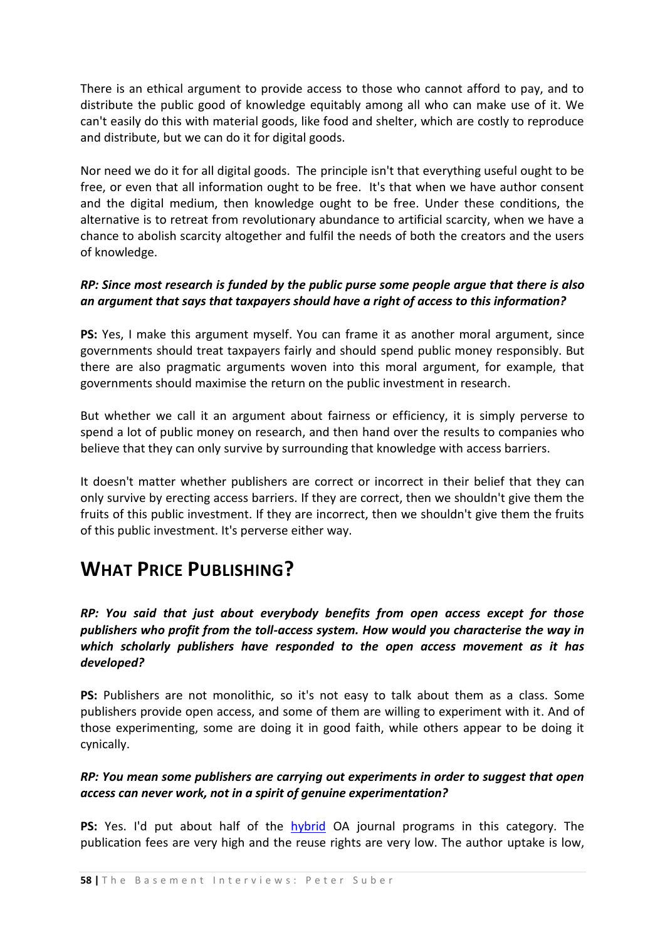There is an ethical argument to provide access to those who cannot afford to pay, and to distribute the public good of knowledge equitably among all who can make use of it. We can't easily do this with material goods, like food and shelter, which are costly to reproduce and distribute, but we can do it for digital goods.

Nor need we do it for all digital goods. The principle isn't that everything useful ought to be free, or even that all information ought to be free. It's that when we have author consent and the digital medium, then knowledge ought to be free. Under these conditions, the alternative is to retreat from revolutionary abundance to artificial scarcity, when we have a chance to abolish scarcity altogether and fulfil the needs of both the creators and the users of knowledge.

#### *RP: Since most research is funded by the public purse some people argue that there is also an argument that says that taxpayers should have a right of access to this information?*

**PS:** Yes, I make this argument myself. You can frame it as another moral argument, since governments should treat taxpayers fairly and should spend public money responsibly. But there are also pragmatic arguments woven into this moral argument, for example, that governments should maximise the return on the public investment in research.

But whether we call it an argument about fairness or efficiency, it is simply perverse to spend a lot of public money on research, and then hand over the results to companies who believe that they can only survive by surrounding that knowledge with access barriers.

It doesn't matter whether publishers are correct or incorrect in their belief that they can only survive by erecting access barriers. If they are correct, then we shouldn't give them the fruits of this public investment. If they are incorrect, then we shouldn't give them the fruits of this public investment. It's perverse either way.

## **WHAT PRICE PUBLISHING?**

*RP: You said that just about everybody benefits from open access except for those publishers who profit from the toll-access system. How would you characterise the way in which scholarly publishers have responded to the open access movement as it has developed?* 

**PS:** Publishers are not monolithic, so it's not easy to talk about them as a class. Some publishers provide open access, and some of them are willing to experiment with it. And of those experimenting, some are doing it in good faith, while others appear to be doing it cynically.

#### *RP: You mean some publishers are carrying out experiments in order to suggest that open access can never work, not in a spirit of genuine experimentation?*

**PS:** Yes. I'd put about half of the [hybrid](http://www.earlham.edu/~peters/fos/newsletter/09-02-06.htm#hybrid) OA journal programs in this category. The publication fees are very high and the reuse rights are very low. The author uptake is low,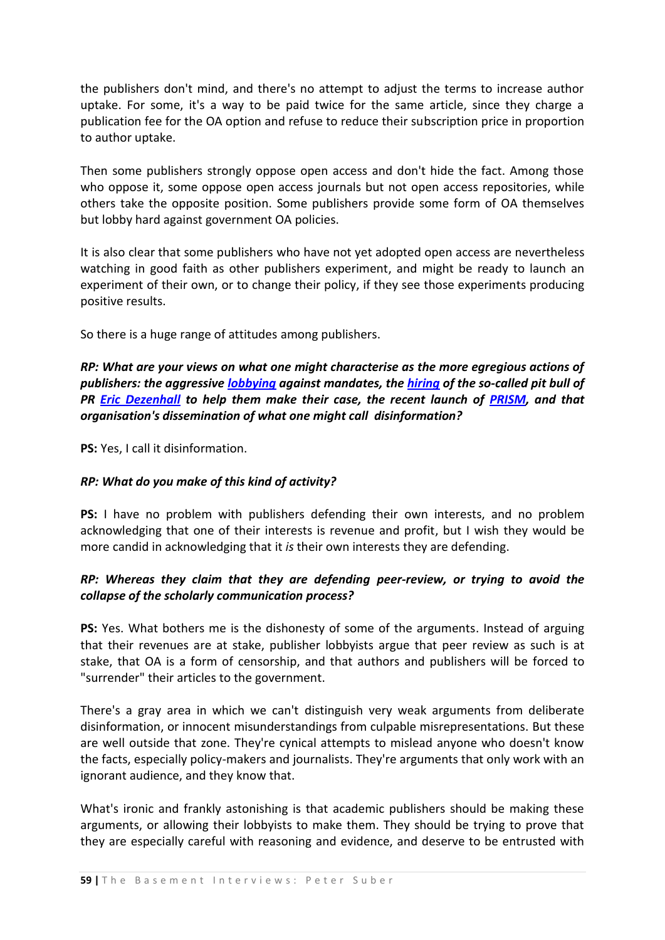the publishers don't mind, and there's no attempt to adjust the terms to increase author uptake. For some, it's a way to be paid twice for the same article, since they charge a publication fee for the OA option and refuse to reduce their subscription price in proportion to author uptake.

Then some publishers strongly oppose open access and don't hide the fact. Among those who oppose it, some oppose open access journals but not open access repositories, while others take the opposite position. Some publishers provide some form of OA themselves but lobby hard against government OA policies.

It is also clear that some publishers who have not yet adopted open access are nevertheless watching in good faith as other publishers experiment, and might be ready to launch an experiment of their own, or to change their policy, if they see those experiments producing positive results.

So there is a huge range of attitudes among publishers.

*RP: What are your views on what one might characterise as the more egregious actions of publishers: the aggressive [lobbying](http://www.parliament.uk/parliamentary_committees/science_and_technology_committee/scitech081104.cfm) against mandates, the [hiring](http://www.nature.com/news/2007/070122/full/445347a.html) of the so-called pit bull of PR [Eric Dezenhall](http://en.wikipedia.org/wiki/Eric_Dezenhall) to help them make their case, the recent launch of [PRISM,](http://prismcoalition.org/index.htm) and that organisation's dissemination of what one might call disinformation?*

**PS:** Yes, I call it disinformation.

#### *RP: What do you make of this kind of activity?*

**PS:** I have no problem with publishers defending their own interests, and no problem acknowledging that one of their interests is revenue and profit, but I wish they would be more candid in acknowledging that it *is* their own interests they are defending.

#### *RP: Whereas they claim that they are defending peer-review, or trying to avoid the collapse of the scholarly communication process?*

**PS:** Yes. What bothers me is the dishonesty of some of the arguments. Instead of arguing that their revenues are at stake, publisher lobbyists argue that peer review as such is at stake, that OA is a form of censorship, and that authors and publishers will be forced to "surrender" their articles to the government.

There's a gray area in which we can't distinguish very weak arguments from deliberate disinformation, or innocent misunderstandings from culpable misrepresentations. But these are well outside that zone. They're cynical attempts to mislead anyone who doesn't know the facts, especially policy-makers and journalists. They're arguments that only work with an ignorant audience, and they know that.

What's ironic and frankly astonishing is that academic publishers should be making these arguments, or allowing their lobbyists to make them. They should be trying to prove that they are especially careful with reasoning and evidence, and deserve to be entrusted with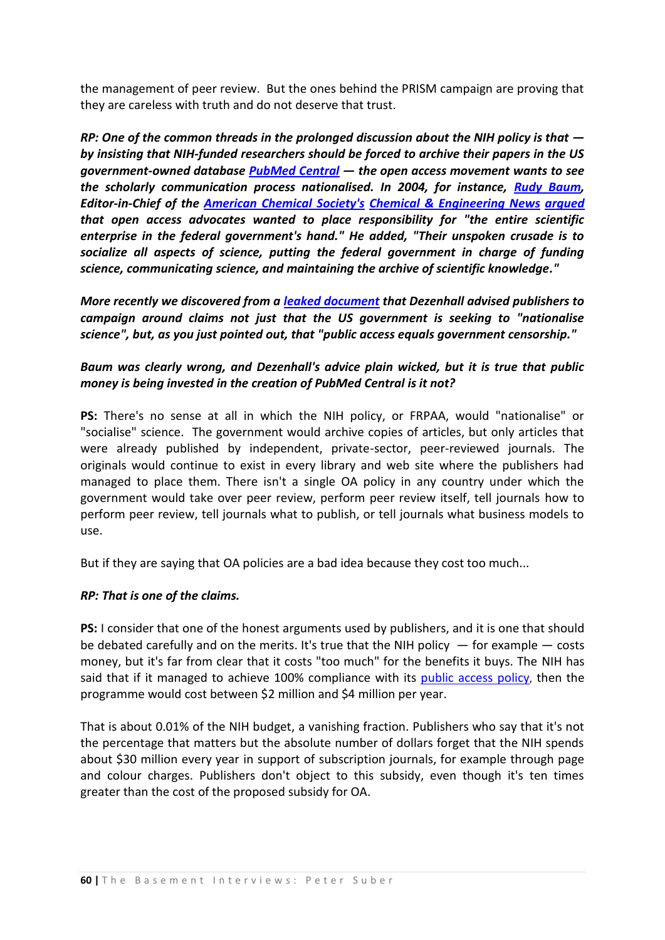the management of peer review. But the ones behind the PRISM campaign are proving that they are careless with truth and do not deserve that trust.

*RP: One of the common threads in the prolonged discussion about the NIH policy is that by insisting that NIH-funded researchers should be forced to archive their papers in the US government-owned database [PubMed Central](http://www.pubmedcentral.nih.gov/) — the open access movement wants to see the scholarly communication process nationalised. In 2004, for instance, [Rudy Baum,](http://pubs.acs.org/cen/staff/biorb.html) Editor-in-Chief of the [American Chemical Society's](http://www.chemistry.org/portal/a/c/s/1/home.html) [Chemical & Engineering News](http://pubs.acs.org/cen/) [argued](http://pubs.acs.org/cen/editor/8238edit.html) that open access advocates wanted to place responsibility for "the entire scientific enterprise in the federal government's hand." He added, "Their unspoken crusade is to socialize all aspects of science, putting the federal government in charge of funding science, communicating science, and maintaining the archive of scientific knowledge."*

*More recently we discovered from a [leaked document](http://media.newscientist.com/data/images/ns/av/sss_publishing.pdf) that Dezenhall advised publishers to campaign around claims not just that the US government is seeking to "nationalise science", but, as you just pointed out, that "public access equals government censorship."*

## *Baum was clearly wrong, and Dezenhall's advice plain wicked, but it is true that public money is being invested in the creation of PubMed Central is it not?*

**PS:** There's no sense at all in which the NIH policy, or FRPAA, would "nationalise" or "socialise" science. The government would archive copies of articles, but only articles that were already published by independent, private-sector, peer-reviewed journals. The originals would continue to exist in every library and web site where the publishers had managed to place them. There isn't a single OA policy in any country under which the government would take over peer review, perform peer review itself, tell journals how to perform peer review, tell journals what to publish, or tell journals what business models to use.

But if they are saying that OA policies are a bad idea because they cost too much...

#### *RP: That is one of the claims.*

**PS:** I consider that one of the honest arguments used by publishers, and it is one that should be debated carefully and on the merits. It's true that the NIH policy  $-$  for example  $-$  costs money, but it's far from clear that it costs "too much" for the benefits it buys. The NIH has said that if it managed to achieve 100% compliance with its [public access policy](http://publicaccess.nih.gov/overview.htm), then the programme would cost between \$2 million and \$4 million per year.

That is about 0.01% of the NIH budget, a vanishing fraction. Publishers who say that it's not the percentage that matters but the absolute number of dollars forget that the NIH spends about \$30 million every year in support of subscription journals, for example through page and colour charges. Publishers don't object to this subsidy, even though it's ten times greater than the cost of the proposed subsidy for OA.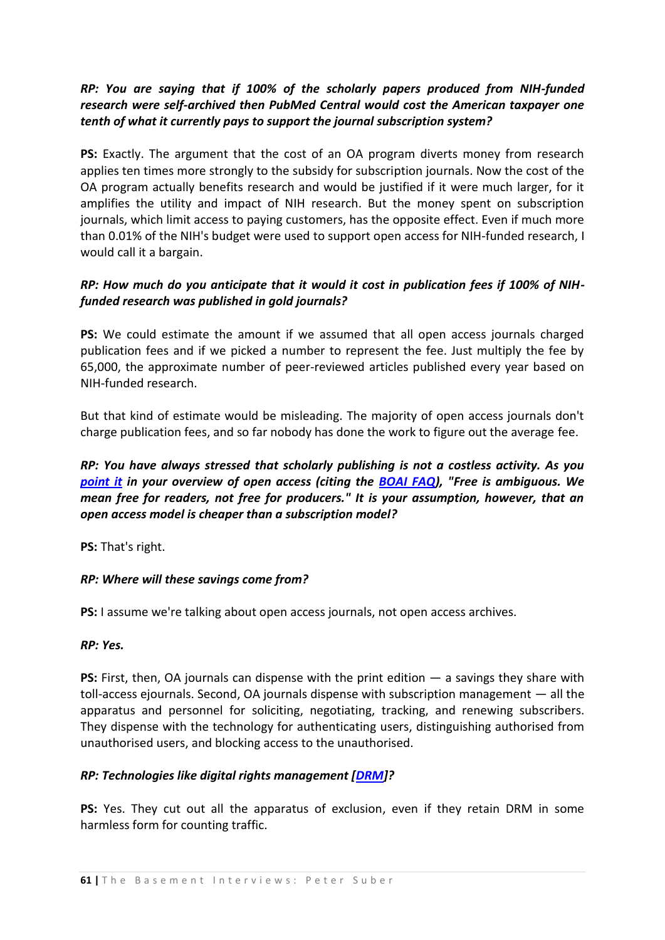## *RP: You are saying that if 100% of the scholarly papers produced from NIH-funded research were self-archived then PubMed Central would cost the American taxpayer one tenth of what it currently pays to support the journal subscription system?*

**PS:** Exactly. The argument that the cost of an OA program diverts money from research applies ten times more strongly to the subsidy for subscription journals. Now the cost of the OA program actually benefits research and would be justified if it were much larger, for it amplifies the utility and impact of NIH research. But the money spent on subscription journals, which limit access to paying customers, has the opposite effect. Even if much more than 0.01% of the NIH's budget were used to support open access for NIH-funded research, I would call it a bargain.

## *RP: How much do you anticipate that it would it cost in publication fees if 100% of NIHfunded research was published in gold journals?*

**PS:** We could estimate the amount if we assumed that all open access journals charged publication fees and if we picked a number to represent the fee. Just multiply the fee by 65,000, the approximate number of peer-reviewed articles published every year based on NIH-funded research.

But that kind of estimate would be misleading. The majority of open access journals don't charge publication fees, and so far nobody has done the work to figure out the average fee.

## *RP: You have always stressed that scholarly publishing is not a costless activity. As you [point it](http://www.earlham.edu/~peters/fos/overview.htm) in your overview of open access (citing the [BOAI FAQ\)](http://www.earlham.edu/~peters/fos/boaifaq.htm#wishfulthinking), "Free is ambiguous. We mean free for readers, not free for producers." It is your assumption, however, that an open access model is cheaper than a subscription model?*

**PS:** That's right.

## *RP: Where will these savings come from?*

**PS:** I assume we're talking about open access journals, not open access archives.

#### *RP: Yes.*

**PS:** First, then, OA journals can dispense with the print edition — a savings they share with toll-access ejournals. Second, OA journals dispense with subscription management — all the apparatus and personnel for soliciting, negotiating, tracking, and renewing subscribers. They dispense with the technology for authenticating users, distinguishing authorised from unauthorised users, and blocking access to the unauthorised.

#### *RP: Technologies like digital rights management [\[DRM\]](http://en.wikipedia.org/wiki/Digital_Rights_Management)?*

**PS:** Yes. They cut out all the apparatus of exclusion, even if they retain DRM in some harmless form for counting traffic.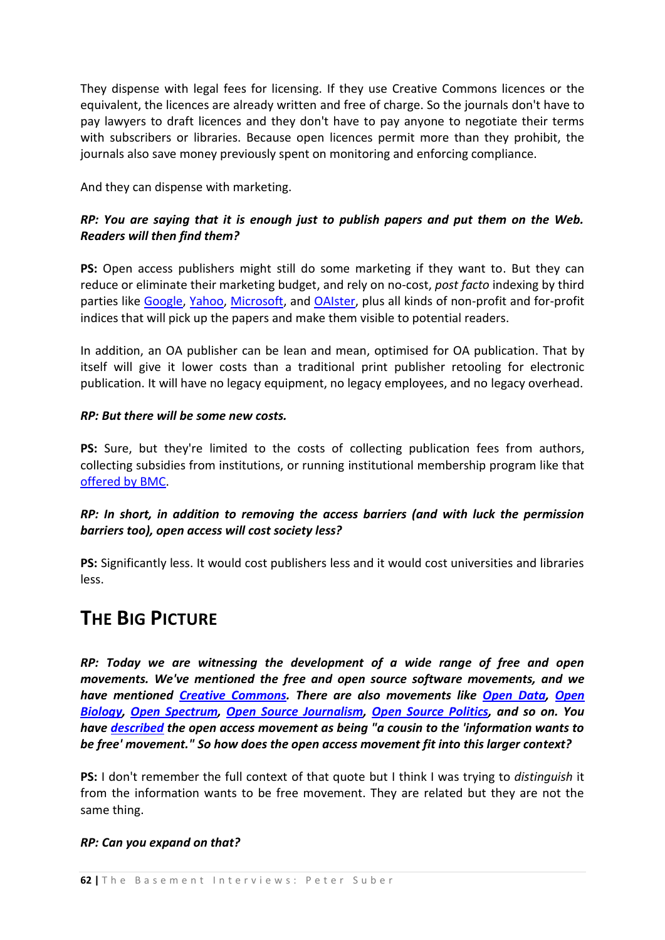They dispense with legal fees for licensing. If they use Creative Commons licences or the equivalent, the licences are already written and free of charge. So the journals don't have to pay lawyers to draft licences and they don't have to pay anyone to negotiate their terms with subscribers or libraries. Because open licences permit more than they prohibit, the journals also save money previously spent on monitoring and enforcing compliance.

And they can dispense with marketing.

## *RP: You are saying that it is enough just to publish papers and put them on the Web. Readers will then find them?*

**PS:** Open access publishers might still do some marketing if they want to. But they can reduce or eliminate their marketing budget, and rely on no-cost, *post facto* indexing by third parties like [Google,](http://scholar.google.com/) [Yahoo,](http://search.yahoo.com/) [Microsoft,](http://www.live.com/?searchonly=true&mkt=en-gb) and [OAIster,](http://www.oaister.org/) plus all kinds of non-profit and for-profit indices that will pick up the papers and make them visible to potential readers.

In addition, an OA publisher can be lean and mean, optimised for OA publication. That by itself will give it lower costs than a traditional print publisher retooling for electronic publication. It will have no legacy equipment, no legacy employees, and no legacy overhead.

#### *RP: But there will be some new costs.*

PS: Sure, but they're limited to the costs of collecting publication fees from authors, collecting subsidies from institutions, or running institutional membership program like that [offered by BMC.](http://www.biomedcentral.com/info/about/instmembership)

*RP: In short, in addition to removing the access barriers (and with luck the permission barriers too), open access will cost society less?* 

**PS:** Significantly less. It would cost publishers less and it would cost universities and libraries less.

## **THE BIG PICTURE**

*RP: Today we are witnessing the development of a wide range of free and open movements. We've mentioned the free and open source software movements, and we have mentioned [Creative Commons.](http://creativecommons.org/) There are also movements like [Open Data,](http://en.wikipedia.org/wiki/Open_data) [Open](http://www.p2pfoundation.net/Open_Biology)  [Biology,](http://www.p2pfoundation.net/Open_Biology) [Open Spectrum,](http://en.wikipedia.org/wiki/Open_spectrum) [Open Source Journalism,](http://en.wikipedia.org/wiki/Open_journalism) [Open Source Politics,](http://en.wikipedia.org/wiki/Open_source_politics) and so on. You have [described](https://mx2.arl.org/Lists/SPARC-OAForum/Message/48.html) the open access movement as being "a cousin to the 'information wants to be free' movement." So how does the open access movement fit into this larger context?* 

**PS:** I don't remember the full context of that quote but I think I was trying to *distinguish* it from the information wants to be free movement. They are related but they are not the same thing.

#### *RP: Can you expand on that?*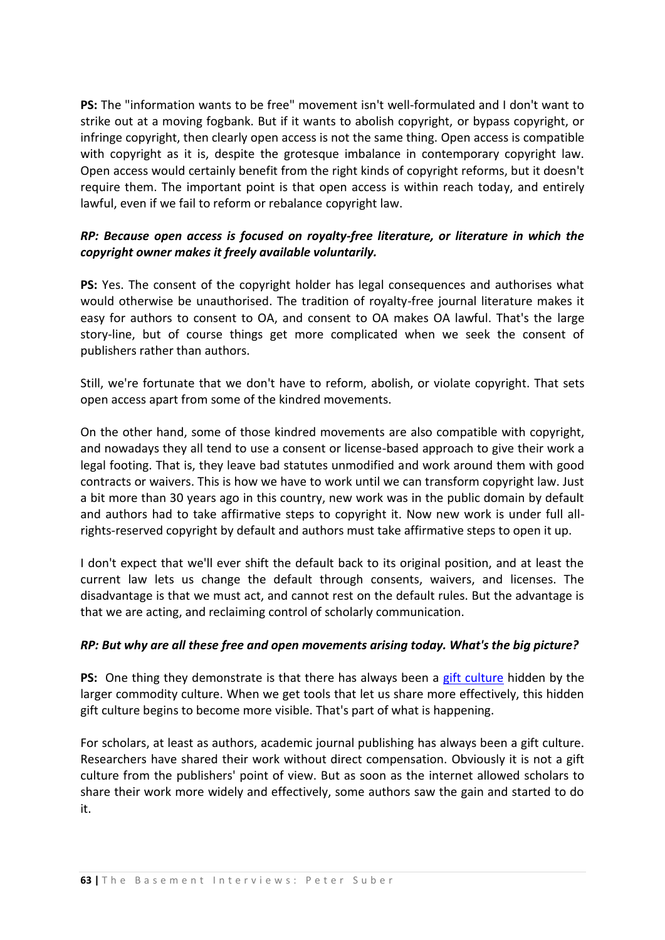**PS:** The "information wants to be free" movement isn't well-formulated and I don't want to strike out at a moving fogbank. But if it wants to abolish copyright, or bypass copyright, or infringe copyright, then clearly open access is not the same thing. Open access is compatible with copyright as it is, despite the grotesque imbalance in contemporary copyright law. Open access would certainly benefit from the right kinds of copyright reforms, but it doesn't require them. The important point is that open access is within reach today, and entirely lawful, even if we fail to reform or rebalance copyright law.

## *RP: Because open access is focused on royalty-free literature, or literature in which the copyright owner makes it freely available voluntarily.*

**PS:** Yes. The consent of the copyright holder has legal consequences and authorises what would otherwise be unauthorised. The tradition of royalty-free journal literature makes it easy for authors to consent to OA, and consent to OA makes OA lawful. That's the large story-line, but of course things get more complicated when we seek the consent of publishers rather than authors.

Still, we're fortunate that we don't have to reform, abolish, or violate copyright. That sets open access apart from some of the kindred movements.

On the other hand, some of those kindred movements are also compatible with copyright, and nowadays they all tend to use a consent or license-based approach to give their work a legal footing. That is, they leave bad statutes unmodified and work around them with good contracts or waivers. This is how we have to work until we can transform copyright law. Just a bit more than 30 years ago in this country, new work was in the public domain by default and authors had to take affirmative steps to copyright it. Now new work is under full allrights-reserved copyright by default and authors must take affirmative steps to open it up.

I don't expect that we'll ever shift the default back to its original position, and at least the current law lets us change the default through consents, waivers, and licenses. The disadvantage is that we must act, and cannot rest on the default rules. But the advantage is that we are acting, and reclaiming control of scholarly communication.

#### *RP: But why are all these free and open movements arising today. What's the big picture?*

**PS:** One thing they demonstrate is that there has always been a [gift culture](http://en.wikipedia.org/wiki/Gift_culture) hidden by the larger commodity culture. When we get tools that let us share more effectively, this hidden gift culture begins to become more visible. That's part of what is happening.

For scholars, at least as authors, academic journal publishing has always been a gift culture. Researchers have shared their work without direct compensation. Obviously it is not a gift culture from the publishers' point of view. But as soon as the internet allowed scholars to share their work more widely and effectively, some authors saw the gain and started to do it.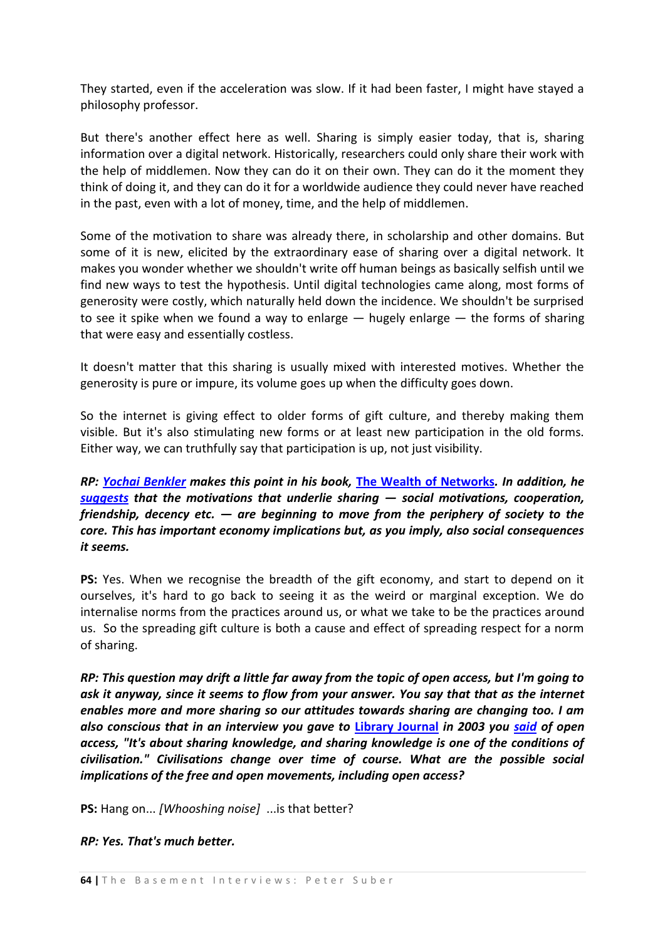They started, even if the acceleration was slow. If it had been faster, I might have stayed a philosophy professor.

But there's another effect here as well. Sharing is simply easier today, that is, sharing information over a digital network. Historically, researchers could only share their work with the help of middlemen. Now they can do it on their own. They can do it the moment they think of doing it, and they can do it for a worldwide audience they could never have reached in the past, even with a lot of money, time, and the help of middlemen.

Some of the motivation to share was already there, in scholarship and other domains. But some of it is new, elicited by the extraordinary ease of sharing over a digital network. It makes you wonder whether we shouldn't write off human beings as basically selfish until we find new ways to test the hypothesis. Until digital technologies came along, most forms of generosity were costly, which naturally held down the incidence. We shouldn't be surprised to see it spike when we found a way to enlarge  $-$  hugely enlarge  $-$  the forms of sharing that were easy and essentially costless.

It doesn't matter that this sharing is usually mixed with interested motives. Whether the generosity is pure or impure, its volume goes up when the difficulty goes down.

So the internet is giving effect to older forms of gift culture, and thereby making them visible. But it's also stimulating new forms or at least new participation in the old forms. Either way, we can truthfully say that participation is up, not just visibility.

*RP: [Yochai Benkler](http://en.wikipedia.org/wiki/Yochai_Benkler) makes this point in his book,* **[The Wealth of Networks](http://en.wikipedia.org/wiki/The_Wealth_of_Networks)***. In addition, he [suggests](http://public.resource.org/20060531_Benkler.html) that the motivations that underlie sharing — social motivations, cooperation, friendship, decency etc. — are beginning to move from the periphery of society to the core. This has important economy implications but, as you imply, also social consequences it seems.*

**PS:** Yes. When we recognise the breadth of the gift economy, and start to depend on it ourselves, it's hard to go back to seeing it as the weird or marginal exception. We do internalise norms from the practices around us, or what we take to be the practices around us. So the spreading gift culture is both a cause and effect of spreading respect for a norm of sharing.

*RP: This question may drift a little far away from the topic of open access, but I'm going to ask it anyway, since it seems to flow from your answer. You say that that as the internet enables more and more sharing so our attitudes towards sharing are changing too. I am also conscious that in an interview you gave to* **[Library Journal](http://www.libraryjournal.com/)** *in 2003 you [said](https://mx2.arl.org/Lists/SPARC-OAForum/Message/48.html) of open access, "It's about sharing knowledge, and sharing knowledge is one of the conditions of civilisation." Civilisations change over time of course. What are the possible social implications of the free and open movements, including open access?*

**PS:** Hang on... *[Whooshing noise]* ...is that better?

#### *RP: Yes. That's much better.*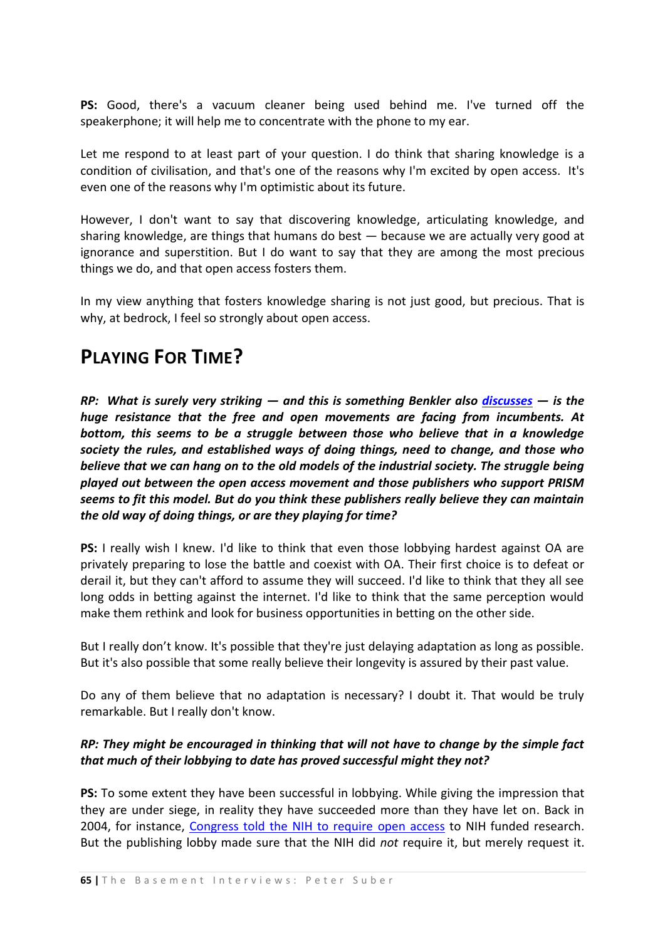**PS:** Good, there's a vacuum cleaner being used behind me. I've turned off the speakerphone; it will help me to concentrate with the phone to my ear.

Let me respond to at least part of your question. I do think that sharing knowledge is a condition of civilisation, and that's one of the reasons why I'm excited by open access. It's even one of the reasons why I'm optimistic about its future.

However, I don't want to say that discovering knowledge, articulating knowledge, and sharing knowledge, are things that humans do best — because we are actually very good at ignorance and superstition. But I do want to say that they are among the most precious things we do, and that open access fosters them.

In my view anything that fosters knowledge sharing is not just good, but precious. That is why, at bedrock, I feel so strongly about open access.

## **PLAYING FOR TIME?**

*RP: What is surely very striking — and this is something Benkler also [discusses](http://en.wikipedia.org/wiki/Industrial_information_economy) — is the huge resistance that the free and open movements are facing from incumbents. At bottom, this seems to be a struggle between those who believe that in a knowledge society the rules, and established ways of doing things, need to change, and those who believe that we can hang on to the old models of the industrial society. The struggle being played out between the open access movement and those publishers who support PRISM seems to fit this model. But do you think these publishers really believe they can maintain the old way of doing things, or are they playing for time?*

**PS:** I really wish I knew. I'd like to think that even those lobbying hardest against OA are privately preparing to lose the battle and coexist with OA. Their first choice is to defeat or derail it, but they can't afford to assume they will succeed. I'd like to think that they all see long odds in betting against the internet. I'd like to think that the same perception would make them rethink and look for business opportunities in betting on the other side.

But I really don't know. It's possible that they're just delaying adaptation as long as possible. But it's also possible that some really believe their longevity is assured by their past value.

Do any of them believe that no adaptation is necessary? I doubt it. That would be truly remarkable. But I really don't know.

## *RP: They might be encouraged in thinking that will not have to change by the simple fact that much of their lobbying to date has proved successful might they not?*

**PS:** To some extent they have been successful in lobbying. While giving the impression that they are under siege, in reality they have succeeded more than they have let on. Back in 2004, for instance, [Congress told the NIH to require open access](http://www.earlham.edu/~peters/fos/nihfaq.htm) to NIH funded research. But the publishing lobby made sure that the NIH did *not* require it, but merely request it.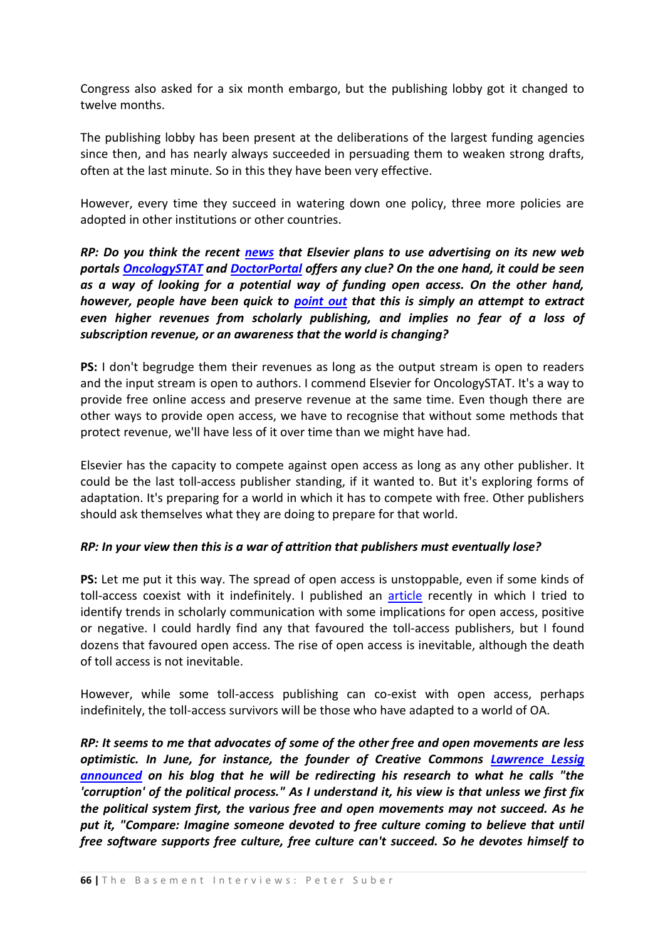Congress also asked for a six month embargo, but the publishing lobby got it changed to twelve months.

The publishing lobby has been present at the deliberations of the largest funding agencies since then, and has nearly always succeeded in persuading them to weaken strong drafts, often at the last minute. So in this they have been very effective.

However, every time they succeed in watering down one policy, three more policies are adopted in other institutions or other countries.

*RP: Do you think the recent [news](http://www.nytimes.com/2007/09/10/business/media/10journal.html?_r=1&oref=slogin) that Elsevier plans to use advertising on its new web portals [OncologySTAT](http://www.oncologystat.com/) and [DoctorPortal](http://www.doctorportal.co.uk/index.html) offers any clue? On the one hand, it could be seen as a way of looking for a potential way of funding open access. On the other hand, however, people have been quick to [point out](http://www.library.yale.edu/~llicense/ListArchives/0709/msg00040.html) that this is simply an attempt to extract even higher revenues from scholarly publishing, and implies no fear of a loss of subscription revenue, or an awareness that the world is changing?*

**PS:** I don't begrudge them their revenues as long as the output stream is open to readers and the input stream is open to authors. I commend Elsevier for OncologySTAT. It's a way to provide free online access and preserve revenue at the same time. Even though there are other ways to provide open access, we have to recognise that without some methods that protect revenue, we'll have less of it over time than we might have had.

Elsevier has the capacity to compete against open access as long as any other publisher. It could be the last toll-access publisher standing, if it wanted to. But it's exploring forms of adaptation. It's preparing for a world in which it has to compete with free. Other publishers should ask themselves what they are doing to prepare for that world.

#### *RP: In your view then this is a war of attrition that publishers must eventually lose?*

**PS:** Let me put it this way. The spread of open access is unstoppable, even if some kinds of toll-access coexist with it indefinitely. I published an [article](http://www.ctwatch.org/quarterly/print.php?p=81) recently in which I tried to identify trends in scholarly communication with some implications for open access, positive or negative. I could hardly find any that favoured the toll-access publishers, but I found dozens that favoured open access. The rise of open access is inevitable, although the death of toll access is not inevitable.

However, while some toll-access publishing can co-exist with open access, perhaps indefinitely, the toll-access survivors will be those who have adapted to a world of OA.

*RP: It seems to me that advocates of some of the other free and open movements are less optimistic. In June, for instance, the founder of Creative Commons [Lawrence Lessig](http://en.wikipedia.org/wiki/Lawrence_Lessig) [announced](http://www.lessig.org/blog/2007/06/required_reading_the_next_10_y.html) on his blog that he will be redirecting his research to what he calls "the 'corruption' of the political process." As I understand it, his view is that unless we first fix the political system first, the various free and open movements may not succeed. As he put it, "Compare: Imagine someone devoted to free culture coming to believe that until free software supports free culture, free culture can't succeed. So he devotes himself to*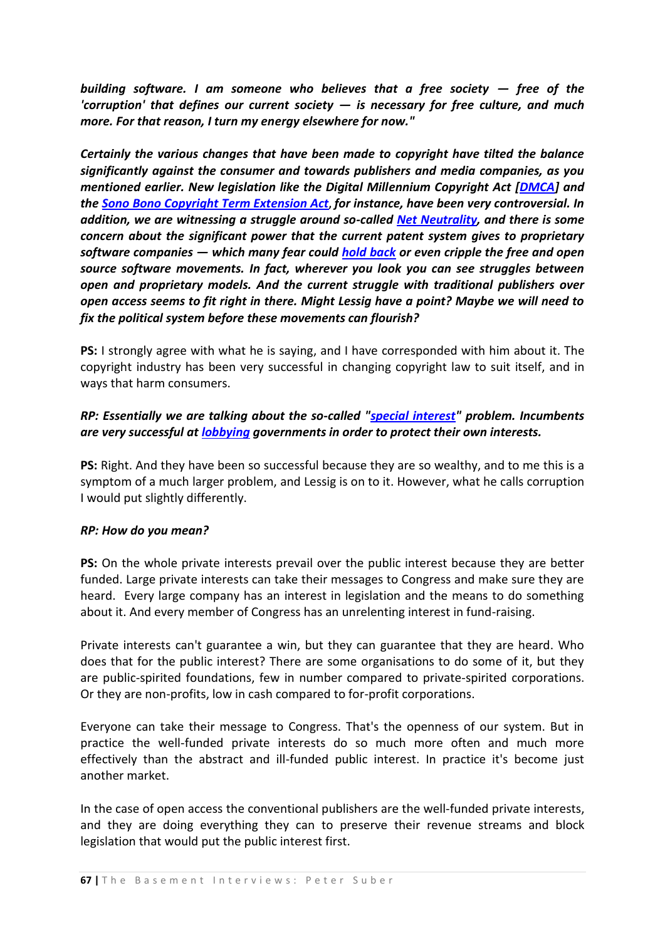*building software. I am someone who believes that a free society — free of the 'corruption' that defines our current society — is necessary for free culture, and much more. For that reason, I turn my energy elsewhere for now."* 

*Certainly the various changes that have been made to copyright have tilted the balance significantly against the consumer and towards publishers and media companies, as you mentioned earlier. New legislation like the Digital Millennium Copyright Act [\[DMCA\]](http://en.wikipedia.org/wiki/Dmca)* and *the [Sono Bono Copyright Term Extension Act](http://en.wikipedia.org/wiki/Sonny_Bono_Copyright_Term_Extension_Act)***,** *for instance, have been very controversial. In addition, we are witnessing a struggle around so-called [Net Neutrality,](http://www.news.com/8301-10784_3-9779815-7.html) and there is some concern about the significant power that the current patent system gives to proprietary software companies — which many fear could [hold back](http://blogs.zdnet.com/microsoft/?p=436) or even cripple the free and open source software movements. In fact, wherever you look you can see struggles between open and proprietary models. And the current struggle with traditional publishers over open access seems to fit right in there. Might Lessig have a point? Maybe we will need to fix the political system before these movements can flourish?*

**PS:** I strongly agree with what he is saying, and I have corresponded with him about it. The copyright industry has been very successful in changing copyright law to suit itself, and in ways that harm consumers.

### *RP: Essentially we are talking about the so-called ["special interest"](http://en.wikipedia.org/wiki/Interest_group) problem. Incumbents are very successful at [lobbying](http://www.earlham.edu/~peters/fos/2006/01/elsevier-lobbying-in-us.html) governments in order to protect their own interests.*

**PS:** Right. And they have been so successful because they are so wealthy, and to me this is a symptom of a much larger problem, and Lessig is on to it. However, what he calls corruption I would put slightly differently.

#### *RP: How do you mean?*

**PS:** On the whole private interests prevail over the public interest because they are better funded. Large private interests can take their messages to Congress and make sure they are heard. Every large company has an interest in legislation and the means to do something about it. And every member of Congress has an unrelenting interest in fund-raising.

Private interests can't guarantee a win, but they can guarantee that they are heard. Who does that for the public interest? There are some organisations to do some of it, but they are public-spirited foundations, few in number compared to private-spirited corporations. Or they are non-profits, low in cash compared to for-profit corporations.

Everyone can take their message to Congress. That's the openness of our system. But in practice the well-funded private interests do so much more often and much more effectively than the abstract and ill-funded public interest. In practice it's become just another market.

In the case of open access the conventional publishers are the well-funded private interests, and they are doing everything they can to preserve their revenue streams and block legislation that would put the public interest first.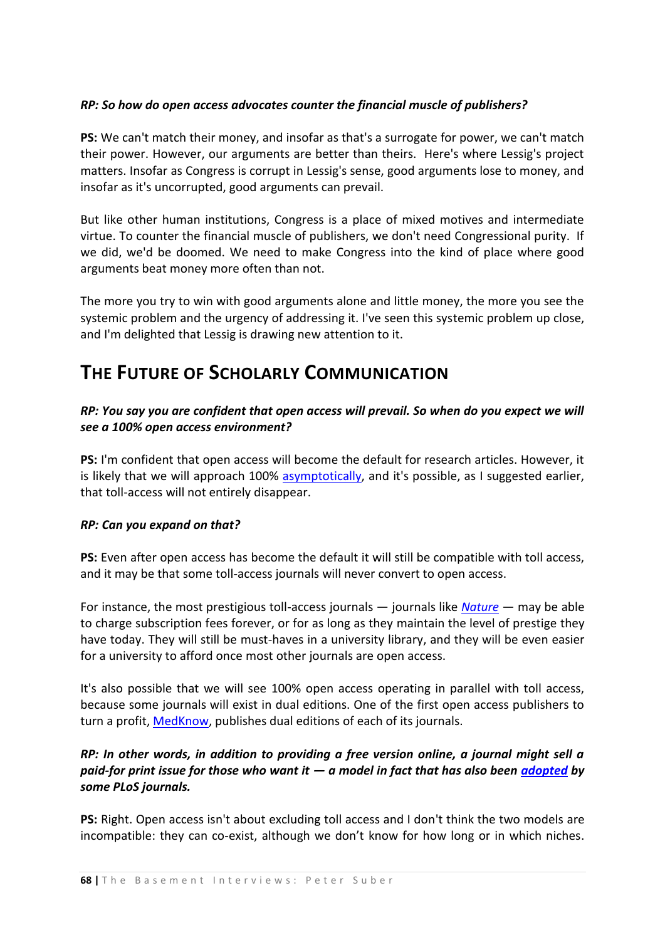#### *RP: So how do open access advocates counter the financial muscle of publishers?*

**PS:** We can't match their money, and insofar as that's a surrogate for power, we can't match their power. However, our arguments are better than theirs. Here's where Lessig's project matters. Insofar as Congress is corrupt in Lessig's sense, good arguments lose to money, and insofar as it's uncorrupted, good arguments can prevail.

But like other human institutions, Congress is a place of mixed motives and intermediate virtue. To counter the financial muscle of publishers, we don't need Congressional purity. If we did, we'd be doomed. We need to make Congress into the kind of place where good arguments beat money more often than not.

The more you try to win with good arguments alone and little money, the more you see the systemic problem and the urgency of addressing it. I've seen this systemic problem up close, and I'm delighted that Lessig is drawing new attention to it.

## **THE FUTURE OF SCHOLARLY COMMUNICATION**

#### *RP: You say you are confident that open access will prevail. So when do you expect we will see a 100% open access environment?*

**PS:** I'm confident that open access will become the default for research articles. However, it is likely that we will approach 100% [asymptotically,](http://www.google.co.uk/search?hl=en&rlz=1B3GGGL_enGB229GB229&q=define%3A+asymptotically&btnG=Search&meta=) and it's possible, as I suggested earlier, that toll-access will not entirely disappear.

#### *RP: Can you expand on that?*

**PS:** Even after open access has become the default it will still be compatible with toll access, and it may be that some toll-access journals will never convert to open access.

For instance, the most prestigious toll-access journals — journals like *[Nature](http://www.nature.com/index.html)* — may be able to charge subscription fees forever, or for as long as they maintain the level of prestige they have today. They will still be must-haves in a university library, and they will be even easier for a university to afford once most other journals are open access.

It's also possible that we will see 100% open access operating in parallel with toll access, because some journals will exist in dual editions. One of the first open access publishers to turn a profit, [MedKnow,](http://www.medknow.com/) publishes dual editions of each of its journals.

## *RP: In other words, in addition to providing a free version online, a journal might sell a paid-for print issue for those who want it — a model in fact that has also been [adopted](http://www.plos.org/journals/print.html) by some PLoS journals.*

**PS:** Right. Open access isn't about excluding toll access and I don't think the two models are incompatible: they can co-exist, although we don't know for how long or in which niches.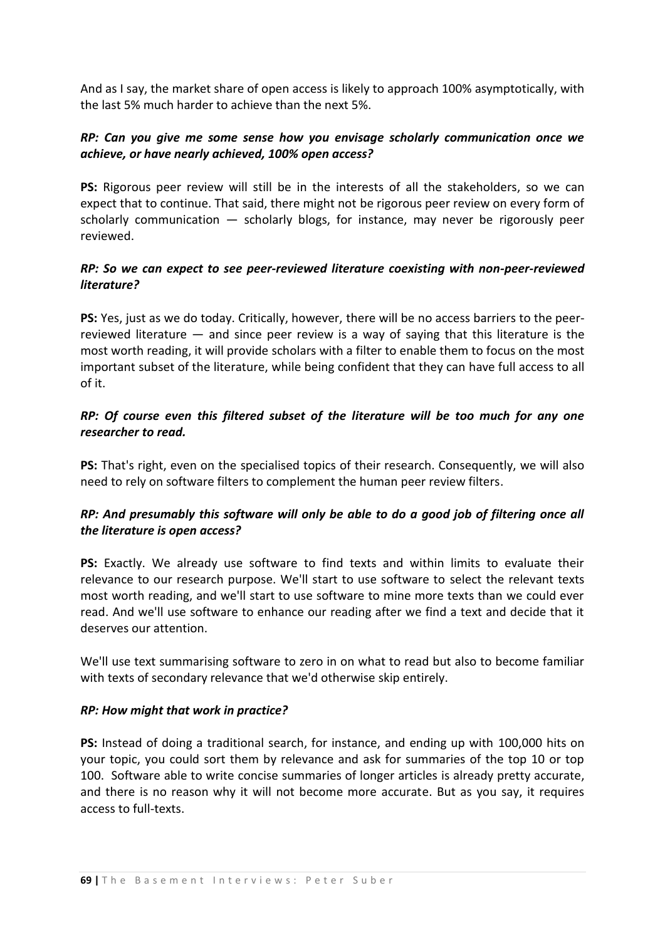And as I say, the market share of open access is likely to approach 100% asymptotically, with the last 5% much harder to achieve than the next 5%.

#### *RP: Can you give me some sense how you envisage scholarly communication once we achieve, or have nearly achieved, 100% open access?*

**PS:** Rigorous peer review will still be in the interests of all the stakeholders, so we can expect that to continue. That said, there might not be rigorous peer review on every form of scholarly communication — scholarly blogs, for instance, may never be rigorously peer reviewed.

### *RP: So we can expect to see peer-reviewed literature coexisting with non-peer-reviewed literature?*

**PS:** Yes, just as we do today. Critically, however, there will be no access barriers to the peerreviewed literature — and since peer review is a way of saying that this literature is the most worth reading, it will provide scholars with a filter to enable them to focus on the most important subset of the literature, while being confident that they can have full access to all of it.

### *RP: Of course even this filtered subset of the literature will be too much for any one researcher to read.*

**PS:** That's right, even on the specialised topics of their research. Consequently, we will also need to rely on software filters to complement the human peer review filters.

## *RP: And presumably this software will only be able to do a good job of filtering once all the literature is open access?*

**PS:** Exactly. We already use software to find texts and within limits to evaluate their relevance to our research purpose. We'll start to use software to select the relevant texts most worth reading, and we'll start to use software to mine more texts than we could ever read. And we'll use software to enhance our reading after we find a text and decide that it deserves our attention.

We'll use text summarising software to zero in on what to read but also to become familiar with texts of secondary relevance that we'd otherwise skip entirely.

#### *RP: How might that work in practice?*

**PS:** Instead of doing a traditional search, for instance, and ending up with 100,000 hits on your topic, you could sort them by relevance and ask for summaries of the top 10 or top 100. Software able to write concise summaries of longer articles is already pretty accurate, and there is no reason why it will not become more accurate. But as you say, it requires access to full-texts.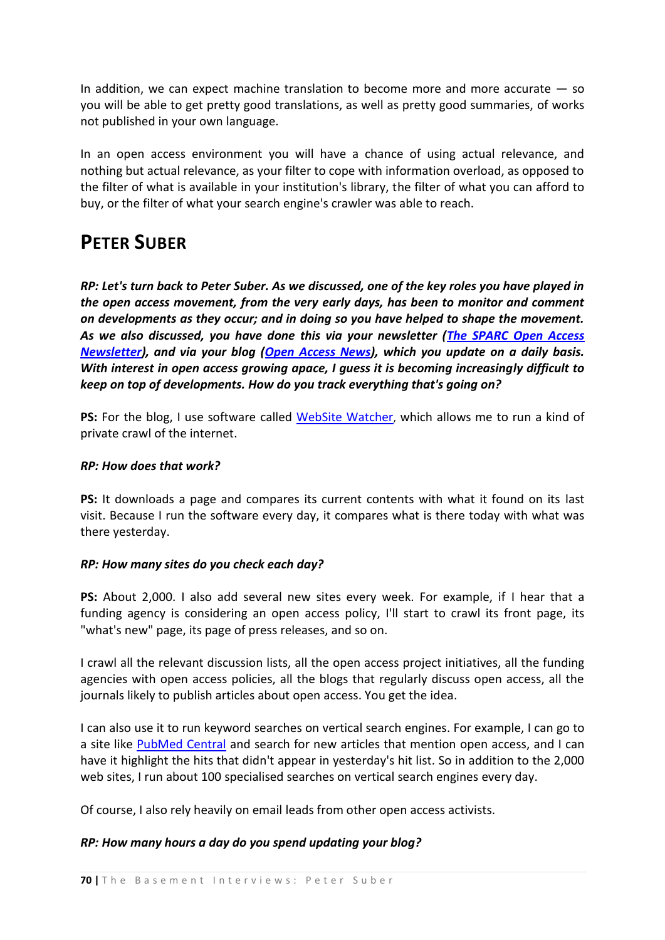In addition, we can expect machine translation to become more and more accurate  $-$  so you will be able to get pretty good translations, as well as pretty good summaries, of works not published in your own language.

In an open access environment you will have a chance of using actual relevance, and nothing but actual relevance, as your filter to cope with information overload, as opposed to the filter of what is available in your institution's library, the filter of what you can afford to buy, or the filter of what your search engine's crawler was able to reach.

## **PETER SUBER**

*RP: Let's turn back to Peter Suber. As we discussed, one of the key roles you have played in the open access movement, from the very early days, has been to monitor and comment on developments as they occur; and in doing so you have helped to shape the movement. As we also discussed, you have done this via your newsletter [\(The SPARC Open Access](http://www.earlham.edu/~peters/fos/newsletter/archive.htm)  [Newsletter\)](http://www.earlham.edu/~peters/fos/newsletter/archive.htm), and via your blog [\(Open Access News\)](http://www.earlham.edu/~peters/fos/fosblog.html), which you update on a daily basis. With interest in open access growing apace, I guess it is becoming increasingly difficult to keep on top of developments. How do you track everything that's going on?*

**PS:** For the blog, I use software called [WebSite Watcher](http://www.aignes.com/), which allows me to run a kind of private crawl of the internet.

#### *RP: How does that work?*

**PS:** It downloads a page and compares its current contents with what it found on its last visit. Because I run the software every day, it compares what is there today with what was there yesterday.

#### *RP: How many sites do you check each day?*

**PS:** About 2,000. I also add several new sites every week. For example, if I hear that a funding agency is considering an open access policy, I'll start to crawl its front page, its "what's new" page, its page of press releases, and so on.

I crawl all the relevant discussion lists, all the open access project initiatives, all the funding agencies with open access policies, all the blogs that regularly discuss open access, all the journals likely to publish articles about open access. You get the idea.

I can also use it to run keyword searches on vertical search engines. For example, I can go to a site like [PubMed Central](http://en.wikipedia.org/wiki/PubMed_Central) and search for new articles that mention open access, and I can have it highlight the hits that didn't appear in yesterday's hit list. So in addition to the 2,000 web sites, I run about 100 specialised searches on vertical search engines every day.

Of course, I also rely heavily on email leads from other open access activists.

#### *RP: How many hours a day do you spend updating your blog?*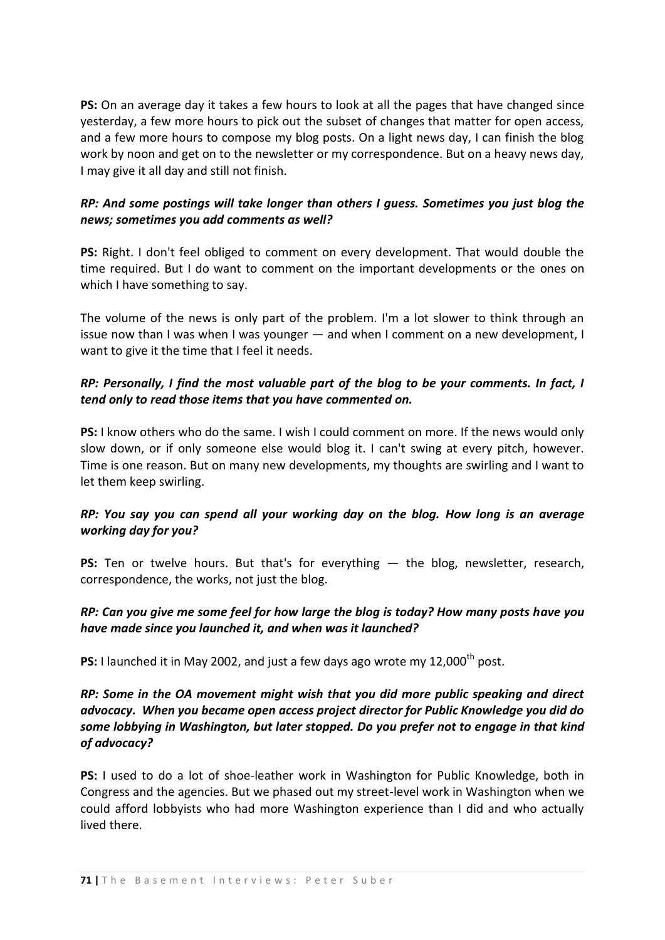**PS:** On an average day it takes a few hours to look at all the pages that have changed since yesterday, a few more hours to pick out the subset of changes that matter for open access, and a few more hours to compose my blog posts. On a light news day, I can finish the blog work by noon and get on to the newsletter or my correspondence. But on a heavy news day, I may give it all day and still not finish.

### *RP: And some postings will take longer than others I guess. Sometimes you just blog the news; sometimes you add comments as well?*

**PS:** Right. I don't feel obliged to comment on every development. That would double the time required. But I do want to comment on the important developments or the ones on which I have something to say.

The volume of the news is only part of the problem. I'm a lot slower to think through an issue now than I was when I was younger — and when I comment on a new development, I want to give it the time that I feel it needs.

### *RP: Personally, I find the most valuable part of the blog to be your comments. In fact, I tend only to read those items that you have commented on.*

**PS:** I know others who do the same. I wish I could comment on more. If the news would only slow down, or if only someone else would blog it. I can't swing at every pitch, however. Time is one reason. But on many new developments, my thoughts are swirling and I want to let them keep swirling.

## *RP: You say you can spend all your working day on the blog. How long is an average working day for you?*

**PS:** Ten or twelve hours. But that's for everything - the blog, newsletter, research, correspondence, the works, not just the blog.

#### *RP: Can you give me some feel for how large the blog is today? How many posts have you have made since you launched it, and when was it launched?*

**PS:** I launched it in May 2002, and just a few days ago wrote my 12,000<sup>th</sup> post.

## *RP: Some in the OA movement might wish that you did more public speaking and direct advocacy. When you became open access project director for Public Knowledge you did do some lobbying in Washington, but later stopped. Do you prefer not to engage in that kind of advocacy?*

**PS:** I used to do a lot of shoe-leather work in Washington for Public Knowledge, both in Congress and the agencies. But we phased out my street-level work in Washington when we could afford lobbyists who had more Washington experience than I did and who actually lived there.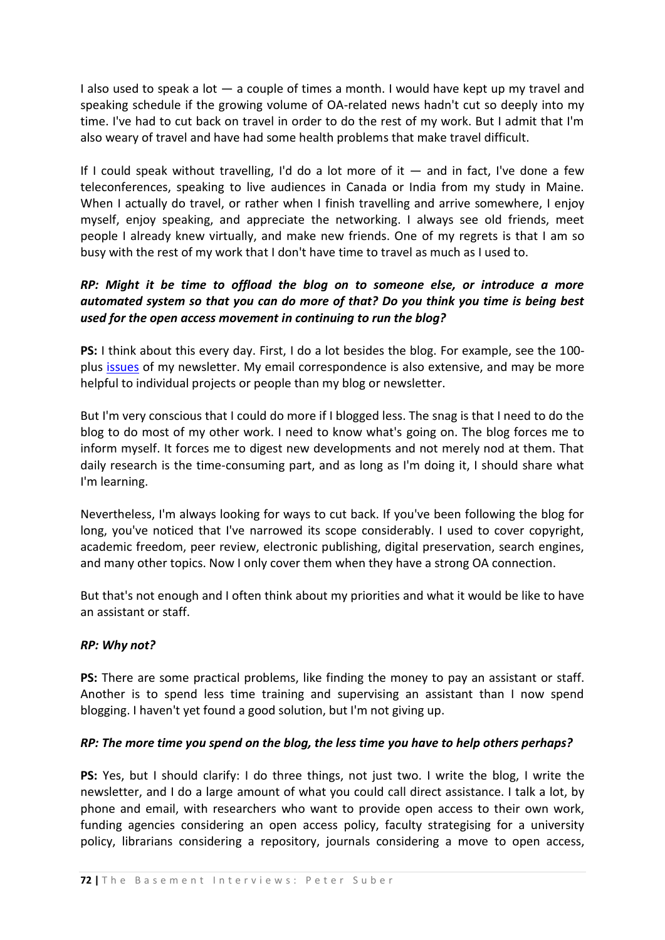I also used to speak a lot  $-$  a couple of times a month. I would have kept up my travel and speaking schedule if the growing volume of OA-related news hadn't cut so deeply into my time. I've had to cut back on travel in order to do the rest of my work. But I admit that I'm also weary of travel and have had some health problems that make travel difficult.

If I could speak without travelling, I'd do a lot more of it  $-$  and in fact, I've done a few teleconferences, speaking to live audiences in Canada or India from my study in Maine. When I actually do travel, or rather when I finish travelling and arrive somewhere, I enjoy myself, enjoy speaking, and appreciate the networking. I always see old friends, meet people I already knew virtually, and make new friends. One of my regrets is that I am so busy with the rest of my work that I don't have time to travel as much as I used to.

## *RP: Might it be time to offload the blog on to someone else, or introduce a more automated system so that you can do more of that? Do you think you time is being best used for the open access movement in continuing to run the blog?*

**PS:** I think about this every day. First, I do a lot besides the blog. For example, see the 100 plus [issues](http://www.earlham.edu/~peters/fos/newsletter/archive.htm) of my newsletter. My email correspondence is also extensive, and may be more helpful to individual projects or people than my blog or newsletter.

But I'm very conscious that I could do more if I blogged less. The snag is that I need to do the blog to do most of my other work. I need to know what's going on. The blog forces me to inform myself. It forces me to digest new developments and not merely nod at them. That daily research is the time-consuming part, and as long as I'm doing it, I should share what I'm learning.

Nevertheless, I'm always looking for ways to cut back. If you've been following the blog for long, you've noticed that I've narrowed its scope considerably. I used to cover copyright, academic freedom, peer review, electronic publishing, digital preservation, search engines, and many other topics. Now I only cover them when they have a strong OA connection.

But that's not enough and I often think about my priorities and what it would be like to have an assistant or staff.

#### *RP: Why not?*

**PS:** There are some practical problems, like finding the money to pay an assistant or staff. Another is to spend less time training and supervising an assistant than I now spend blogging. I haven't yet found a good solution, but I'm not giving up.

#### *RP: The more time you spend on the blog, the less time you have to help others perhaps?*

**PS:** Yes, but I should clarify: I do three things, not just two. I write the blog, I write the newsletter, and I do a large amount of what you could call direct assistance. I talk a lot, by phone and email, with researchers who want to provide open access to their own work, funding agencies considering an open access policy, faculty strategising for a university policy, librarians considering a repository, journals considering a move to open access,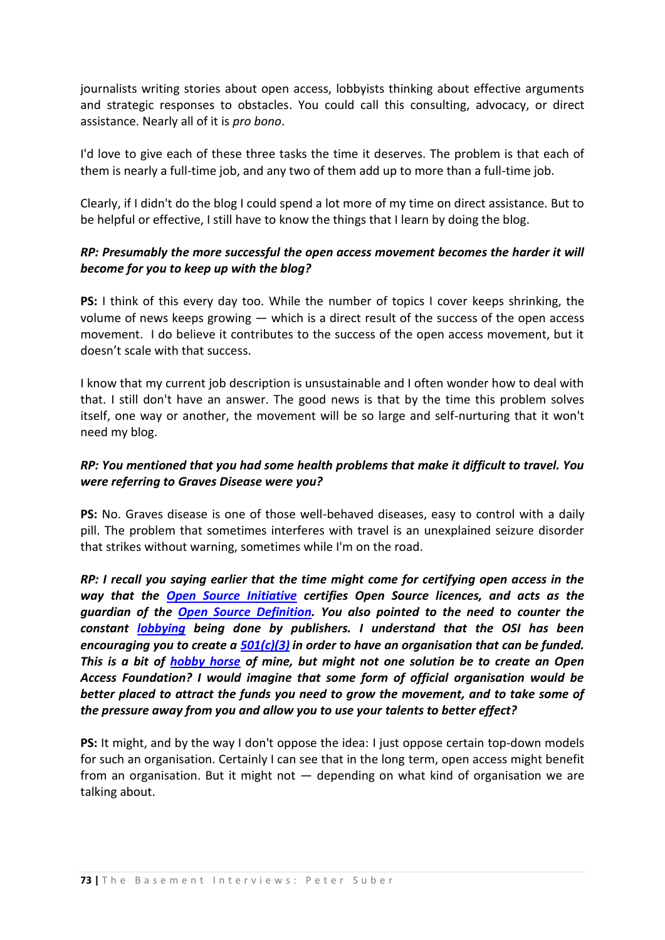journalists writing stories about open access, lobbyists thinking about effective arguments and strategic responses to obstacles. You could call this consulting, advocacy, or direct assistance. Nearly all of it is *pro bono*.

I'd love to give each of these three tasks the time it deserves. The problem is that each of them is nearly a full-time job, and any two of them add up to more than a full-time job.

Clearly, if I didn't do the blog I could spend a lot more of my time on direct assistance. But to be helpful or effective, I still have to know the things that I learn by doing the blog.

## *RP: Presumably the more successful the open access movement becomes the harder it will become for you to keep up with the blog?*

**PS:** I think of this every day too. While the number of topics I cover keeps shrinking, the volume of news keeps growing — which is a direct result of the success of the open access movement. I do believe it contributes to the success of the open access movement, but it doesn't scale with that success.

I know that my current job description is unsustainable and I often wonder how to deal with that. I still don't have an answer. The good news is that by the time this problem solves itself, one way or another, the movement will be so large and self-nurturing that it won't need my blog.

## *RP: You mentioned that you had some health problems that make it difficult to travel. You were referring to Graves Disease were you?*

**PS:** No. Graves disease is one of those well-behaved diseases, easy to control with a daily pill. The problem that sometimes interferes with travel is an unexplained seizure disorder that strikes without warning, sometimes while I'm on the road.

*RP: I recall you saying earlier that the time might come for certifying open access in the way that the [Open Source Initiative](http://www.opensource.org/) certifies Open Source licences, and acts as the guardian of the [Open Source Definition.](http://www.opensource.org/docs/osd) You also pointed to the need to counter the constant [lobbying](http://www.earlham.edu/~peters/fos/2007/09/elsevier-hires-another-us-lobbying-firm.html) being done by publishers. I understand that the OSI has been encouraging you to create a [501\(c\)\(3\)](http://en.wikipedia.org/wiki/501%28c%29) in order to have an organisation that can be funded. This is a bit of [hobby horse](http://poynder.blogspot.com/2006/03/where-is-open-access-foundation.html) of mine, but might not one solution be to create an Open Access Foundation? I would imagine that some form of official organisation would be better placed to attract the funds you need to grow the movement, and to take some of the pressure away from you and allow you to use your talents to better effect?*

**PS:** It might, and by the way I don't oppose the idea: I just oppose certain top-down models for such an organisation. Certainly I can see that in the long term, open access might benefit from an organisation. But it might not — depending on what kind of organisation we are talking about.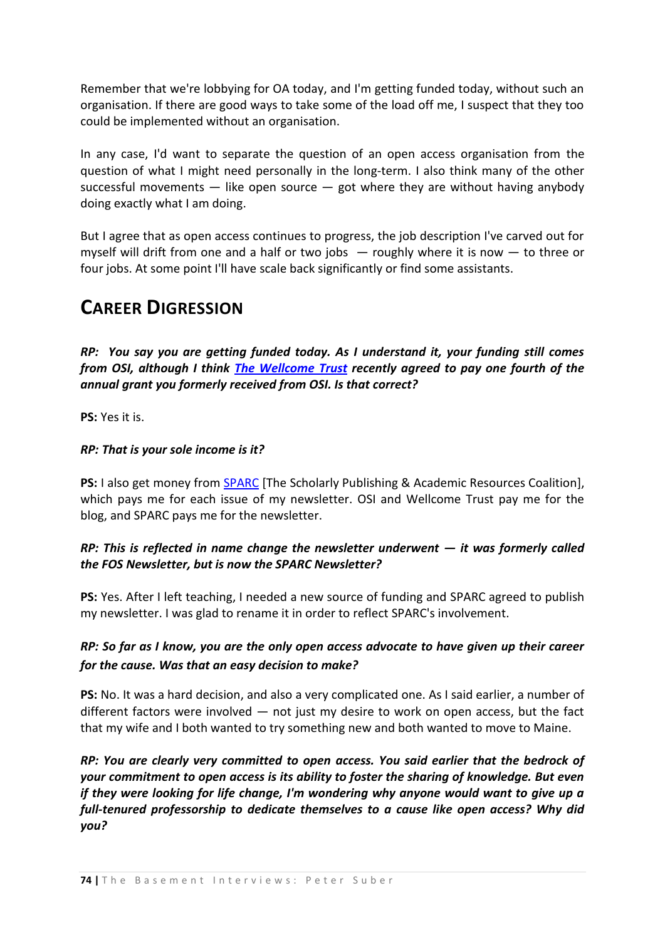Remember that we're lobbying for OA today, and I'm getting funded today, without such an organisation. If there are good ways to take some of the load off me, I suspect that they too could be implemented without an organisation.

In any case, I'd want to separate the question of an open access organisation from the question of what I might need personally in the long-term. I also think many of the other successful movements  $-$  like open source  $-$  got where they are without having anybody doing exactly what I am doing.

But I agree that as open access continues to progress, the job description I've carved out for myself will drift from one and a half or two jobs  $-$  roughly where it is now  $-$  to three or four jobs. At some point I'll have scale back significantly or find some assistants.

# **CAREER DIGRESSION**

*RP: You say you are getting funded today. As I understand it, your funding still comes from OSI, although I think [The Wellcome Trust](http://en.wikipedia.org/wiki/Wellcome_Trust) recently agreed to pay one fourth of the annual grant you formerly received from OSI. Is that correct?*

**PS:** Yes it is.

## *RP: That is your sole income is it?*

**PS:** I also get money from [SPARC](http://www.arl.org/sparc/) [The Scholarly Publishing & Academic Resources Coalition], which pays me for each issue of my newsletter. OSI and Wellcome Trust pay me for the blog, and SPARC pays me for the newsletter.

## *RP: This is reflected in name change the newsletter underwent — it was formerly called the FOS Newsletter, but is now the SPARC Newsletter?*

**PS:** Yes. After I left teaching, I needed a new source of funding and SPARC agreed to publish my newsletter. I was glad to rename it in order to reflect SPARC's involvement.

## *RP: So far as I know, you are the only open access advocate to have given up their career for the cause. Was that an easy decision to make?*

**PS:** No. It was a hard decision, and also a very complicated one. As I said earlier, a number of different factors were involved — not just my desire to work on open access, but the fact that my wife and I both wanted to try something new and both wanted to move to Maine.

*RP: You are clearly very committed to open access. You said earlier that the bedrock of your commitment to open access is its ability to foster the sharing of knowledge. But even if they were looking for life change, I'm wondering why anyone would want to give up a full-tenured professorship to dedicate themselves to a cause like open access? Why did you?*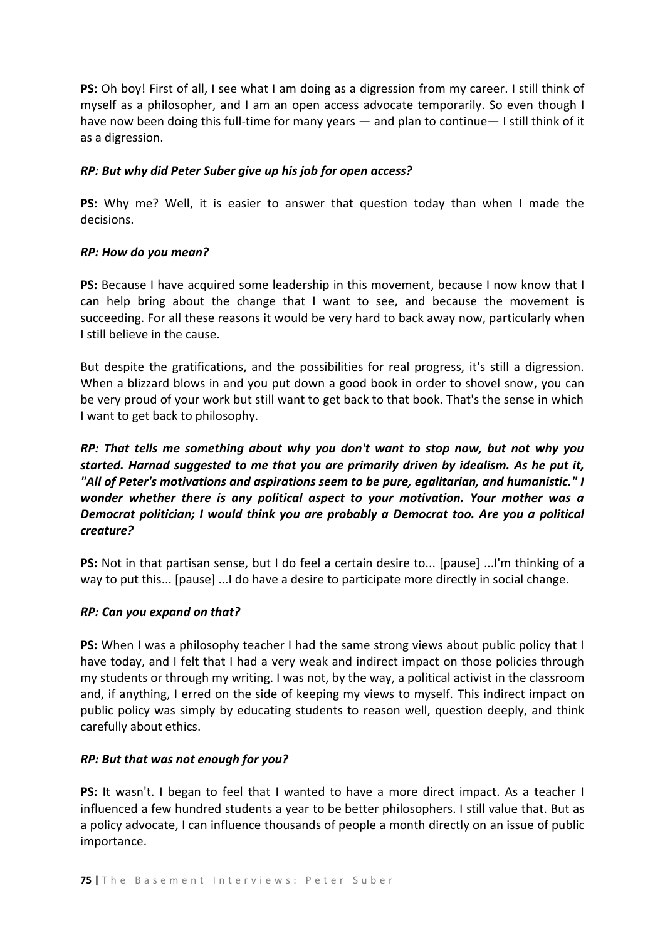**PS:** Oh boy! First of all, I see what I am doing as a digression from my career. I still think of myself as a philosopher, and I am an open access advocate temporarily. So even though I have now been doing this full-time for many years — and plan to continue— I still think of it as a digression.

### *RP: But why did Peter Suber give up his job for open access?*

**PS:** Why me? Well, it is easier to answer that question today than when I made the decisions.

#### *RP: How do you mean?*

**PS:** Because I have acquired some leadership in this movement, because I now know that I can help bring about the change that I want to see, and because the movement is succeeding. For all these reasons it would be very hard to back away now, particularly when I still believe in the cause.

But despite the gratifications, and the possibilities for real progress, it's still a digression. When a blizzard blows in and you put down a good book in order to shovel snow, you can be very proud of your work but still want to get back to that book. That's the sense in which I want to get back to philosophy.

*RP: That tells me something about why you don't want to stop now, but not why you started. Harnad suggested to me that you are primarily driven by idealism. As he put it, "All of Peter's motivations and aspirations seem to be pure, egalitarian, and humanistic." I wonder whether there is any political aspect to your motivation. Your mother was a Democrat politician; I would think you are probably a Democrat too. Are you a political creature?* 

**PS:** Not in that partisan sense, but I do feel a certain desire to... [pause] ...I'm thinking of a way to put this... [pause] ...I do have a desire to participate more directly in social change.

#### *RP: Can you expand on that?*

**PS:** When I was a philosophy teacher I had the same strong views about public policy that I have today, and I felt that I had a very weak and indirect impact on those policies through my students or through my writing. I was not, by the way, a political activist in the classroom and, if anything, I erred on the side of keeping my views to myself. This indirect impact on public policy was simply by educating students to reason well, question deeply, and think carefully about ethics.

#### *RP: But that was not enough for you?*

**PS:** It wasn't. I began to feel that I wanted to have a more direct impact. As a teacher I influenced a few hundred students a year to be better philosophers. I still value that. But as a policy advocate, I can influence thousands of people a month directly on an issue of public importance.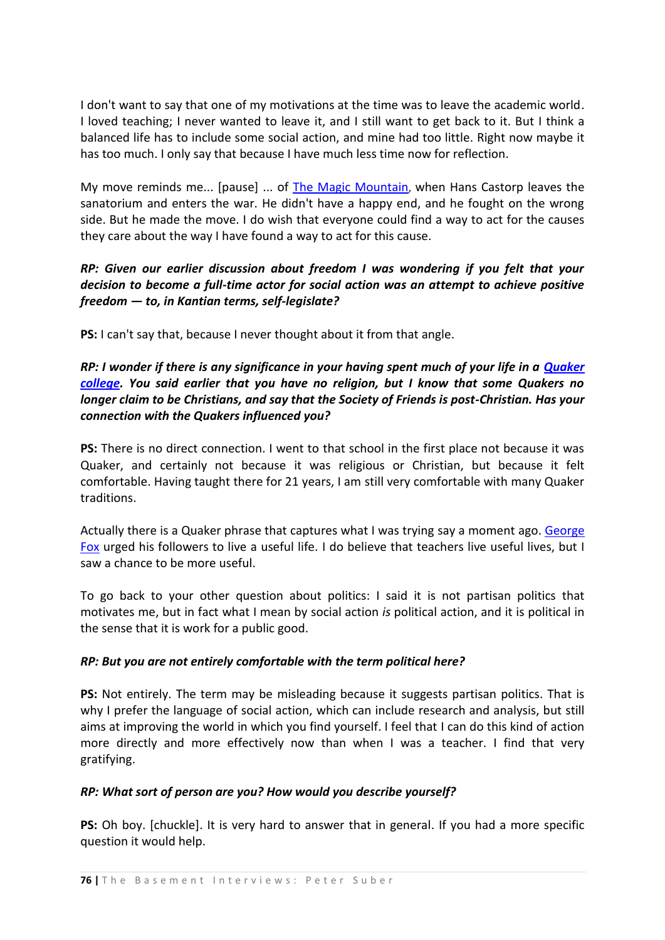I don't want to say that one of my motivations at the time was to leave the academic world. I loved teaching; I never wanted to leave it, and I still want to get back to it. But I think a balanced life has to include some social action, and mine had too little. Right now maybe it has too much. I only say that because I have much less time now for reflection.

My move reminds me... [pause] ... of [The Magic Mountain](http://en.wikipedia.org/wiki/The_Magic_Mountain), when Hans Castorp leaves the sanatorium and enters the war. He didn't have a happy end, and he fought on the wrong side. But he made the move. I do wish that everyone could find a way to act for the causes they care about the way I have found a way to act for this cause.

## *RP: Given our earlier discussion about freedom I was wondering if you felt that your decision to become a full-time actor for social action was an attempt to achieve positive freedom — to, in Kantian terms, self-legislate?*

**PS:** I can't say that, because I never thought about it from that angle.

## *RP: I wonder if there is any significance in your having spent much of your life in a [Quaker](http://en.wikipedia.org/wiki/Quaker)  [college.](http://en.wikipedia.org/wiki/Quaker) You said earlier that you have no religion, but I know that some Quakers no longer claim to be Christians, and say that the Society of Friends is post-Christian. Has your connection with the Quakers influenced you?*

**PS:** There is no direct connection. I went to that school in the first place not because it was Quaker, and certainly not because it was religious or Christian, but because it felt comfortable. Having taught there for 21 years, I am still very comfortable with many Quaker traditions.

Actually there is a Quaker phrase that captures what I was trying say a moment ago[. George](http://en.wikipedia.org/wiki/George_Fox)  [Fox](http://en.wikipedia.org/wiki/George_Fox) urged his followers to live a useful life. I do believe that teachers live useful lives, but I saw a chance to be more useful.

To go back to your other question about politics: I said it is not partisan politics that motivates me, but in fact what I mean by social action *is* political action, and it is political in the sense that it is work for a public good.

## *RP: But you are not entirely comfortable with the term political here?*

**PS:** Not entirely. The term may be misleading because it suggests partisan politics. That is why I prefer the language of social action, which can include research and analysis, but still aims at improving the world in which you find yourself. I feel that I can do this kind of action more directly and more effectively now than when I was a teacher. I find that very gratifying.

## *RP: What sort of person are you? How would you describe yourself?*

**PS:** Oh boy. [chuckle]. It is very hard to answer that in general. If you had a more specific question it would help.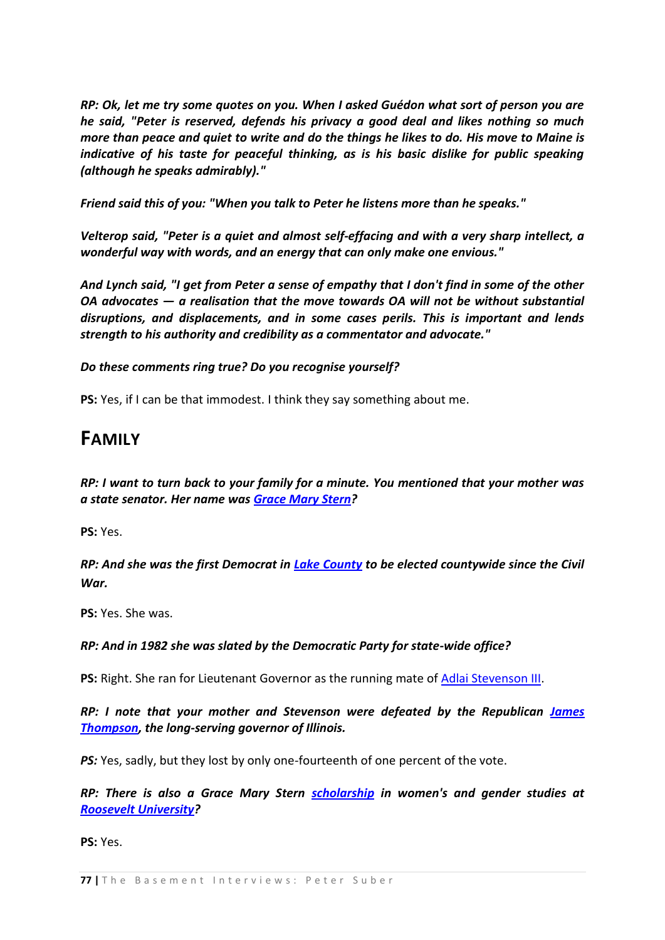*RP: Ok, let me try some quotes on you. When I asked Guédon what sort of person you are he said, "Peter is reserved, defends his privacy a good deal and likes nothing so much more than peace and quiet to write and do the things he likes to do. His move to Maine is indicative of his taste for peaceful thinking, as is his basic dislike for public speaking (although he speaks admirably)."*

*Friend said this of you: "When you talk to Peter he listens more than he speaks."* 

*Velterop said, "Peter is a quiet and almost self-effacing and with a very sharp intellect, a wonderful way with words, and an energy that can only make one envious."*

*And Lynch said, "I get from Peter a sense of empathy that I don't find in some of the other OA advocates — a realisation that the move towards OA will not be without substantial disruptions, and displacements, and in some cases perils. This is important and lends strength to his authority and credibility as a commentator and advocate."*

### *Do these comments ring true? Do you recognise yourself?*

**PS:** Yes, if I can be that immodest. I think they say something about me.

## **FAMILY**

*RP: I want to turn back to your family for a minute. You mentioned that your mother was a state senator. Her name was [Grace Mary Stern?](http://www.ilga.gov/legislation/legisnet90/srgroups/sr/900SJ0072LV.html)* 

**PS:** Yes.

*RP: And she was the first Democrat in [Lake County](http://en.wikipedia.org/wiki/Lake_County,_Illinois) to be elected countywide since the Civil War.*

**PS:** Yes. She was.

#### *RP: And in 1982 she was slated by the Democratic Party for state-wide office?*

**PS:** Right. She ran for Lieutenant Governor as the running mate of [Adlai Stevenson III.](http://en.wikipedia.org/wiki/Adlai_Stevenson_III)

## *RP: I note that your mother and Stevenson were defeated by the Republican [James](http://en.wikipedia.org/wiki/James_R._Thompson)  [Thompson,](http://en.wikipedia.org/wiki/James_R._Thompson) the long-serving governor of Illinois.*

*PS:* Yes, sadly, but they lost by only one-fourteenth of one percent of the vote.

*RP: There is also a Grace Mary Stern [scholarship](http://www.roosevelt.edu/cas/wgs/sch-grace.htm) in women's and gender studies at [Roosevelt University?](http://en.wikipedia.org/wiki/Roosevelt_University)* 

**PS:** Yes.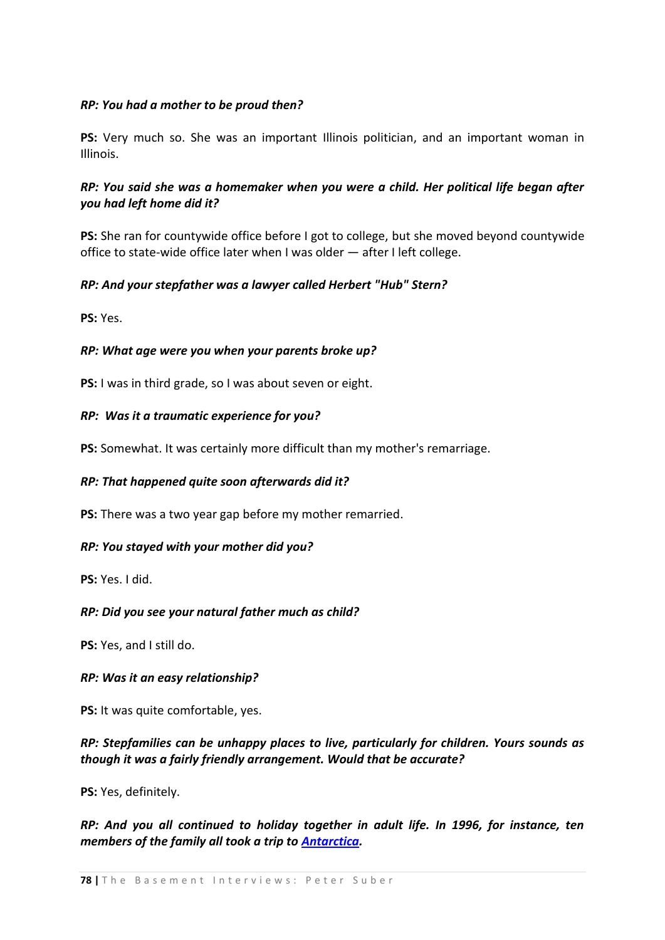### *RP: You had a mother to be proud then?*

**PS:** Very much so. She was an important Illinois politician, and an important woman in Illinois.

## *RP: You said she was a homemaker when you were a child. Her political life began after you had left home did it?*

**PS:** She ran for countywide office before I got to college, but she moved beyond countywide office to state-wide office later when I was older — after I left college.

### *RP: And your stepfather was a lawyer called Herbert "Hub" Stern?*

**PS:** Yes.

### *RP: What age were you when your parents broke up?*

**PS:** I was in third grade, so I was about seven or eight.

#### *RP: Was it a traumatic experience for you?*

**PS:** Somewhat. It was certainly more difficult than my mother's remarriage.

#### *RP: That happened quite soon afterwards did it?*

**PS:** There was a two year gap before my mother remarried.

#### *RP: You stayed with your mother did you?*

**PS:** Yes. I did.

#### *RP: Did you see your natural father much as child?*

**PS:** Yes, and I still do.

#### *RP: Was it an easy relationship?*

**PS:** It was quite comfortable, yes.

## *RP: Stepfamilies can be unhappy places to live, particularly for children. Yours sounds as though it was a fairly friendly arrangement. Would that be accurate?*

**PS:** Yes, definitely.

*RP: And you all continued to holiday together in adult life. In 1996, for instance, ten members of the family all took a trip to [Antarctica.](http://www.earlham.edu/~peters/antarcti.htm)*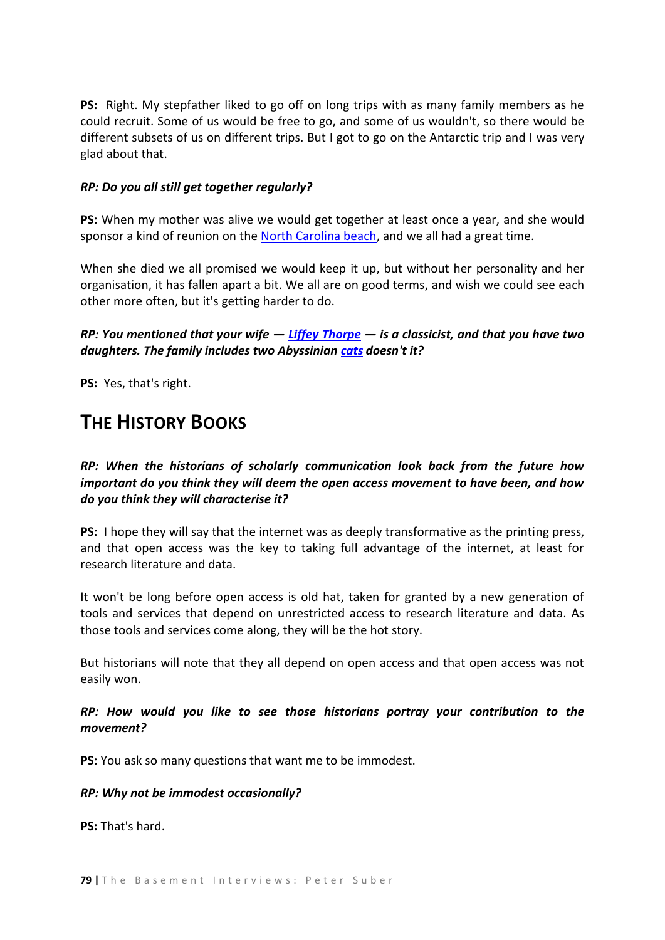**PS:** Right. My stepfather liked to go off on long trips with as many family members as he could recruit. Some of us would be free to go, and some of us wouldn't, so there would be different subsets of us on different trips. But I got to go on the Antarctic trip and I was very glad about that.

### *RP: Do you all still get together regularly?*

**PS:** When my mother was alive we would get together at least once a year, and she would sponsor a kind of reunion on the [North Carolina beach,](http://commons.wikimedia.org/wiki/Image:Outerbanks_nc_beach.JPG) and we all had a great time.

When she died we all promised we would keep it up, but without her personality and her organisation, it has fallen apart a bit. We all are on good terms, and wish we could see each other more often, but it's getting harder to do.

*RP: You mentioned that your wife — [Liffey Thorpe](http://www.earlham.edu/~liffeyt/) — is a classicist, and that you have two daughters. The family includes two Abyssinian [cats](http://www.earlham.edu/~liffeyt/images/bel.jpg) doesn't it?*

**PS:** Yes, that's right.

## **THE HISTORY BOOKS**

*RP: When the historians of scholarly communication look back from the future how important do you think they will deem the open access movement to have been, and how do you think they will characterise it?*

**PS:** I hope they will say that the internet was as deeply transformative as the printing press, and that open access was the key to taking full advantage of the internet, at least for research literature and data.

It won't be long before open access is old hat, taken for granted by a new generation of tools and services that depend on unrestricted access to research literature and data. As those tools and services come along, they will be the hot story.

But historians will note that they all depend on open access and that open access was not easily won.

## *RP: How would you like to see those historians portray your contribution to the movement?*

**PS:** You ask so many questions that want me to be immodest.

#### *RP: Why not be immodest occasionally?*

**PS:** That's hard.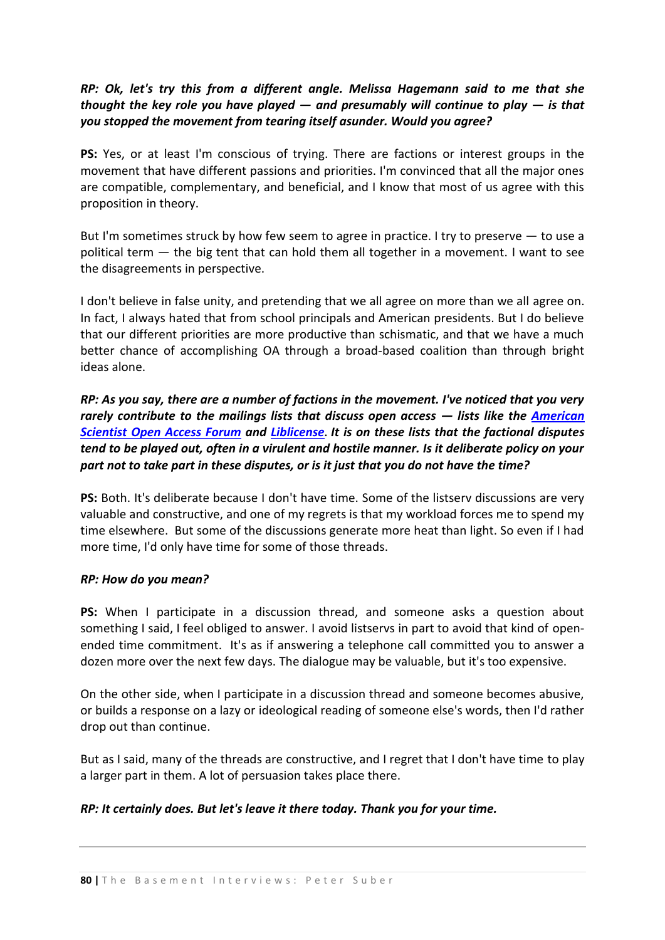## *RP: Ok, let's try this from a different angle. Melissa Hagemann said to me that she thought the key role you have played — and presumably will continue to play — is that you stopped the movement from tearing itself asunder. Would you agree?*

**PS:** Yes, or at least I'm conscious of trying. There are factions or interest groups in the movement that have different passions and priorities. I'm convinced that all the major ones are compatible, complementary, and beneficial, and I know that most of us agree with this proposition in theory.

But I'm sometimes struck by how few seem to agree in practice. I try to preserve — to use a political term — the big tent that can hold them all together in a movement. I want to see the disagreements in perspective.

I don't believe in false unity, and pretending that we all agree on more than we all agree on. In fact, I always hated that from school principals and American presidents. But I do believe that our different priorities are more productive than schismatic, and that we have a much better chance of accomplishing OA through a broad-based coalition than through bright ideas alone.

*RP: As you say, there are a number of factions in the movement. I've noticed that you very rarely contribute to the mailings lists that discuss open access — lists like the [American](http://amsci-forum.amsci.org/archives/American-Scientist-Open-Access-Forum.html)  [Scientist Open Access](http://amsci-forum.amsci.org/archives/American-Scientist-Open-Access-Forum.html) Forum and [Liblicense](http://www.library.yale.edu/~llicense/index.shtml)***.** *It is on these lists that the factional disputes tend to be played out, often in a virulent and hostile manner. Is it deliberate policy on your part not to take part in these disputes, or is it just that you do not have the time?* 

**PS:** Both. It's deliberate because I don't have time. Some of the listserv discussions are very valuable and constructive, and one of my regrets is that my workload forces me to spend my time elsewhere. But some of the discussions generate more heat than light. So even if I had more time, I'd only have time for some of those threads.

#### *RP: How do you mean?*

**PS:** When I participate in a discussion thread, and someone asks a question about something I said, I feel obliged to answer. I avoid listservs in part to avoid that kind of openended time commitment. It's as if answering a telephone call committed you to answer a dozen more over the next few days. The dialogue may be valuable, but it's too expensive.

On the other side, when I participate in a discussion thread and someone becomes abusive, or builds a response on a lazy or ideological reading of someone else's words, then I'd rather drop out than continue.

But as I said, many of the threads are constructive, and I regret that I don't have time to play a larger part in them. A lot of persuasion takes place there.

## *RP: It certainly does. But let's leave it there today. Thank you for your time.*